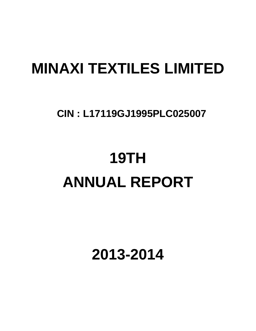# **MINAXI TEXTILES LIMITED**

## **CIN : L17119GJ1995PLC025007**

# **19TH ANNUAL REPORT**

**2013-2014**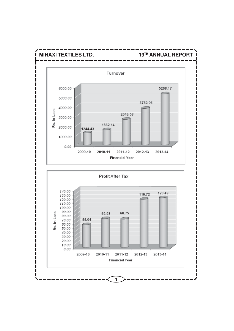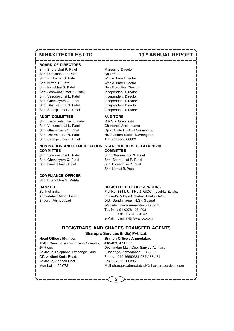### **BOARD OF DIRECTORS**

Shri. Bharatbhai P. Patel Managing Director Shri. Dineshbhai P. Patel Chairman Shri. Kiritkumar S. Patel Whole Time Director Shri. Nirmal B. Patel Whole Time Director Shri. Kanubhai S. Patel Non Executive Director Shri. Jashwantkumar K. Patel Independent Director Shri. Vasudevbhai L. Patel Independent Director Shri. Ghanshyam C. Patel Independent Director Shri. Dharmendra N. Patel Independent Director Shri. Sandipkumar J. Patel Independent Director

#### **AUDIT COMMITTEE AUDITORS**

Shri. Jashwantkumar K. Patel R.R.S & Associates Shri. Vasudevbhai L. Patel Chartered Accountants Shri. Sandipkumar J. Patel Ahmedabad-380009

#### **NOMINATION AND REMUNERATION STAKEHOLDERS RELATIONSHIP COMMITTEE COMMITTEE** Shri. Vasudevbhai L. Patel Shri. Dharmendra N. Patel

Shri. Ghanshyam C. Patel Shri. Bharatbhai P. Patel Shri. Dineshbhai P. Patel Shri. Dineshbhai P. Patel

#### **COMPLIANCE OFFICER**

Shri. Bharatbhai G. Mehta

#### **BANKER REGISTERED OFFICE & WORKS**

Bank of India Plot No. 3311, Unit No.2, GIDC Industrial Estate, Ahmedabad Main Branch Phase-IV, Village Chhatral, Taluka-Kalol, Bhadra, Ahmedabad Dist. Gandhinagar (N.G), Gujarat Website **: www.minaxitextiles.com** Tel. No. **:** 91-02764-234008  **:** 91-02764-234142 e-Mail **:** minaxitx@yahoo.com

### **REGISTRARS AND SHARES TRANSFER AGENTS**

**2**

### **Head Office : Mumbai Branch Office : Ahmedabad**

**Sharepro Services (India) Pvt. Ltd.**

## 13AB, Samhita Ware-housing Complex, 416-420, 4<sup>th</sup> Floor, Sakinaka Telephone Exchange Lane, Ellisbridge, Ahmedabad – 380 006 Off. Andheri-Kurla Road, Phone **:** 079 26582381 / 82 / 83 / 84 Sakinaka, Andheri East, Fax : 079 26582385

2nd Floor, Devnandan Mall, Opp. Sanyas Ashram, Mumbai – 400 072 Mail sharepro.ahmedabad@shareproservices.com

## **MINAXI TEXTILES LTD.** 19<sup>TH</sup> ANNUAL REPORT

Shri. Ghanshyam C. Patel Opp : State Bank of Saurashtra, Shri. Dharmendra N. Patel Nr. Stadium Circle, Navrangpura,

Shri. Nirmal B. Patel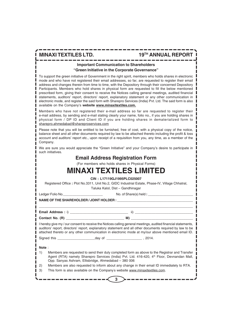### **Important Communication to Shareholders**

#### **"Green Initiative in the Corporate Governance"**

To support the green initiative of Government in the right spirit, members who holds shares in electronic mode and who have not registered their email addresses, so far, are requested to register their email address and changes therein from time to time, with the Depository through their concerned Depository Participants. Members who hold shares in physical form are requested to fill the below mentioned prescribed form, giving their consent to receive the Notices calling general meetings, audited financial statements, auditors' report, directors' report, explanatory statement or any other communication in electronic mode, and register the said form with Sharepro Services (India) Pvt. Ltd. The said form is also available on the Company's **website www.minaxitextiles.com.**

Members who have not registered their e-mail address so far are requested to register their e-mail address, by sending and e-mail stating clearly your name, folio no., if you are holding shares in physical form / DP ID and Client ID if you are holding shares in dematerialized form to sharepro.ahmedabad@shareproservices.com

Please note that you will be entitled to be furnished, free of cost, with a physical copy of the notice, balance sheet and all other documents required by law to be attached thereto including the profit & loss account and auditors' report etc., upon receipt of a requisition from you, any time, as a member of the Company.

We are sure you would appreciate the "Green Initiative" and your Company's desire to participate in such initiatives.

### **Email Address Registration Form**

(For members who holds shares in Physical Forms)

## **MINAXI TEXTILES LIMITED**

**CIN : L17119GJ1995PLC025007**

Registered Office **:** Plot No.3311, Unit No.2, GIDC Industrial Estate, Phase-IV, Village Chhatral,

Taluka Kalol, Dist – Gandhinagar

Ledger Folio No. **Ledger Folio No. No.** of Share(s) held **:** 

|                                                                                                   |  |                                                      | I hereby give my / our consent to receive the Notices calling general meetings, audited financial statements,<br>auditors' report, directors' report, explanatory statement and all other documents required by law to be<br>attached thereto or any other communication in electronic mode at my/our above mentioned email ID. |
|---------------------------------------------------------------------------------------------------|--|------------------------------------------------------|---------------------------------------------------------------------------------------------------------------------------------------------------------------------------------------------------------------------------------------------------------------------------------------------------------------------------------|
|                                                                                                   |  |                                                      |                                                                                                                                                                                                                                                                                                                                 |
| Note:                                                                                             |  |                                                      |                                                                                                                                                                                                                                                                                                                                 |
| 1)                                                                                                |  | Opp. Sanyas Ashram, Ellisbridge, Ahmedabad - 380 006 | Members are requested to send their duly completed form as above to the Registrar and Transfer<br>Agent (RTA) namely Sharepro Services (India) Pvt. Ltd. 416-420, 4 <sup>th</sup> Floor, Devnandan Mall,                                                                                                                        |
| Members are also requested to inform about any change in their email ID immediately to RTA.<br>2) |  |                                                      |                                                                                                                                                                                                                                                                                                                                 |
| 3)                                                                                                |  |                                                      | This form is also available on the Company's website www.minaxitextiles.com.                                                                                                                                                                                                                                                    |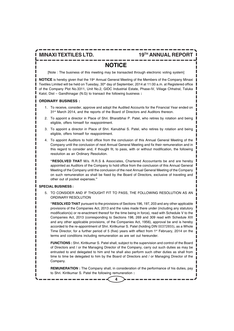### **NOTICE**

[Note : The business of this meeting may be transacted through electronic voting system]

**NOTICE** is hereby given that the 19<sup>th</sup> Annual General Meeting of the Members of the Company Minaxi Textiles Limited will be held on Tuesday, 30<sup>th</sup> day of September, 2014 at 11:00 a.m. at Registered office of the Company Plot No.3311, Unit No.2, GIDC Industrial Estate, Phase-IV, Village Chhatral, Taluka Kalol, Dist – Gandhinagar (N.G) to transact the following business **:**

#### **ORDINARY BUSINESS :**

- 1. To receive, consider, approve and adopt the Audited Accounts for the Financial Year ended on 31<sup>st</sup> March 2014, and the reports of the Board of Directors and Auditors thereon.
- 2. To appoint a director in Place of Shri. Bharatbhai P. Patel, who retires by rotation and being eligible, offers himself for reappointment.
- 3. To appoint a director in Place of Shri. Kanubhai S. Patel, who retires by rotation and being eligible, offers himself for reappointment.
- 4. To appoint Auditors to hold office from the conclusion of this Annual General Meeting of the Company until the conclusion of next Annual General Meeting and fix their remuneration and in this regard to consider and, if thought fit, to pass, with or without modification, the following resolution as an Ordinary Resolution.

**"RESOLVED THAT** M/s. R.R.S & Associates, Chartered Accountants be and are hereby appointed as Auditors of the Company to hold office from the conclusion of this Annual General Meeting of the Company until the conclusion of the next Annual General Meeting of the Company on such remuneration as shall be fixed by the Board of Directors, exclusive of traveling and other out of pocket expenses.**"**

#### **SPECIAL BUSINESS :**

5. TO CONSIDER AND IF THOUGHT FIT TO PASS, THE FOLLOWING RESOLUTION AS AN ORDINARY RESOLUTION

**"RESOLVED THAT** pursuant to the provisions of Sections 196, 197, 203 and any other applicable provisions of the Companies Act, 2013 and the rules made there under (including any statutory modification(s) or re-enactment thereof for the time being in force), read with Schedule V to the Companies Act, 2013 (corresponding to Sections 198, 269 and 309 read with Schedule XIII and any other applicable provisions, of the Companies Act, 1956), approval be and is hereby accorded to the re-appointment of Shri. Kiritkumar S. Patel (holding DIN 00372855), as a Whole Time Director, for a further period of 5 (five) years with effect from  $1<sup>st</sup>$  February, 2014 on the terms and conditions including remuneration as are set out hereunder.

**FUNCTIONS :** Shri. Kiritkumar S. Patel shall, subject to the supervision and control of the Board of Directors and / or the Managing Director of the Company, carry out such duties as may be entrusted to and delegated to him and he shall also perform such other duties as shall from time to time be delegated to him by the Board of Directors and / or Managing Director of the Company.

**REMUNERATION :** The Company shall, in consideration of the performance of his duties, pay to Shri. Kiritkumar S. Patel the following remuneration **:**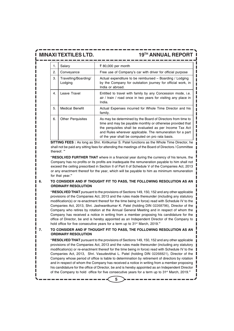| 1. | Salary                          | ₹ 80,000 per month                                                                                                                                                                                                                                                                                      |
|----|---------------------------------|---------------------------------------------------------------------------------------------------------------------------------------------------------------------------------------------------------------------------------------------------------------------------------------------------------|
| 2. | Conveyance                      | Free use of Company's car with driver for official purpose                                                                                                                                                                                                                                              |
| 3. | Travelling/Boarding/<br>Lodging | Actual expenditure to be reimbursed – Boarding / Lodging<br>by the Company for outstation journey for official work, in<br>India or abroad.                                                                                                                                                             |
| 4. | Leave Travel                    | Entitled to travel with family by any Concession mode, <i>i.e.</i><br>air / train / road once in two years for visiting any place in<br>India.                                                                                                                                                          |
| 5. | <b>Medical Benefit</b>          | Actual Expenses incurred for Whole Time Director and his<br>family.                                                                                                                                                                                                                                     |
| 6. | <b>Other Perquisites</b>        | As may be determined by the Board of Directors from time to<br>time and may be payable monthly or otherwise provided that<br>the perquisites shall be evaluated as per Income Tax Act<br>and Rules wherever applicable. The remuneration for a part<br>of the year shall be computed on pro rata basis. |

**SITTING FEES :** As long as Shri. Kiritkumar S. Patel functions as the Whole Time Director, he shall not be paid any sitting fees for attending the meetings of the Board of Directors / Committee thereof. **"**

**"RESOLVED FURTHER THAT** where in a financial year during the currency of his tenure, the Company has no profits or its profits are inadequate the remuneration payable to him shall not exceed the ceiling prescribed in Section II of Part II of Schedule V of the Companies Act, 2013 or any enactment thereof for the year, which will be payable to him as minimum remuneration for that year.**"**

#### **6. TO CONSIDER AND IF THOUGHT FIT TO PASS, THE FOLLOWING RESOLUTION AS AN ORDINARY RESOLUTION**

**"RESOLVED THAT** pursuant to the provisions of Sections 149, 150, 152 and any other applicable provisions of the Companies Act, 2013 and the rules made thereunder (including any statutory modification(s) or re-enactment thereof for the time being in force) read with Schedule IV to the Companies Act, 2013, Shri. Jashwantkumar K. Patel (holding DIN 02268796), Director of the Company who retires by rotation at the Annual General Meeting and in respect of whom the Company has received a notice in writing from a member proposing his candidature for the office of Director, be and is hereby appointed as an Independent Director of the Company to hold office for five consecutive years for a term up to 31st March, 2019.**"**

**7. TO CONSIDER AND IF THOUGHT FIT TO PASS, THE FOLLOWING RESOLUTION AS AN ORDINARY RESOLUTION**

**"RESOLVED THAT** pursuant to the provisions of Sections 149, 150, 152 and any other applicable provisions of the Companies Act, 2013 and the rules made thereunder (including any statutory modification(s) or re-enactment thereof for the time being in force) read with Schedule IV to the Companies Act, 2013, Shri. Vasudevbhai L. Patel (holding DIN 02268821), Director of the Company whose period of office is liable to determination by retirement of directors by rotation and in respect of whom the Company has received a notice in writing from a member proposing his candidature for the office of Director, be and is hereby appointed as an Independent Director of the Company to hold office for five consecutive years for a term up to 31st March, 2019.**"**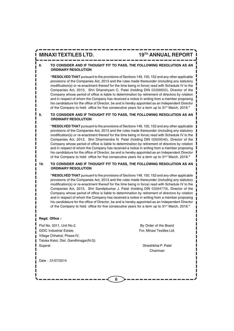### **8. TO CONSIDER AND IF THOUGHT FIT TO PASS, THE FOLLOWING RESOLUTION AS AN ORDINARY RESOLUTION**

**"RESOLVED THAT** pursuant to the provisions of Sections 149, 150, 152 and any other applicable provisions of the Companies Act, 2013 and the rules made thereunder (including any statutory modification(s) or re-enactment thereof for the time being in force) read with Schedule IV to the Companies Act, 2013, Shri Ghanshyam C. Patel (holding DIN 02268850), Director of the Company whose period of office is liable to determination by retirement of directors by rotation and in respect of whom the Company has received a notice in writing from a member proposing his candidature for the office of Director, be and is hereby appointed as an Independent Director of the Company to hold office for five consecutive years for a term up to 31st March, 2019.**"**

#### **9. TO CONSIDER AND IF THOUGHT FIT TO PASS, THE FOLLOWING RESOLUTION AS AN ORDINARY RESOLUTION**

**"RESOLVED THAT** pursuant to the provisions of Sections 149, 150, 152 and any other applicable provisions of the Companies Act, 2013 and the rules made thereunder (including any statutory modification(s) or re-enactment thereof for the time being in force) read with Schedule IV to the Companies Act, 2013, Shri Dharmendra N. Patel (holding DIN 02609546), Director of the Company whose period of office is liable to determination by retirement of directors by rotation and in respect of whom the Company has received a notice in writing from a member proposing his candidature for the office of Director, be and is hereby appointed as an Independent Director of the Company to hold office for five consecutive years for a term up to 31st March, 2019.**"**

#### **10. TO CONSIDER AND IF THOUGHT FIT TO PASS, THE FOLLOWING RESOLUTION AS AN ORDINARY RESOLUTION**

**6**

**"RESOLVED THAT** pursuant to the provisions of Sections 149, 150, 152 and any other applicable provisions of the Companies Act, 2013 and the rules made thereunder (including any statutory modification(s) or re-enactment thereof for the time being in force) read with Schedule IV to the Companies Act, 2013, Shri Sandipkumar J. Patel (holding DIN 03584779), Director of the Company whose period of office is liable to determination by retirement of directors by rotation and in respect of whom the Company has received a notice in writing from a member proposing his candidature for the office of Director, be and is hereby appointed as an Independent Director of the Company to hold office for five consecutive years for a term up to 31st March, 2019.**"**

#### **Regd. Office :**

Plot No. 3311, Unit No.2, **By Order of the Board** GIDC Industrial Estate, For, Minaxi Textiles Ltd. Village Chhatral, Phase-IV, Taluka Kalol, Dist. Gandhinagar(N.G) Guiarat **Dineshbhai P. Patel** 

Chairman

Date : 31/07/2014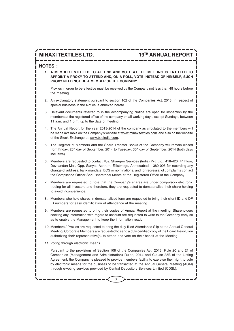#### **NOTES :**

**1. A MEMBER ENTITILED TO ATTEND AND VOTE AT THE MEETING IS ENTITLED TO APPOINT A PROXY TO ATTEND AND, ON A POLL, VOTE INSTEAD OF HIMSELF, SUCH PROXY NEED NOT BE A MEMBER OF THE COMPANY.**

Proxies in order to be effective must be received by the Company not less than 48 hours before the meeting.

- 2. An explanatory statement pursuant to section 102 of the Companies Act, 2013, in respect of special business in the Notice is annexed hereto.
- 3. Relevant documents referred to in the accompanying Notice are open for inspection by the members at the registered office of the company on all working days, except Sundays, between 11 a.m. and 1 p.m. up to the date of meeting.
- 4. The Annual Report for the year 2013-2014 of the company as circulated to the members will be made available on the Company's website at www.minaxitextiles.com and also on the website of the Stock Exchange at www.bseindia.com.
- 5. The Register of Members and the Share Transfer Books of the Company will remain closed from Friday, 26<sup>th</sup> day of September, 2014 to Tuesday, 30<sup>th</sup> day of September, 2014 (both days inclusive).
- 6. Members are requested to contact M/s. Sharepro Services (India) Pvt. Ltd., 416-420, 4<sup>th</sup> Floor, Devnandan Mall, Opp. Sanyas Ashram, Ellisbridge, Ahmedabad – 380 006 for recording any change of address, bank mandate, ECS or nominations, and for redressal of complaints contact the Compliance Officer Shri. Bharatbhai Mehta at the Registered Office of the Company.
- 7. Members are requested to note that the Company's shares are under compulsory electronic trading for all investors and therefore, they are requested to dematerialize their share holding to avoid inconvenience.
- 8. Members who hold shares in dematerialized form are requested to bring their client ID and DP ID numbers for easy identification of attendance at the meeting.
- 9. Members are requested to bring their copies of Annual Report at the meeting. Shareholders seeking any information with regard to account are requested to write to the Company early so as to enable the Management to keep the information ready.
- 10. Members / Proxies are requested to bring the duly filled Attendance Slip at the Annual General Meeting. Corporate Members are requested to send a duly certified copy of the Board Resolution authorizing their representative(s) to attend and vote on their behalf at the Meeting.
- 11. Voting through electronic means

Pursuant to the provisions of Section 108 of the Companies Act, 2013, Rule 20 and 21 of Companies (Management and Administration) Rules, 2014 and Clause 35B of the Listing Agreement, the Company is pleased to provide members facility to exercise their right to vote by electronic means for the business to be transacted at the Annual General Meeting (AGM) through e-voting services provided by Central Depository Services Limited (CDSL).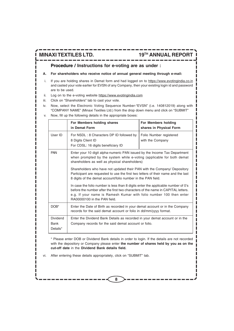### **Procedure / Instructions for e-voting are as under :**

#### **A. For shareholders who receive notice of annual general meeting through e-mail:**

- i. If you are holding shares in Demat form and had logged on to https://www.evotingindia.co.in and casted your vote earlier for EVSN of any Company, then your existing login id and password are to be used.
- ii. Log on to the e-voting website https://www.evotingindia.com
- iii. Click on "Shareholders" tab to cast your vote.
- iv. Now, select the Electronic Voting Sequence Number-"EVSN" (i.e. 140812019) along with "COMPANY NAME" (Minaxi Textiles Ltd.) from the drop down menu and click on "SUBMIT"
- v. Now, fill up the following details in the appropriate boxes:

|                                                                                                                                                                                   | For Members holding shares<br>in Demat Form                                                                                                                                                                                                                                 | For Members holding<br>shares in Physical Form |  |  |  |  |
|-----------------------------------------------------------------------------------------------------------------------------------------------------------------------------------|-----------------------------------------------------------------------------------------------------------------------------------------------------------------------------------------------------------------------------------------------------------------------------|------------------------------------------------|--|--|--|--|
| User ID                                                                                                                                                                           | For NSDL: 8 Characters DP ID followed by<br>8 Digits Client ID<br>For CDSL: 16 digits beneficiary ID                                                                                                                                                                        | Folio Number registered<br>with the Company    |  |  |  |  |
| <b>PAN</b>                                                                                                                                                                        | Enter your 10 digit alpha-numeric PAN issued by the Income Tax Department<br>when prompted by the system while e-voting (applicable for both demat<br>shareholders as well as physical shareholders)                                                                        |                                                |  |  |  |  |
|                                                                                                                                                                                   | Shareholders who have not updated their PAN with the Company/ Depository<br>Participant are requested to use the first two letters of their name and the last<br>8 digits of the demat account/folio number in the PAN field.                                               |                                                |  |  |  |  |
|                                                                                                                                                                                   | In case the folio number is less than 8 digits enter the applicable number of 0's<br>before the number after the first two characters of the name in CAPITAL letters.<br>e.g. If your name is Ramesh Kumar with folio number 100 then enter<br>RA00000100 in the PAN field. |                                                |  |  |  |  |
| DOB*                                                                                                                                                                              | Enter the Date of Birth as recorded in your demat account or in the Company<br>records for the said demat account or folio in dd/mm/yyyy format.                                                                                                                            |                                                |  |  |  |  |
| <b>Dividend</b><br>Enter the Dividend Bank Details as recorded in your demat account or in the<br><b>Bank</b><br>Company records for the said demat account or folio.<br>Details* |                                                                                                                                                                                                                                                                             |                                                |  |  |  |  |

\* Please enter DOB or Dividend Bank details in order to login. If the details are not recorded with the depository or Company please enter **the number of shares held by you as on the cut-off date** in the **Dividend Bank details field.**

**8**

vi. After entering these details appropriately, click on "SUBMIT" tab.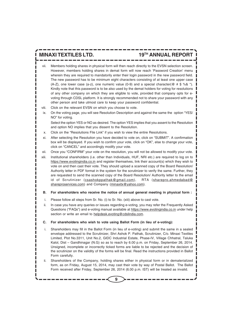- Members holding shares in physical form will then reach directly to the EVSN selection screen. However, members holding shares in demat form will now reach 'Password Creation' menu wherein they are required to mandatorily enter their login password in the new password field. The new password has to be minimum eight characters consisting of at least one upper case (A-Z), one lower case (a-z), one numeric value (0-9) and a special character( $@$  # \$ %& \*). Kindly note that this password is to be also used by the demat holders for voting for resolutions of any other company on which they are eligible to vote, provided that company opts for evoting through CDSL platform. It is strongly recommended not to share your password with any other person and take utmost care to keep your password confidential.
- viii. Click on the relevant EVSN on which you choose to vote.
- ix. On the voting page, you will see Resolution Description and against the same the option "YES/ NO" for voting.

Select the option YES or NO as desired. The option YES implies that you assent to the Resolution and option NO implies that you dissent to the Resolution.

- x. Click on the "Resolutions File Link" if you wish to view the entire Resolutions.
- xi. After selecting the Resolution you have decided to vote on, click on "SUBMIT". A confirmation box will be displayed. If you wish to confirm your vote, click on "OK", else to change your vote, click on "CANCEL" and accordingly modify your vote.
- xii. Once you "CONFIRM" your vote on the resolution, you will not be allowed to modify your vote.
- xiii. Institutional shareholders (i.e. other than Individuals, HUF, NRI etc.) are required to log on to https://www.evotingindia.co.in and register themselves, link their account(s) which they wish to vote on and then cast their vote. They should upload a scanned copy of the Board Resolution/ Authority letter in PDF format in the system for the scrutinizer to verify the same. Further, they are requested to send the scanned copy of the Board Resolution/ Authority letter to the email id of Scrutinizer (csashokppathak@gmail.com), RTA (sharepro.ahmedabad@ shareproservices.com) and Company (minaxitx@yahoo.com).
- **B. For shareholders who receive the notice of annual general meeting in physical form :**
- i. Please follow all steps from Sr. No. (i) to Sr. No. (xiii) above to cast vote.
- ii. In case you have any queries or issues regarding e-voting, you may refer the Frequently Asked Questions ("FAQs") and e-voting manual available at https://www.evotingindia.co.in under help section or write an email to helpdesk.evoting@cdslindia.com.

#### **C. For shareholders who wish to vote using Ballot Form (in lieu of e-voting):**

- Shareholders may fill in the Ballot Form (in lieu of e-voting) and submit the same in a sealed envelope addressed to the Scrutinizer, Shri Ashok P. Pathak, Scrutinizer, C/o. Minaxi Textiles Limited, Plot No.3311, Unit No.2, GIDC Industrial Estate, Phase-IV, Village Chhatral, Taluka Kalol, Dist – Gandhinagar (N.G) so as to reach by 6.00 p.m. on Friday, September 26, 2014. Unsigned, incomplete or incorrectly ticked forms are liable to be rejected and the decision of the scrutinizer on the validity of the forms will be final. Read the instructions provided in Ballot Form carefully.
- ii. Shareholders of the Company, holding shares either in physical form or in dematerialized form, as on Friday, August 15, 2014, may cast their vote by way of Postal Ballot. The Ballot Form received after Friday, September 26, 2014 (6.00 p.m. IST) will be treated as invalid.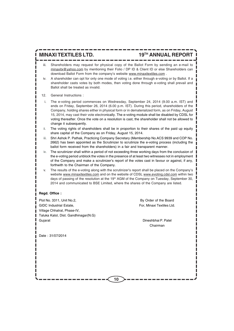- iii. Shareholders may request for physical copy of the Ballot Form by sending an e-mail to minaxitx@yahoo.com by mentioning their Folio / DP ID & Client ID or else Shareholders can download Ballot Form from the company's website www.minaxitextiles.com .
- iv. A shareholder can opt for only one mode of voting i.e. either through e-voting or by Ballot. If a shareholder casts votes by both modes, then voting done through e-voting shall prevail and Ballot shall be treated as invalid.
- 12. General Instructions :
	- i. The e-voting period commences on Wednesday, September 24, 2014 (9.00 a.m. IST) and ends on Friday, September 26, 2014 (6.00 p.m. IST). During this period, shareholders of the Company, holding shares either in physical form or in dematerialized form, as on Friday, August 15, 2014, may cast their vote electronically. The e-voting module shall be disabled by CDSL for voting thereafter. Once the vote on a resolution is cast, the shareholder shall not be allowed to change it subsequently.
	- ii. The voting rights of shareholders shall be in proportion to their shares of the paid up equity share capital of the Company as on Friday, August 15, 2014.
- iii. Shri Ashok P. Pathak, Practicing Company Secretary (Membership No.ACS 9939 and COP No. 2662) has been appointed as the Scrutinizer to scrutinize the e-voting process (including the ballot form received from the shareholders) in a fair and transparent manner.
- iv. The scrutinizer shall within a period of not exceeding three working days from the conclusion of the e-voting period unblock the votes in the presence of at least two witnesses not in employment of the Company and make a scrutinizer's report of the votes cast in favour or against, if any, forthwith to the Chairman of the Company.
- v. The results of the e-voting along with the scrutinizer's report shall be placed on the Company's website www.minaxitextiles.com and on the website of CDSL www.evoting.cdsl.com within two days of passing of the resolution at the 19<sup>th</sup> AGM of the Company on Tuesday, September 30, 2014 and communicated to BSE Limited, where the shares of the Company are listed.

#### **Regd. Office :**

Plot No. 3311, Unit No.2, **By Order of the Board** GIDC Industrial Estate. The Contract of the Formula Contract Formula Contract Formula Contract Textiles Ltd. Village Chhatral, Phase-IV, Taluka Kalol, Dist. Gandhinagar(N.G) Gujarat Dineshbhai P. Patel

Chairman

Date : 31/07/2014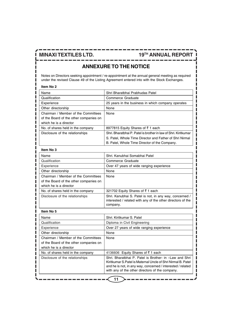Ш

### **MINAXI TEXTILES LTD.** 19<sup>TH</sup> ANNUAL REPORT

I

## **ANNEXURE TO THE NOTICE**

Notes on Directors seeking appointment / re-appointment at the annual general meeting as required under the revised Clause 49 of the Listing Agreement entered into with the Stock Exchanges.

| Item No 2                              |                                                                                                                                                                                                                                           |
|----------------------------------------|-------------------------------------------------------------------------------------------------------------------------------------------------------------------------------------------------------------------------------------------|
| Name                                   | Shri Bharatbhai Prabhudas Patel                                                                                                                                                                                                           |
| Qualification                          | Commerce Graduate                                                                                                                                                                                                                         |
| Experience                             | 25 years in the business in which company operates                                                                                                                                                                                        |
| Other directorship                     | None                                                                                                                                                                                                                                      |
| Chairman / Member of the Committees    | None                                                                                                                                                                                                                                      |
| of the Board of the other companies on |                                                                                                                                                                                                                                           |
| which he is a director                 |                                                                                                                                                                                                                                           |
| No. of shares held in the company      | 8977815 Equity Shares of ₹1 each                                                                                                                                                                                                          |
| Disclosure of the relationships        | Shri, Bharatbhai P. Patel is brother in law of Shri, Kiritkumar                                                                                                                                                                           |
|                                        | S. Patel, Whole Time Director and Father of Shri Nirmal                                                                                                                                                                                   |
|                                        | B. Patel, Whole Time Director of the Company.                                                                                                                                                                                             |
| Item No 3                              |                                                                                                                                                                                                                                           |
| Name                                   | Shri, Kanubhai Somabhai Patel                                                                                                                                                                                                             |
| Qualification                          | Commerce Graduate                                                                                                                                                                                                                         |
| Experience                             | Over 47 years of wide ranging experience                                                                                                                                                                                                  |
| Other directorship                     | None                                                                                                                                                                                                                                      |
| Chairman / Member of the Committees    | None                                                                                                                                                                                                                                      |
| of the Board of the other companies on |                                                                                                                                                                                                                                           |
| which he is a director                 |                                                                                                                                                                                                                                           |
| No. of shares held in the company      | 321702 Equity Shares of ₹1 each                                                                                                                                                                                                           |
| Disclosure of the relationships        | Shri. Kanubhai S. Patel is not, in any way, concerned /<br>interested / related with any of the other directors of the<br>company.                                                                                                        |
| Item No 5                              |                                                                                                                                                                                                                                           |
| Name                                   | Shri, Kiritkumar S. Patel                                                                                                                                                                                                                 |
| Qualification                          | Diploma in Civil Engineering                                                                                                                                                                                                              |
| Experience                             | Over 27 years of wide ranging experience                                                                                                                                                                                                  |
| Other directorship                     | None                                                                                                                                                                                                                                      |
| Chairman / Member of the Committees    | None                                                                                                                                                                                                                                      |
| of the Board of the other companies on |                                                                                                                                                                                                                                           |
| which he is a director                 |                                                                                                                                                                                                                                           |
| No. of shares held in the company      | 4136606 Equity Shares of ₹1 each                                                                                                                                                                                                          |
| Disclosure of the relationships        | Shri, Bharatbhai P. Patel is Brother- in -Law and Shri<br>Kiritkumar S. Patel is Maternal Uncle of Shri Nirmal B. Patel<br>and he is not, in any way, concerned / interested / related<br>with any of the other directors of the company. |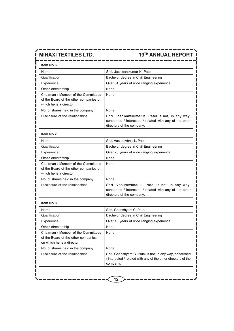|  |     |                |  | ___ |  |  |     |    |  |         |     |     |  |
|--|-----|----------------|--|-----|--|--|-----|----|--|---------|-----|-----|--|
|  |     |                |  |     |  |  |     |    |  |         |     |     |  |
|  |     |                |  |     |  |  |     |    |  |         |     |     |  |
|  | . . | -------------- |  |     |  |  | - 1 | -- |  | _ _ _ _ | - 1 | - 1 |  |
|  |     |                |  |     |  |  |     |    |  |         |     |     |  |

| Item No 6                                                                                               |                                                                                                                                         |  |  |  |
|---------------------------------------------------------------------------------------------------------|-----------------------------------------------------------------------------------------------------------------------------------------|--|--|--|
| Name                                                                                                    | Shri, Jashwantkumar K. Patel                                                                                                            |  |  |  |
| Qualification                                                                                           | Bachelor degree in Civil Engineering                                                                                                    |  |  |  |
| Experience                                                                                              | Over 31 years of wide ranging experience                                                                                                |  |  |  |
| Other directorship                                                                                      | None                                                                                                                                    |  |  |  |
| Chairman / Member of the Committees<br>of the Board of the other companies on<br>which he is a director | None                                                                                                                                    |  |  |  |
| No. of shares held in the company                                                                       | None                                                                                                                                    |  |  |  |
| Disclosure of the relationships                                                                         | Shri. Jashwantkumar K. Patel is not, in any way,<br>concerned / interested / related with any of the other<br>directors of the company. |  |  |  |

------

### **Item No 7**

ш

| Name                                                                                                    | Shri, Vasudevbhai L. Patel                                                                                                            |
|---------------------------------------------------------------------------------------------------------|---------------------------------------------------------------------------------------------------------------------------------------|
| Qualification                                                                                           | Bachelor degree in Civil Engineering                                                                                                  |
| Experience                                                                                              | Over 28 years of wide ranging experience                                                                                              |
| Other directorship                                                                                      | None                                                                                                                                  |
| Chairman / Member of the Committees<br>of the Board of the other companies on<br>which he is a director | None                                                                                                                                  |
| No. of shares held in the company                                                                       | None                                                                                                                                  |
| Disclosure of the relationships                                                                         | Shri. Vasudevbhai L. Patel is not, in any way,<br>concerned / interested / related with any of the other<br>directors of the company. |

#### **Item No 8**

| Name                                                                                                    | Shri. Ghanshyam C. Patel                                                                                                            |
|---------------------------------------------------------------------------------------------------------|-------------------------------------------------------------------------------------------------------------------------------------|
| Qualification                                                                                           | Bachelor degree in Civil Engineering                                                                                                |
| Experience                                                                                              | Over 16 years of wide ranging experience                                                                                            |
| Other directorship                                                                                      | None                                                                                                                                |
| Chairman / Member of the Committees<br>of the Board of the other companies<br>on which he is a director | None                                                                                                                                |
| No. of shares held in the company                                                                       | None                                                                                                                                |
| Disclosure of the relationships                                                                         | Shri. Ghanshyam C. Patel is not, in any way, concerned<br>/ interested / related with any of the other directors of the<br>company. |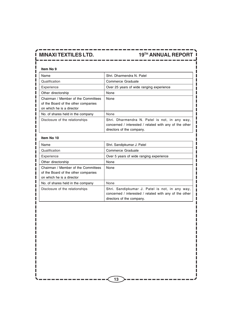### **Item No 9**

| Name                                                                                                    | Shri, Dharmendra N. Patel                                                                                                            |
|---------------------------------------------------------------------------------------------------------|--------------------------------------------------------------------------------------------------------------------------------------|
| Qualification                                                                                           | Commerce Graduate                                                                                                                    |
| Experience                                                                                              | Over 25 years of wide ranging experience                                                                                             |
| Other directorship                                                                                      | None                                                                                                                                 |
| Chairman / Member of the Committees<br>of the Board of the other companies<br>on which he is a director | None                                                                                                                                 |
| No. of shares held in the company                                                                       | None                                                                                                                                 |
| Disclosure of the relationships                                                                         | Shri. Dharmendra N. Patel is not, in any way,<br>concerned / interested / related with any of the other<br>directors of the company. |

ا سا سا

#### **Item No 10**

| Name                                                                                                    | Shri. Sandipkumar J. Patel                                                                                                            |  |  |  |
|---------------------------------------------------------------------------------------------------------|---------------------------------------------------------------------------------------------------------------------------------------|--|--|--|
| Qualification                                                                                           | Commerce Graduate                                                                                                                     |  |  |  |
| Experience                                                                                              | Over 5 years of wide ranging experience                                                                                               |  |  |  |
| Other directorship                                                                                      | None                                                                                                                                  |  |  |  |
| Chairman / Member of the Committees<br>of the Board of the other companies<br>on which he is a director | None                                                                                                                                  |  |  |  |
| No. of shares held in the company                                                                       | None                                                                                                                                  |  |  |  |
| Disclosure of the relationships                                                                         | Shri. Sandipkumar J. Patel is not, in any way,<br>concerned / interested / related with any of the other<br>directors of the company. |  |  |  |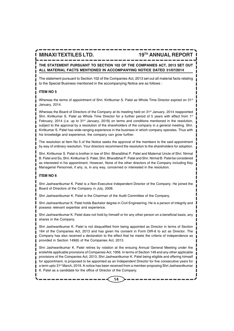### **THE STATEMENT PURSUANT TO SECTION 102 OF THE COMPANIES ACT, 2013 SET OUT ALL MATERIAL FACTS MENTIONED IN ACCOMPANYING NOTICE DATED 31/07/2014**

The statement pursuant to Section 102 of the Companies Act, 2013 set out all material facts relating to the Special Business mentioned in the accompanying Notice are as follows :

#### **ITEM NO 5**

Whereas the terms of appointment of Shri. Kiritkumar S. Patel as Whole Time Director expired on 31<sup>st</sup> January, 2014.

Whereas the Board of Directors of the Company at its meeting held on 31<sup>st</sup> January, 2014 reappointed Shri. Kiritkumar S. Patel as Whole Time Director for a further period of 5 years with effect from  $1<sup>st</sup>$ February, 2014 (i.e. up to  $31<sup>st</sup>$  January, 2019) on terms and conditions mentioned in the resolution, subject to the approval by a resolution of the shareholders of the company in a general meeting. Shri. Kiritkumar S. Patel has wide-ranging experience in the business in which company operates. Thus with his knowledge and experience, the company can grow further.

The resolution at Item No 5 of the Notice seeks the approval of the members to the said appointment by way of ordinary resolution. Your directors recommend the resolution to the shareholders for adoption.

Shri. Kiritkumar S. Patel is brother in law of Shri. Bharatbhai P. Patel and Maternal Uncle of Shri. Nirmal B. Patel and So, Shri. Kiritkumar S. Patel, Shri. Bharatbhai P. Patel and Shri. Nirmal B. Patel be considered as interested in his appointment. However, None of the other directors of the Company including Key Managerial Personnel, if any, is, in any way, concerned or interested in the resolution.

### **ITEM NO 6**

Shri Jashwantkumar K. Patel is a Non-Executive Independent Director of the Company. He joined the Board of Directors of the Company in July, 2008.

Shri Jashwantkumar K. Patel is the Chairman of the Audit Committee of the Company.

Shri Jashwantkumar K. Patel holds Bachelor degree in Civil Engineering. He is a person of integrity and possess relevant expertise and experience.

Shri Jashwantkumar K. Patel does not hold by himself or for any other person on a beneficial basis, any shares in the Company.

Shri Jashwantkumar K. Patel is not disqualified from being appointed as Director in terms of Section 164 of the Companies Act, 2013 and has given his consent in Form DIR-8 to act as Director. The Company has also received a declaration to the effect that he meets the criteria of independence as provided in Section 149(6) of the Companies Act, 2013.

Shri Jashwantkumar K. Patel retires by rotation at the ensuing Annual General Meeting under the erstwhile applicable provisions of Companies Act, 1956. In terms of Section 149 and any other applicable provisions of the Companies Act, 2013, Shri Jashwantkumar K. Patel being eligible and offering himself for appointment, is proposed to be appointed as an Independent Director for five consecutive years for a term upto 31st March, 2019. A notice has been received from a member proposing Shri Jashwantkumar K. Patel as a candidate for the office of Director of the Company.

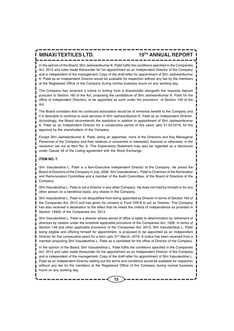In the opinion of the Board, Shri Jashwantkumar K. Patel fulfils the conditions specified in the Companies Act, 2013 and rules made thereunder for his appointment as an Independent Director of the Company and is independent of the management. Copy of the draft letter for appointment of Shri Jashwantkumar K. Patel as an Independent Director would be available for inspection without any fee by the members at the Registered Office of the Company during normal business hours on any working day.

The Company has received a notice in writing from a shareholder alongwith the requisite deposit pursuant to Section 160 of the Act, proposing the candidature of Shri Jashwantkumar K. Patel for the office of Independent Directors, to be appointed as such under the provisions of Section 149 of the Act.

The Board considers that his continued association would be of immense benefit to the Company and it is desirable to continue to avail services of Shri Jashwantkumar K. Patel as an Independent Director. Accordingly, the Board recommends the resolution in relation to appointment of Shri Jashwantkumar K. Patel as an Independent Director for a consecutive period of five years upto 31.03.2019, for the approval by the shareholders of the Company.

Except Shri Jashwantkumar K. Patel, being an appointee, none of the Directors and Key Managerial Personnel of the Company and their relatives is concerned or interested, financial or otherwise, in the resolution set out at Item No. 6. This Explanatory Statement may also be regarded as a disclosure under Clause 49 of the Listing agreement with the Stock Exchange.

#### **ITEM NO. 7**

Shri Vasudevbhai L. Patel is a Non-Executive Independent Director of the Company. He joined the Board of Directors of the Company in July, 2008. Shri Vasudevbhai L. Patel is Chairman of the Nomination and Remuneration Committee and a member of the Audit Committee, of the Board of Directors of the Company.

Shri Vasudevbhai L. Patel is not a Director in any other Company. He does not hold by himself or for any other person on a beneficial basis, any shares in the Company.

Shri Vasudevbhai L. Patel is not disqualified from being appointed as Director in terms of Section 164 of the Companies Act, 2013 and has given his consent in Form DIR-8 to act as Director. The Company has also received a declaration to the effect that he meets the criteria of independence as provided in Section 149(6) of the Companies Act, 2013.

Shri Vasudevbhai L. Patel is a director whose period of office is liable to determination by retirement of directors by rotation under the erstwhile applicable provisions of the Companies Act, 1956. In terms of Section 149 and other applicable provisions of the Companies Act. 2013, Shri Vasudevbhai L. Patel being eligible and offering himself for appointment, is proposed to be appointed as an Independent Director for five consecutive years for a term upto 31<sup>st</sup> March, 2019. A notice has been received from a member proposing Shri Vasudevbhai L. Patel as a candidate for the office of Director of the Company.

In the opinion of the Board, Shri Vasudevbhai L. Patel fulfils the conditions specified in the Companies Act, 2013 and rules made thereunder for his appointment as an Independent Director of the Company and is independent of the management. Copy of the draft letter for appointment of Shri Vasudevbhai L. Patel as an Independent Director setting out the terms and conditions would be available for inspection without any fee by the members at the Registered Office of the Company during normal business hours on any working day.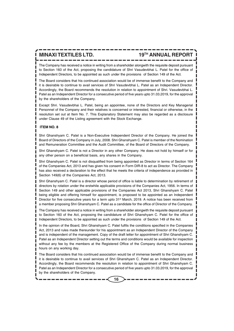The Company has received a notice in writing from a shareholder alongwith the requisite deposit pursuant to Section 160 of the Act, proposing the candidature of Shri Vasudevbhai L. Patel for the office of Independent Directors, to be appointed as such under the provisions of Section 149 of the Act.

The Board considers that his continued association would be of immense benefit to the Company and it is desirable to continue to avail services of Shri Vasudevbhai L. Patel as an Independent Director. Accordingly, the Board recommends the resolution in relation to appointment of Shri. Vasudevbhai L. Patel as an Independent Director for a consecutive period of five years upto 31.03.2019, for the approval by the shareholders of the Company.

Except Shri. Vasudevbhai L. Patel, being an appointee, none of the Directors and Key Managerial Personnel of the Company and their relatives is concerned or interested, financial or otherwise, in the resolution set out at Item No. 7. This Explanatory Statement may also be regarded as a disclosure under Clause 49 of the Listing agreement with the Stock Exchange.

#### **ITEM NO. 8**

Shri Ghanshyam C. Patel is a Non-Executive Independent Director of the Company. He joined the Board of Directors of the Company in July, 2008. Shri Ghanshyam C. Patel is member of the Nomination and Remuneration Committee and the Audit Committee, of the Board of Directors of the Company.

Shri Ghanshyam C. Patel is not a Director in any other Company. He does not hold by himself or for any other person on a beneficial basis, any shares in the Company.

Shri Ghanshyam C. Patel is not disqualified from being appointed as Director in terms of Section 164 of the Companies Act, 2013 and has given his consent in Form DIR-8 to act as Director. The Company has also received a declaration to the effect that he meets the criteria of independence as provided in Section 149(6) of the Companies Act, 2013.

Shri Ghanshyam C. Patel is a director whose period of office is liable to determination by retirement of directors by rotation under the erstwhile applicable provisions of the Companies Act, 1956. In terms of Section 149 and other applicable provisions of the Companies Act 2013, Shri Ghanshyam C. Patel being eligible and offering himself for appointment, is proposed to be appointed as an Independent Director for five consecutive years for a term upto 31<sup>st</sup> March, 2019. A notice has been received from a member proposing Shri Ghanshyam C. Patel as a candidate for the office of Director of the Company.

The Company has received a notice in writing from a shareholder alongwith the requisite deposit pursuant to Section 160 of the Act, proposing the candidature of Shri Ghanshyam C. Patel for the office of Independent Directors, to be appointed as such under the provisions of Section 149 of the Act.

In the opinion of the Board, Shri Ghanshyam C. Patel fulfils the conditions specified in the Companies Act, 2013 and rules made thereunder for his appointment as an Independent Director of the Company and is independent of the management. Copy of the draft letter for appointment of Shri Ghanshyam C. Patel as an Independent Director setting out the terms and conditions would be available for inspection without any fee by the members at the Registered Office of the Company during normal business hours on any working day.

The Board considers that his continued association would be of immense benefit to the Company and it is desirable to continue to avail services of Shri Ghanshyam C. Patel as an Independent Director. Accordingly, the Board recommends the resolution in relation to appointment of Shri Ghanshyam C. Patel as an Independent Director for a consecutive period of five years upto 31.03.2019, for the approval by the shareholders of the Company.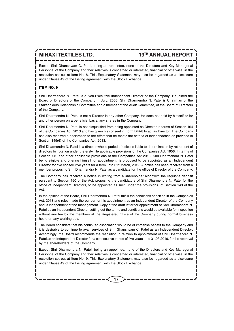Except Shri Ghanshyam C. Patel, being an appointee, none of the Directors and Key Managerial Personnel of the Company and their relatives is concerned or interested, financial or otherwise, in the resolution set out at Item No. 8. This Explanatory Statement may also be regarded as a disclosure under Clause 49 of the Listing agreement with the Stock Exchange.

#### **ITEM NO. 9**

Shri Dharmendra N. Patel is a Non-Executive Independent Director of the Company. He joined the Board of Directors of the Company in July, 2008. Shri Dharmendra N. Patel is Chairman of the Stakeholders Relationship Committee and a member of the Audit Committee, of the Board of Directors of the Company.

Shri Dharmendra N. Patel is not a Director in any other Company. He does not hold by himself or for any other person on a beneficial basis, any shares in the Company.

Shri Dharmendra N. Patel is not disqualified from being appointed as Director in terms of Section 164 of the Companies Act, 2013 and has given his consent in Form DIR-8 to act as Director. The Company has also received a declaration to the effect that he meets the criteria of independence as provided in Section 149(6) of the Companies Act, 2013.

Shri Dharmendra N. Patel is a director whose period of office is liable to determination by retirement of directors by rotation under the erstwhile applicable provisions of the Companies Act, 1956. In terms of Section 149 and other applicable provisions of the Companies Act 2013, Shri Dharmendra N. Patel being eligible and offering himself for appointment, is proposed to be appointed as an Independent Director for five consecutive years for a term upto 31<sup>st</sup> March, 2019. A notice has been received from a member proposing Shri Dharmendra N. Patel as a candidate for the office of Director of the Company.

The Company has received a notice in writing from a shareholder alongwith the requisite deposit pursuant to Section 160 of the Act, proposing the candidature of Shri Dharmendra N. Patel for the office of Independent Directors, to be appointed as such under the provisions of Section 149 of the Act.

In the opinion of the Board, Shri Dharmendra N. Patel fulfils the conditions specified in the Companies Act, 2013 and rules made thereunder for his appointment as an Independent Director of the Company and is independent of the management. Copy of the draft letter for appointment of Shri Dharmendra N. Patel as an Independent Director setting out the terms and conditions would be available for inspection without any fee by the members at the Registered Office of the Company during normal business hours on any working day.

The Board considers that his continued association would be of immense benefit to the Company and it is desirable to continue to avail services of Shri Ghanshyam C. Patel as an Independent Director. Accordingly, the Board recommends the resolution in relation to appointment of Shri Dharmendra N. Patel as an Independent Director for a consecutive period of five years upto 31.03.2019, for the approval by the shareholders of the Company.

Except Shri Dharmendra N. Patel, being an appointee, none of the Directors and Key Managerial Personnel of the Company and their relatives is concerned or interested, financial or otherwise, in the resolution set out at Item No. 9. This Explanatory Statement may also be regarded as a disclosure under Clause 49 of the Listing agreement with the Stock Exchange.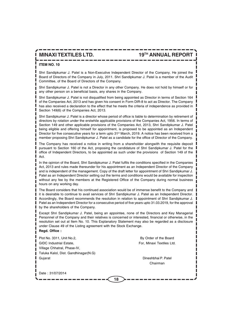### **ITEM NO. 10**

Shri Sandipkumar J. Patel is a Non-Executive Independent Director of the Company. He joined the Board of Directors of the Company in July, 2011. Shri Sandipkumar J. Patel is a member of the Audit Committee, of the Board of Directors of the Company.

Shri Sandipkumar J. Patel is not a Director in any other Company. He does not hold by himself or for any other person on a beneficial basis, any shares in the Company.

Shri Sandipkumar J. Patel is not disqualified from being appointed as Director in terms of Section 164 of the Companies Act, 2013 and has given his consent in Form DIR-8 to act as Director. The Company has also received a declaration to the effect that he meets the criteria of independence as provided in Section 149(6) of the Companies Act, 2013.

Shri Sandipkumar J. Patel is a director whose period of office is liable to determination by retirement of directors by rotation under the erstwhile applicable provisions of the Companies Act, 1956. In terms of Section 149 and other applicable provisions of the Companies Act, 2013, Shri Sandipkumar J. Patel being eligible and offering himself for appointment, is proposed to be appointed as an Independent Director for five consecutive years for a term upto 31<sup>st</sup> March, 2019. A notice has been received from a member proposing Shri Sandipkumar J. Patel as a candidate for the office of Director of the Company.

The Company has received a notice in writing from a shareholder alongwith the requisite deposit pursuant to Section 160 of the Act, proposing the candidature of Shri Sandipkumar J. Patel for the office of Independent Directors, to be appointed as such under the provisions of Section 149 of the Act.

In the opinion of the Board, Shri Sandipkumar J. Patel fulfils the conditions specified in the Companies Act, 2013 and rules made thereunder for his appointment as an Independent Director of the Company and is independent of the management. Copy of the draft letter for appointment of Shri Sandipkumar J. Patel as an Independent Director setting out the terms and conditions would be available for inspection without any fee by the members at the Registered Office of the Company during normal business hours on any working day.

The Board considers that his continued association would be of immense benefit to the Company and it is desirable to continue to avail services of Shri Sandipkumar J. Patel as an Independent Director. Accordingly, the Board recommends the resolution in relation to appointment of Shri Sandipkumar J. Patel as an Independent Director for a consecutive period of five years upto 31.03.2019, for the approval by the shareholders of the Company.

Except Shri Sandipkumar J. Patel, being an appointee, none of the Directors and Key Managerial Personnel of the Company and their relatives is concerned or interested, financial or otherwise, in the resolution set out at Item No. 10. This Explanatory Statement may also be regarded as a disclosure under Clause 49 of the Listing agreement with the Stock Exchange. **Regd. Office :**

| Plot No. 3311, Unit No.2,            | By Order of the Board     |
|--------------------------------------|---------------------------|
| <b>GIDC</b> Industrial Estate,       | For, Minaxi Textiles Ltd. |
| Village Chhatral, Phase-IV,          |                           |
| Taluka Kalol, Dist. Gandhinagar(N.G) |                           |
| Gujarat                              | Dineshbhai P. Patel       |
|                                      | Chairman                  |
|                                      |                           |
| Date: 31/07/2014                     |                           |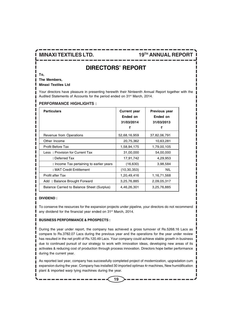### **DIRECTORS' REPORT**

**To,**

**The Members,**

**Minaxi Textiles Ltd**

Your directors have pleasure in presenting herewith their Ninteenth Annual Report together with the Audited Statements of Accounts for the period ended on 31<sup>st</sup> March, 2014.

#### **PERFORMANCE HIGHLIGHTS :**

| <b>Particulars</b>                         | <b>Current year</b><br>Ended on<br>31/03/2014<br>₹ | Previous year<br>Ended on<br>31/03/2013<br>₹ |
|--------------------------------------------|----------------------------------------------------|----------------------------------------------|
| Revenue from Operations                    | 52,68,16,959                                       | 37,82,06,791                                 |
| Other Income                               | 20,75,362                                          | 10,63,281                                    |
| Profit Before Tax                          | 1,58,94,175                                        | 1,79,00,105                                  |
| Less: Provision for Current Tax            | 31,00,000                                          | 54,00,000                                    |
| : Deferred Tax                             | 17,91,742                                          | 4,29,953                                     |
| : Income Tax pertaining to earlier years   | (16,630)                                           | 3,98,584                                     |
| : MAT Credit Entitlement                   | (10, 30, 353)                                      | <b>NIL</b>                                   |
| <b>Profit after Tax</b>                    | 1,20,49,416                                        | 1,16,71,568                                  |
| Add: Balance Brought Forward               | 3,25,76,885                                        | 2,09,05,317                                  |
| Balance Carried to Balance Sheet (Surplus) | 4,46,26,301                                        | 3,25,76,885                                  |

#### **DIVIDEND :**

To conserve the resources for the expansion projects under pipeline, your directors do not recommend any dividend for the financial year ended on 31<sup>st</sup> March, 2014.

#### **BUSINESS PERFORMANCE & PROSPECTS :**

During the year under report, the company has achieved a gross turnover of Rs.5268.16 Lacs as compare to Rs.3782.07 Lacs during the previous year and the operations for the year under review has resulted in the net profit of Rs.120.49 Lacs. Your company could achieve stable growth in business due to continued pursuit of our strategy to work with innovation ideas, developing new areas of its activates & reducing cost of production through process innovation. Directors hope better performance during the current year.

As reported last year, company has successfully completed project of modernization, upgradation cum expansion during the year. Company has installed 30 imported optimax 4r machines, New humidification plant & imported warp tying machines during the year.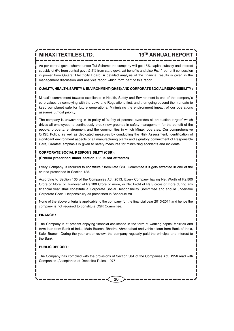As per central govt. scheme under Tuf Scheme the company will get 15% capital subsidy and interest subsidy of 6% from central govt. & 5% from state govt. vat benefits and also Rs.1/- per unit concession in power from Gujarat Electricity Board. A detailed analysis of the financial results is given in the management discussion and analysis report which form part of this report.

#### **QUALITY, HEALTH, SAFETY & ENVIRONMENT (QHSE) AND CORPORATE SOCIAL RESPONSIBILITY :**

Minaxi's commitment towards excellence in Health, Safety and Environment is one of the company's core values by complying with the Laws and Regulations first, and then going beyond the mandate to keep our planet safe for future generations. Minimizing the environment impact of our operations assumes utmost priority.

The company is unwavering in its policy of 'safety of persons overrides all production targets' which drives all employees to continuously break new grounds in safety management for the benefit of the people, property, environment and the communities in which Minaxi operates. Our comprehensive QHSE Policy, as well as dedicated measures by conducting the Risk Assessment, Identification of significant environment aspects of all manufacturing plants and signatory commitment of Responsible Care, Greatest emphasis is given to safety measures for minimizing accidents and incidents.

### **CORPORATE SOCIAL RESPONSIBILITY (CSR) : (Criteria prescribed under section 135 is not attracted)**

Every Company is required to constitute / formulate CSR Committee if it gets attracted in one of the criteria prescribed in Section 135.

According to Section 135 of the Companies Act, 2013, Every Company having Net Worth of Rs.500 Crore or More, or Turnover of Rs.100 Crore or more, or Net Profit of Rs.5 crore or more during any financial year shall constitute a Corporate Social Responsibility Committee and should undertake Corporate Social Responsibility as prescribed in Schedule VII.

None of the above criteria is applicable to the company for the financial year 2013-2014 and hence the company is not required to constitute CSR Committee.

#### **FINANCE :**

The Company is at present enjoying financial assistance in the form of working capital facilities and term loan from Bank of India, Main Branch, Bhadra, Ahmedabad and vehicle loan from Bank of India, Kalol Branch. During the year under review, the company regularly paid the principal and interest to the Bank.

#### **PUBLIC DEPOSIT :**

The Company has complied with the provisions of Section 58A of the Companies Act, 1956 read with Companies (Acceptance of Deposits) Rules, 1975.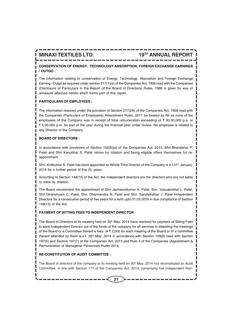### **CONSERVATION OF ENERGY, TECHNOLOGY ABSORPTION, FOREIGN EXCHANGE EARNINGS / OUTGO :**

The information relating to conservation of Energy, Technology, Absorption and Foreign Exchange Earning / Outgo as required under section 217(1)(e) of the Companies Act, 1956 read with the Companies (Disclosure of Particulars in the Report of the Board of Directors) Rules, 1988 is given by way of annexure attached hereto which forms part of this report.

#### **PARTICULARS OF EMPLOYEES :**

The information required under the provision of Section 217(2A) of the Companies Act, 1956 read with the Companies (Particulars of Employees) Amendment Rules, 2011 be treated as Nil as none of the employees of the Company was in receipt of total remuneration exceeding of  $\bar{\tau}$  60,00,000 p.a. or ₹ 5,00,000 p.m. for part of the year during the financial year under review. No employee is related to any Director of the Company.

#### **BOARD OF DIRECTORS :**

In accordance with provisions of Section 152(6)(a) of the Companies Act, 2013, Shri Bharatbhai P. Patel and Shri Kanubhai S. Patel retires by rotation and being eligible offers themselves for reappointment.

Shri. Kiritkumar S. Patel has been appointed as Whole Time Director of the Company w.e.f.01<sup>st</sup> January, 2014 for a further period of five (5) years.

According to Section 149(13) of the Act, the independent directors are the directors who are not liable to retire by rotation.

The Board recommend the appointment of Shri Jashwantkumar K. Patel, Shri. Vasudevbhai L. Patel, Shri Ghanshyam C. Patel, Shri. Dharmendra N. Patel and Shri. Sandipkumar J. Patel Independent Directors for a consecutive period of five years for a term upto 31.03.2019 in due compliance of Section 149(13) of the Act.

#### **PAYMENT OF SITTING FEES TO INDEPENDENT DIRECTOR :**

The Board of Directors at its meeting held on 30<sup>th</sup> May, 2014 have resolved for payment of Sitting Fees to each Independent Director out of the funds of the company for all services in attending the meetings of the Board or a Committee thereof a fees of  $\bar{\tau}$  2,000 for each meeting of the Board or of a committee thereof attended by them w.e.f.  $30<sup>th</sup>$  May, 2014 in accordance with Section 149(9) read with Section 197(5) and Section 197(7) of the Companies Act, 2013 and Rule 4 of the Companies (Appointment & Remuneration of Managerial Personnel) Rules 2014.

#### **RE-CONSTITUTION OF AUDIT COMMITTEE :**

The Board of directors of the company at its meeting held on  $30<sup>th</sup>$  May, 2014 has reconstituted an Audit Committee, in line with Section 177 of the Companies Act, 2013, comprising five independent Non-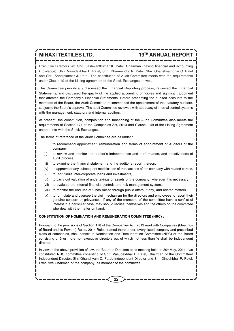Executive Directors viz. Shri. Jashwantkumar K. Patel, Chairman (having financial and accounting knowledge), Shri. Vasudevbhai L. Patel, Shri. Dharmendra N. Patel, Shri. Ghanshyambhai C. Patel and Shri. Sandipkumar J. Patel. The constitution of Audit Committee meets with the requirements under Clause 49 of the Listing agreement of the Stock Exchanges as well.

The Committee periodically discussed the Financial Reporting process, reviewed the Financial Statements, and discussed the quality of the applied accounting principles and significant judgment that affected the Company's Financial Statements. Before presenting the audited accounts to the members of the Board, the Audit Committee recommended the appointment of the statutory auditors, subject to the Board's approval. The audit Committee reviewed with adequacy of internal control systems with the management, statutory and internal auditors.

At present, the constitution, composition and functioning of the Audit Committee also meets the requirements of Section 177 of the Companies Act, 2013 and Clause – 49 of the Listing Agreement entered into with the Stock Exchanges.

The terms of reference of the Audit Committee are as under :

- (i) to recommend appointment, remuneration and terms of appointment of Auditors of the company.
- (ii) to review and monitor the auditor's independence and performance, and effectiveness of audit process,
- (iii) to examine the financial statement and the auditor's report thereon.
- (iv) to approve or any subsequent modification of transactions of the company with related parties.
- (v) to scrutinize inter-corporate loans and investments,
- (vi) to carry out valuation of undertakings or assets of the company, wherever it is necessary,
- (vii) to evaluate the internal financial controls and risk management systems.
- (viii) to monitor the end use of funds raised through public offers, if any, and related matters.
- (ix) to formulate and oversee the vigil mechanism for the directors and employees to report their genuine concern or grievances. If any of the members of the committee have a conflict of interest in a particular case, they should recuse themselves and the others on the committee who deal with the matter on hand.

#### **CONSTITUTION OF NOMINATION AND REMUNERATION COMMITTEE (NRC) :**

Pursuant to the provisions of Section 178 of the Companies Act, 2013 read with Companies (Meetings of Board and its Powers) Rules, 2014 Rules framed there under, every listed company and prescribed class of companies, shall constitute Nomination and Remuneration Committee (NRC) of the Board consisting of 3 or more non-executive directors out of which not less than ½ shall be independent director.

In view of the above provision of law, the Board of Directors at its meeting held on 30<sup>th</sup> May, 2014 has constituted NRC committee consisting of Shri. Vasudevbhai L. Patel, Chairman of the Committee/ Independent Director, Shri Ghanshyam C. Patel, Independent Director and Shri Dineshbhai P. Patel, Executive Chairman of the company, as member of the committee.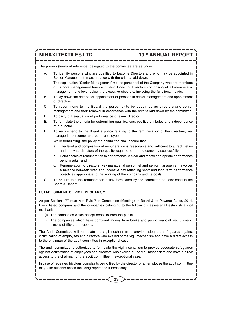The powers (terms of reference) delegated to the committee are as under :

- A. To identify persons who are qualified to become Directors and who may be appointed in Senior Management in accordance with the criteria laid down. The explanation "Senior Management" means personnel of the Company who are members of its core management team excluding Board of Directors comprising of all members of management one level below the executive directors, including the functional heads.
- B. To lay down the criteria for appointment of persons in senior management and appointment of directors.
- C. To recommend to the Board the person(s) to be appointed as directors and senior management and their removal in accordance with the criteria laid down by the committee.
- D. To carry out evaluation of performance of every director.
- E. To formulate the criteria for determining qualifications, positive attributes and independence of a director.
- F. To recommend to the Board a policy relating to the remuneration of the directors, key managerial personnel and other employees.

While formulating the policy the committee shall ensure that -

- a. The level and composition of remuneration is reasonable and sufficient to attract, retain and motivate directors of the quality required to run the company successfully.
- b. Relationship of remuneration to performance is clear and meets appropriate performance benchmarks, and
- c. Remuneration to directors, key managerial personnel and senior management involves a balance between fixed and incentive pay reflecting short and long term performance objectives appropriate to the working of the company and its goals.
- G. To ensure that the remuneration policy formulated by the committee be disclosed in the Board's Report.

#### **ESTABLISHMENT OF VIGIL MECHANISM**

As per Section 177 read with Rule 7 of Companies (Meetings of Board & its Powers) Rules, 2014, Every listed company and the companies belonging to the following classes shall establish a vigil mechanism :

- (i) The companies which accept deposits from the public.
- (ii) The companies which have borrowed money from banks and public financial institutions in excess of fifty crore rupees,

The Audit Committee will formulate the vigil mechanism to provide adequate safeguards against victimization of employees and directors who availed of the vigil mechanism and have a direct access to the chairman of the audit committee in exceptional case.

The audit committee is authorized to formulate the vigil mechanism to provide adequate safeguards against victimization of employees and directors who availed of the vigil mechanism and have a direct access to the chairman of the audit committee in exceptional case.

In case of repeated frivolous complaints being filed by the director or an employee the audit committee may take suitable action including reprimand if necessary.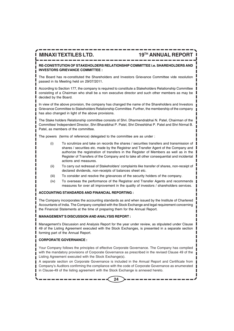**RE-CONSTITUTION OF STAKEHOLDERS RELATIONSHIP COMMITTEE i.e. SHAREHOLDERS AND INVESTORS GRIEVANCE COMMITTEE :**

The Board has re-constituted the Shareholders and Investors Grievance Committee vide resolution passed in its Meeting held on 29/07/2011.

According to Section 177, the company is required to constitute a Stakeholders Relationship Committee consisting of a Chairman who shall be a non executive director and such other members as may be decided by the Board.

In view of the above provision, the company has changed the name of the Shareholders and Investors Grievance Committee to Stakeholders Relationship Committee. Further, the membership of the company has also changed in light of the above provisions.

The Stake holders Relationship committee consists of Shri. Dharmendrabhai N. Patel, Chairman of the Committee/ Independent Director, Shri Bharatbhai P. Patel, Shri Dineshbhai P. Patel and Shri Nirmal B. Patel, as members of the committee.

The powers (terms of reference) delegated to the committee are as under :

- (i) To scrutinize and take on records the shares / securities transfers and transmission of shares / securities etc. made by the Registrar and Transfer Agent of the Company and authorize the registration of transfers in the Register of Members as well as in the Register of Transfers of the Company and to take all other consequential and incidental actions and measures.
- (ii) To carry out redressal of Stakeholders' complaints like transfer of shares, non-receipt of declared dividends, non-receipts of balances sheet etc.
- (iii) To consider and resolve the grievances of the security holders of the company.
- (iv) To overseas the performance of the Registrar and Transfer Agents and recommends measures for over all improvement in the quality of investors / shareholders services.

#### **ACCOUNTING STANDARDS AND FINANCIAL REPORTING :**

The Company incorporates the accounting standards as and when issued by the Institute of Chartered Accountants of India. The Company complied with the Stock Exchange and legal requirement concerning the Financial Statements at the time of preparing them for the Annual Report.

#### **MANAGEMENT'S DISCUSSION AND ANALYSIS REPORT :**

Management's Discussion and Analysis Report for the year under review, as stipulated under Clause 49 of the Listing Agreement executed with the Stock Exchanges, is presented in a separate section forming part of the Annual Report.

#### **CORPORATE GOVERNANCE :**

Your Company follows the principles of effective Corporate Governance. The Company has complied with the mandatory provisions of Corporate Governance as prescribed in the revised Clause 49 of the Listing Agreement executed with the Stock Exchange(s).

A separate section on Corporate Governance is included in the Annual Report and Certificate from Company's Auditors confirming the compliance with the code of Corporate Governance as enumerated in Clause-49 of the listing agreement with the Stock Exchange is annexed hereto.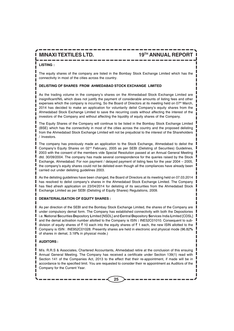#### **LISTING :**

The equity shares of the company are listed in the Bombay Stock Exchange Limited which has the connectivity in most of the cities across the country.

#### **DELISTING OF SHARES FROM AHMEDABAD STOCK EXCHANGE LIMITED**

As the trading volume in the company's shares on the Ahmedabad Stock Exchange Limited are insignificant/NIL which does not justify the payment of considerable amounts of listing fees and other expenses which the company is incurring, So the Board of Directors at its meeting held on 07<sup>th</sup> March, 2014 has decided to make an application for voluntarily delist Company's equity shares from the Ahmedabad Stock Exchange Limited to save the recurring costs without affecting the interest of the investors of the Company and without affecting the liquidity of equity shares of the Company.

The Equity Shares of the Company will continue to be listed in the Bombay Stock Exchange Limited (BSE) which has the connectivity in most of the cities across the country and the proposed delisting from the Ahmedabad Stock Exchange Limited will not be prejudicial to the interest of the Shareholders / Investors.

The company has previously made an application to the Stock Exchange, Ahmedabad to delist the Company's Equity Shares on 02nd February, 2005 as per SEBI (Delisting of Securities) Guidelines, 2003 with the consent of the members vide Special Resolution passed at an Annual General Meeting dtd. 30/09/2004. The company has made several correspondence for the queries raised by the Stock Exchange, Ahmedabad. For non payment / delayed payment of listing fees for the year 2004 – 2005, the company's equity shares could not be delisted even though all the compliances have already been carried out under delisting guidelines 2003.

As the delisting guidelines have been changed, the Board of Directors at its meeting held on 07.03.2014 has resolved to delist company's shares in the Ahmedabad Stock Exchange Limited. The Company has filed afresh application on 23/04/2014 for delisting of its securities from the Ahmedabad Stock Exchange Limited as per SEBI (Delisting of Equity Shares) Regulations, 2009.

#### **DEMATERIALISATION OF EQUITY SHARES :**

As per direction of the SEBI and the Bombay Stock Exchange Limited, the shares of the Company are under compulsory demat form. The Company has established connectivity with both the Depositories i.e. **N**ational **S**ecurities **D**epository **L**imited [NSDL] and **C**entral **D**epository **S**ervices India **L**imited [CDSL] and the demat activation number allotted to the Company is ISIN **:** INE52C01010. Consequent to subdivision of equity shares of  $\bar{\tau}$  10 each into the equity shares of  $\bar{\tau}$  1 each, the new ISIN allotted to the Company is ISIN : INE952C01028. Presently shares are held in electronic and physical mode (96.82**%** of shares in demat, 3.18**%** in physical mode.)

#### **AUDITORS :**

M/s. R.R.S & Associates, Chartered Accountants, Ahmedabad retire at the conclusion of this ensuing Annual General Meeting. The Company has received a certificate under Section 139(1) read with Section 141 of the Companies Act, 2013 to the effect that their re-appointment, if made will be in accordance to the specified limit. You are requested to consider their re appointment as Auditors of the Company for the Current Year.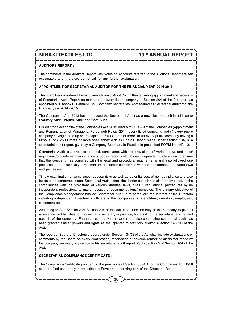#### **AUDITORS REPORT :**

The comments in the Auditors Report with Notes on Accounts referred to the Auditor's Report are self explanatory and, therefore do not call for any further explanation.

#### **APPOINTMENT OF SECRETARIAL AUDITOR FOR THE FINANCIAL YEAR 2014-2015**

The Board has considered the recommendation of Audit Committee regarding appointment and necessity of Secretarial Audit Report as mandate for every listed company in Section 204 of the Act, and has appointed M/s. Ashok P. Pathak & Co., Company Secretaries, Ahmedabad as Secretarial Auditor for the financial year 2014 -2015.

The Companies Act, 2013 has introduced the Secretarial Audit as a new class of audit in addition to Statutory Audit, Internal Audit and Cost Audit.

Pursuant to Section 204 of the Companies Act, 2013 read with Rule – 9 of the Companies (Appointment and Remuneration of Managerial Personnel) Rules, 2014, every listed company, and (i) every public company having a paid up share capital of  $\bar{\tau}$  50 Crores or more, or (ii) every public company having a turnover of  $\bar{\tau}$  250 Crores or more shall annex with its Boards Report made under section 134(3), a secretarial audit report, given by a Company Secretary in Practice in prescribed FORM No. MR - 3.

Secretarial Audit is a process to check compliance with the provisions of various laws and rules/ regulations/procedures, maintenance of books, records etc., by an independent professional to ensure that the company has complied with the legal and procedural requirements and also followed due processes. It is essentially a mechanism to monitor compliance with the requirements of stated laws and processes.

Timely examination of compliance reduces risks as well as potential cost of non-compliance and also builds better corporate image. Secretarial Audit establishes better compliance platform by checking the compliances with the provisions of various statutes, laws, rules & regulations, procedures by an independent professional to make necessary recommendations/ remedies. The primary objective of the Compliance Management backed Secretarial Audit is to safeguard the interest of the Directors including Independent Directors & officers of the companies, shareholders, creditors, employees, customers etc..

According to Sub-Section 2 of Section 204 of the Act, it shall be the duty of the company to give all assistance and facilities to the company secretary in practice, for auditing the secretarial and related records of the company. Further, a company secretary in practice conducting secretarial audit has been granted similar powers and rights as that granted to statutory auditor. (Section 143(14) of the Act).

The report of Board of Directors prepared under Section 134(3) of the Act shall include explanations or comments by the Board on every qualification, reservation or adverse remark or disclaimer made by the company secretary in practice in his secretarial audit report. (Sub-Section 3 of Section 204 of the Act).

#### **SECRETARIAL COMPLIANCE CERTIFICATE :**

The Compliance Certificate pursuant to the provisions of Section 383A(1) of the Companies Act, 1956 as to be filed separately in prescribed e-Form and is forming part of the Directors' Report.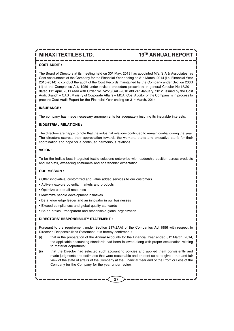#### **COST AUDIT :**

The Board of Directors at its meeting held on 30<sup>th</sup> May, 2013 has appointed M/s. S A & Associates, as Cost Accountants of the Company for the Financial Year ending on 31<sup>st</sup> March, 2014 (i.e. Financial Year 2013-2014) to conduct the audit of the Cost Records maintained by the Company under Section 233B (1) of the Companies Act, 1956 under revised procedure prescribed in general Circular No.15/2011 dated 11<sup>th</sup> April, 2011 read with Order No. 52/26/CAB-2010 dtd.24<sup>th</sup> January, 2012 issued by the Cost Audit Branch – CAB , Ministry of Corporate Affairs – MCA. Cost Auditor of the Company is in process to prepare Cost Audit Report for the Financial Year ending on 31<sup>st</sup> March, 2014.

#### **INSURANCE :**

The company has made necessary arrangements for adequately insuring its insurable interests.

#### **INDUSTRIAL RELATIONS :**

The directors are happy to note that the industrial relations continued to remain cordial during the year. The directors express their appreciation towards the workers, staffs and executive staffs for their coordination and hope for a continued harmonious relations.

#### **VISION :**

To be the India's best integrated textile solutions enterprise with leadership position across products and markets, exceeding costumers and shareholder expectation.

#### **OUR MISSION :**

- Offer innovative, customized and value added services to our customers
- Actively explore potential markets and products
- Optimize use of all resources
- Maximize people development initiatives
- Be a knowledge leader and an innovator in our businesses
- Exceed compliances and global quality standards
- Be an ethical, transparent and responsible global organization

#### **DIRECTORS' RESPONSIBILITY STATEMENT :**

Pursuant to the requirement under Section 217(2AA) of the Companies Act,1956 with respect to Director's Responsibilities Statement, it is hereby confirmed **:**

- (i) that in the preparation of the Annual Accounts for the Financial Year ended  $31^{st}$  March, 2014, the applicable accounting standards had been followed along with proper explanation relating to material departures;
- (ii) that the Director had selected such accounting policies and applied them consistently and made judgments and estimates that were reasonable and prudent so as to give a true and fair view of the state of affairs of the Company at the Financial Year and of the Profit or Loss of the Company for the Company for the year under review;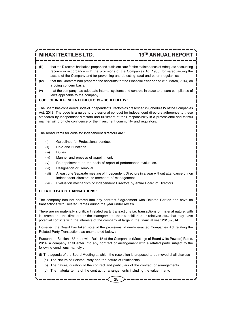- (iii) that the Directors had taken proper and sufficient care for the maintenance of Adequate accounting records in accordance with the provisions of the Companies Act 1956, for safeguarding the assets of the Company and for preventing and detecting fraud and other irregularities;
- (iv) that the Directors had prepared the accounts for the Financial Year ended  $31<sup>st</sup>$  March, 2014, on a going concern basis.
- (v) that the company has adequate internal systems and controls in place to ensure compliance of laws applicable to the company.

#### **CODE OF INDEPENDENT DIRECTORS – SCHEDULE IV :**

The Board has considered Code of Independent Directors as prescribed in Schedule IV of the Companies Act, 2013. The code is a guide to professional conduct for independent directors adherence to these standards by independent directors and fulfillment of their responsibility in a professional and faithful manner will promote confidence of the investment community and regulators.

The broad items for code for independent directors are :

- (i) Guidelines for Professional conduct.
- (ii) Role and Functions.
- (iii) Duties
- (iv) Manner and process of appointment.
- (v) Re-appointment on the basis of report of performance evaluation.
- (vi) Resignation or Removal.
- (vii) Atleast one Separate meeting of Independent Directors in a year without attendance of non independent directors or members of management.
- (viii) Evaluation mechanism of Independent Directors by entire Board of Directors.

#### **RELATED PARTY TRANSACTIONS :**

The company has not entered into any contract / agreement with Related Parties and have no transactions with Related Parties during the year under review.

There are no materially significant related party transactions i.e. transactions of material nature, with its promoters, the directors or the management, their subsidiaries or relatives etc., that may have potential conflicts with the interests of the company at large in the financial year 2013-2014.

However, the Board has taken note of the provisions of newly enacted Companies Act relating the Related Party Transactions as enumerated below :

Pursuant to Section 188 read with Rule 15 of the Companies (Meetings of Board & its Powers) Rules, 2014, a company shall enter into any contract or arrangement with a related party subject to the following conditions, namely :

(i) The agenda of the Board Meeting at which the resolution is proposed to be moved shall disclose –

- (a) The Nature of Related Party and the nature of relationship.
- (b) The nature, duration of the contract and particulars of the contract or arrangements.
- (c) The material terms of the contract or arrangements including the value, if any.

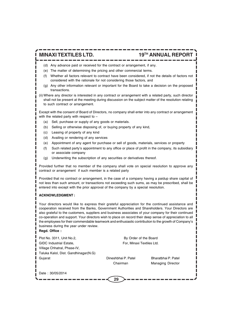- (d) Any advance paid or received for the contract or arrangement, if any.
- (e) The matter of determining the pricing and other commercial terms.
- (f) Whether all factors relevant to contract have been considered, if not the details of factors not considered with the rationale for not considering those factors, and
- (g) Any other information relevant or important for the Board to take a decision on the proposed transactions.
- (ii) Where any director is interested in any contract or arrangement with a related party, such director shall not be present at the meeting during discussion on the subject matter of the resolution relating to such contract or arrangement.

Except with the consent of Board of Directors, no company shall enter into any contract or arrangement with the related party with respect to –

- (a) Sell, purchase or supply of any goods or materials.
- (b) Selling or otherwise disposing of, or buying property of any kind,
- (c) Leasing of property of any kind
- (d) Availing or rendering of any services
- (e) Appointment of any agent for purchase or sell of goods, materials, services or property
- (f) Such related party's appointment to any office or place of profit in the company, its subsidiary or associate company
- (g) Underwriting the subscription of any securities or derivatives thereof.

Provided further that no member of the company shall vote on special resolution to approve any contract or arrangement if such member is a related party

Provided that no contract or arrangement, in the case of a company having a paidup share capital of not less than such amount, or transactions not exceeding such sums, as may be prescribed, shall be entered into except with the prior approval of the company by a special resolution.

#### **ACKNOWLEDGMENT :**

Your directors would like to express their grateful appreciation for the continued assistance and cooperation received from the Banks, Government Authorities and Shareholders. Your Directors are also grateful to the customers, suppliers and business associates of your company for their continued co-operation and support. Your directors wish to place on record their deep sense of appreciation to all the employees for their commendable teamwork and enthusiastic contribution to the growth of Company's business during the year under review.

#### **Regd. Office :**

| Plot No. 3311, Unit No.2,<br><b>GIDC</b> Industrial Estate,<br>Village Chhatral, Phase-IV, | By Order of the Board<br>For, Minaxi Textiles Ltd. |                          |
|--------------------------------------------------------------------------------------------|----------------------------------------------------|--------------------------|
| Taluka Kalol, Dist. Gandhinagar(N.G)                                                       |                                                    |                          |
| Gujarat                                                                                    | Dineshbhai P. Patel                                | Bharatbhai P. Patel      |
|                                                                                            | Chairman                                           | <b>Managing Director</b> |
| Date: 30/05/2014                                                                           | 29                                                 |                          |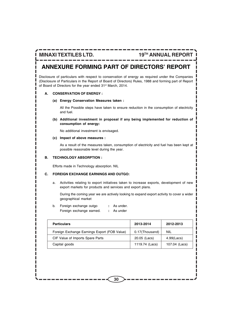## **ANNEXURE FORMING PART OF DIRECTORS' REPORT**

Disclosure of particulars with respect to conservation of energy as required under the Companies (Disclosure of Particulars in the Report of Board of Directors) Rules, 1988 and forming part of Report of Board of Directors for the year ended 31<sup>st</sup> March, 2014.

#### **A. CONSERVATION OF ENERGY :**

**(a) Energy Conservation Measures taken :**

All the Possible steps have taken to ensure reduction in the consumption of electricity and fuel.

**(b) Additional investment in proposal if any being implemented for reduction of consumption of energy:**

No additional investment is envisaged.

#### **(c) Impact of above measures :**

As a result of the measures taken, consumption of electricity and fuel has been kept at possible reasonable level during the year.

#### **B. TECHNOLOGY ABSORPTION :**

Efforts made in Technology absorption. NIL

#### **C. FOREIGN EXCHANGE EARNINGS AND OUTGO:**

a. Activities relating to export initiatives taken to increase exports, development of new export markets for products and services and export plans.

During the coming year we are actively looking to expand export activity to cover a wider geographical market

b. Foreign exchange outgo **:** As under. Foreign exchange earned. **:** As under

| <b>Particulars</b>                           | 2013-2014      | 2012-2013     |
|----------------------------------------------|----------------|---------------|
| Foreign Exchange Earnings Export (FOB Value) | 0.17(Thousand) | NIL           |
| CIF Value of Imports Spare Parts             | 20.05 (Lacs)   | $4.99$ (Lacs) |
| Capital goods                                | 1119.74 (Lacs) | 107.04 (Lacs) |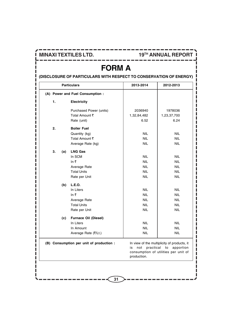П

**MINAXI TEXTILES LTD. 19TH ANNUAL REPORT**

## **FORM A**

**(DISCLOSURE OF PARTICULARS WITH RESPECT TO CONSERVATION OF ENERGY)**

|           | <b>Particulars</b>                       | 2013-2014                             | 2012-2013                                                                                              |
|-----------|------------------------------------------|---------------------------------------|--------------------------------------------------------------------------------------------------------|
|           | (A) Power and Fuel Consumption :         |                                       |                                                                                                        |
| 1.        | <b>Electricity</b>                       |                                       |                                                                                                        |
|           | Purchased Power (units)                  | 2036940                               | 1978036                                                                                                |
|           | Total Amount ₹                           | 1,32,84,482                           | 1,23,37,700                                                                                            |
|           | Rate (unit)                              | 6.52                                  | 6.24                                                                                                   |
| 2.        | <b>Boiler Fuel</b>                       |                                       |                                                                                                        |
|           | Quantity (kg)                            | <b>NIL</b>                            | <b>NIL</b>                                                                                             |
|           | Total Amount ₹                           | <b>NIL</b>                            | <b>NIL</b>                                                                                             |
|           | Average Rate (kg)                        | <b>NIL</b>                            | <b>NIL</b>                                                                                             |
| 3.<br>(a) | <b>LNG Gas</b>                           |                                       |                                                                                                        |
|           | In SCM                                   | <b>NIL</b>                            | <b>NIL</b>                                                                                             |
|           | In $\overline{\tau}$                     | <b>NIL</b>                            | <b>NIL</b>                                                                                             |
|           | Average Rate                             | <b>NIL</b>                            | <b>NIL</b>                                                                                             |
|           | <b>Total Units</b>                       | <b>NIL</b>                            | <b>NIL</b>                                                                                             |
|           | Rate per Unit                            | <b>NIL</b>                            | <b>NIL</b>                                                                                             |
| (b)       | L.E.O.                                   |                                       |                                                                                                        |
|           | In Liters                                | <b>NIL</b>                            | <b>NIL</b>                                                                                             |
|           | In ₹                                     | <b>NIL</b>                            | <b>NIL</b>                                                                                             |
|           | Average Rate                             | <b>NIL</b>                            | <b>NIL</b>                                                                                             |
|           | <b>Total Units</b>                       | <b>NIL</b>                            | <b>NIL</b>                                                                                             |
|           | Rate per Unit                            | <b>NIL</b>                            | <b>NIL</b>                                                                                             |
| (c)       | Furnace Oil (Diesel)                     |                                       |                                                                                                        |
|           | In Liters                                | <b>NIL</b>                            | <b>NIL</b>                                                                                             |
|           | In Amount                                | <b>NIL</b>                            | <b>NIL</b>                                                                                             |
|           | Average Rate (₹/Lt.)                     | <b>NIL</b>                            | <b>NIL</b>                                                                                             |
|           | (B) Consumption per unit of production : | practical<br>is<br>not<br>production. | In view of the multiplicity of products, it<br>to<br>apportion<br>consumption of utilities per unit of |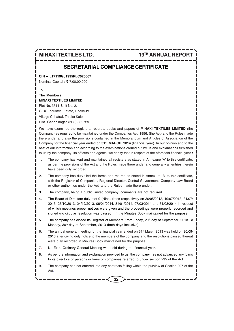### **SECRETARIAL COMPLIANCE CERTIFICATE**

#### **CIN – L17119GJ1995PLC025007**

**Nominal Capital : ₹ 7,00,00,000** 

To,

#### **The Members MINAXI TEXTILES LIMITED**

Plot No. 3311, Unit No. 2, GIDC Industrial Estate, Phase-IV Village Chhatral, Taluka Kalol Dist. Gandhinagar (N.G)-382729

We have examined the registers, records, books and papers of **MINAXI TEXTILES LIMITED** (the Company) as required to be maintained under the Companies Act, 1956, (the Act) and the Rules made there under and also the provisions contained in the Memorandum and Articles of Association of the Company for the financial year ended on **31ST MARCH, 2014** (financial year). In our opinion and to the best of our information and according to the examinations carried out by us and explanations furnished to us by the company, its officers and agents, we certify that in respect of the aforesaid financial year **:**

- 1. The company has kept and maintained all registers as stated in Annexure 'A' to this certificate, as per the provisions of the Act and the Rules made there under and generally all entries therein have been duly recorded.
- 2. The company has duly filed the forms and returns as stated in Annexure 'B' to this certificate, with the Registrar of Companies, Regional Director, Central Government, Company Law Board or other authorities under the Act, and the Rules made there under.
- 3. The company, being a public limited company, comments are not required.
- 4. The Board of Directors duly met 9 (Nine) times respectively on 30/05/2013, 19/07/2013, 31/07/ 2013, 26/10/2013, 24/12/2013, 06/01/2014, 31/01/2014, 07/03/2014 and 31/03/2014 in respect of which meetings proper notices were given and the proceedings were properly recorded and signed (no circular resolution was passed), in the Minutes Book maintained for the purpose.
- 5. The company has closed its Register of Members **F**rom Friday, 20th day of September, 2013 **T**o Monday, 30<sup>th</sup> day of September, 2013 (both days inclusive).
- 6. The annual general meeting for the financial year ended on  $31$ <sup>st</sup> March 2013 was held on 30/09/ 2013 after giving duly notice to the members of the company and the resolutions passed thereat were duly recorded in Minutes Book maintained for the purpose.
- 7. No Extra Ordinary General Meeting was held during the financial year.
- 8. As per the information and explanation provided to us, the company has not advanced any loans to its directors or persons or firms or companies referred to under section 295 of the Act.
- 9. The company has not entered into any contracts falling within the purview of Section 297 of the Act.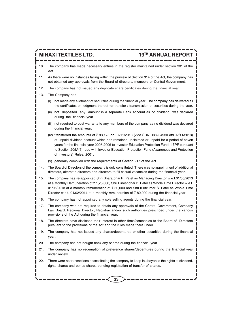- 10. The company has made necessary entries in the register maintained under section 301 of the Act.
- 11. As there were no instances falling within the purview of Section 314 of the Act, the company has not obtained any approvals from the Board of directors, members or Central Government.
- 12. The company has not issued any duplicate share certificates during the financial year.
- 13. The Company has **:**
	- (i) not made any allotment of securities during the financial year. The company has delivered all the certificates on lodgment thereof for transfer / transmission of securities during the year.
	- (ii) not deposited any amount in a separate Bank Account as no dividend was declared during the financial year.
	- (iii) not required to post warrants to any members of the company as no dividend was declared during the financial year.
	- (iv) transferred the amounts of  $\bar{\tau}$  93,175 on 07/11/2013 (vide SRN B88284930 dtd.02/11/2013) of unpaid dividend account which has remained unclaimed or unpaid for a period of seven years for the financial year 2005-2006 to Investor Education Protection Fund - IEPF pursuant to Section 205A(5) read with Investor Education Protection Fund (Awareness and Protection of Investors) Rules, 2001.
	- (v) generally complied with the requirements of Section 217 of the Act.
- 14. The Board of Directors of the company is duly constituted. There was no appointment of additional directors, alternate directors and directors to fill casual vacancies during the financial year.
- 15. The company has re-appointed Shri Bharatbhai P. Patel as Managing Director w.e.f.01/06/2013 at a Monthly Remuneration of ` 1,25,000, Shri Dineshbhai P. Patel as Whole Time Director w.e.f. 01/06/2013 at a monthly remuneration of  $\bar{\tau}$  80,000 and Shri Kiritkumar S. Patel as Whole Time Director w.e.f. 01/02/2014 at a monthly remuneration of  $\bar{\tau}$  80,000 during the financial year.
- 16. The company has not appointed any sole selling agents during the financial year.
- 17. The company was not required to obtain any approvals of the Central Government, Company Law Board, Regional Director, Registrar and/or such authorities prescribed under the various provisions of the Act during the financial year.
- 18. The directors have disclosed their interest in other firms/companies to the Board of Directors pursuant to the provisions of the Act and the rules made there under.
- 19. The company has not issued any shares/debentures or other securities during the financial year.
- 20. The company has not bought back any shares during the financial year.
- 21. The company has no redemption of preference shares/debentures during the financial year under review.
- 22. There were no transactions necessitating the company to keep in abeyance the rights to dividend, rights shares and bonus shares pending registration of transfer of shares.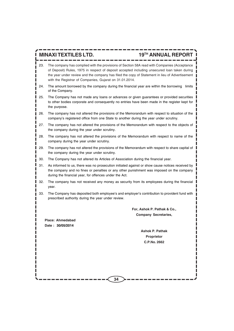- 23. The company has complied with the provisions of Section 58A read with Companies (Acceptance of Deposit) Rules, 1975 in respect of deposit accepted including unsecured loan taken during the year under review and the company has filed the copy of Statement in lieu of Advertisement with the Registrar of Companies, Gujarat on 31.01.2014.
- 24. The amount borrowed by the company during the financial year are within the borrowing limits of the Company.
- 25. The Company has not made any loans or advances or given guarantees or provided securities to other bodies corporate and consequently no entries have been made in the register kept for the purpose.
- 26. The company has not altered the provisions of the Memorandum with respect to situation of the company's registered office from one State to another during the year under scrutiny.
- 27. The company has not altered the provisions of the Memorandum with respect to the objects of the company during the year under scrutiny.
- 28. The company has not altered the provisions of the Memorandum with respect to name of the company during the year under scrutiny.
- 29. The company has not altered the provisions of the Memorandum with respect to share capital of the company during the year under scrutiny.
- 30. The Company has not altered its Articles of Association during the financial year.
- 31. As informed to us, there was no prosecution initiated against or show cause notices received by the company and no fines or penalties or any other punishment was imposed on the company during the financial year, for offences under the Act.
- 32. The company has not received any money as security from its employees during the financial year.
- 33. The Company has deposited both employee's and employer's contribution to provident fund with prescribed authority during the year under review.

**For, Ashok P. Pathak & Co., Company Secretaries,**

**Place: Ahmedabad Date : 30/05/2014**

> **Ashok P. Pathak Proprietor C.P.No. 2662**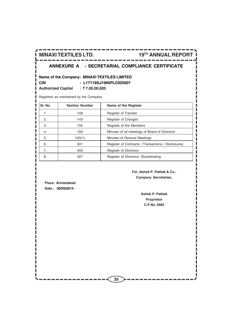### **ANNEXURE A - SECRETARIAL COMPLIANCE CERTIFICATE**

### **Name of the Company: MINAXI TEXTILES LIMITED**

**CIN : L17119GJ1995PLC025007**

**Authorized Capital :** ` **7,00,00,000**

Registers as maintained by the Company

| Sr. No. | <b>Section Number</b> | Name of the Register                               |
|---------|-----------------------|----------------------------------------------------|
| 1.      | 108                   | Register of Transfer                               |
| 2.      | 143                   | Register of Charges                                |
| 3.      | 150                   | Register of the Members                            |
| 4.      | 193                   | Minutes of all meetings of Board of Directors      |
| 5.      | 193(1)                | Minutes of General Meetings                        |
| 6.      | 301                   | Register of Contracts / Transactions / Disclosures |
| 7.      | 303                   | <b>Register of Directors</b>                       |
| 8.      | 307                   | Register of Directors' Shareholding                |

### **For, Ashok P. Pathak & Co., Company Secretaries,**

**Place: Ahmedabad Date : 30/05/2014**

> **Ashok P. Pathak Proprietor C.P.No. 2662**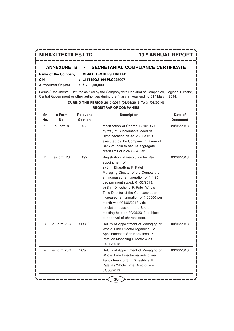## **ANNEXURE B - SECRETARIAL COMPLIANCE CERTIFICATE**

|          | Name of the Company : MINAXI TEXTILES LIMITED |
|----------|-----------------------------------------------|
| $\ $ CIN | : L17119GJ1995PLC025007                       |

**■** Authorized Capital : ₹ 7,00,00,000

Forms / Documents / Returns as filed by the Company with Registrar of Companies, Regional Director, Central Government or other authorities during the financial year ending 31<sup>st</sup> March, 2014.

**DURING THE PERIOD 2013-2014 (01/04/2013 To 31/03/2014)**

| Sr.<br>No. | e-Form<br>No. | Relevant<br><b>Section</b> | <b>Description</b>                                                                                                                                                                                                                                                                                                                                                                                                                                                              | Date of<br><b>Document</b> |
|------------|---------------|----------------------------|---------------------------------------------------------------------------------------------------------------------------------------------------------------------------------------------------------------------------------------------------------------------------------------------------------------------------------------------------------------------------------------------------------------------------------------------------------------------------------|----------------------------|
| 1.         | e-Form 8      | 135                        | Modification of Charge ID-10135006<br>by way of Supplemental deed of<br>Hypothecation dated 25/03/2013<br>executed by the Company in favour of<br>Bank of India to secure aggregate<br>credit limit of ₹ 2435.84 Lac.                                                                                                                                                                                                                                                           | 23/05/2013                 |
| 2.         | e-Form 23     | 192                        | Registration of Resolution for Re-<br>appointment of<br>a) Shri. Bharatbhai P. Patel,<br>Managing Director of the Company at<br>an increased remuneration of $\bar{\tau}$ 1.25<br>Lac per month w.e.f. 01/06/2013,<br>b) Shri. Dineshbhai P. Patel, Whole<br>Time Director of the Company at an<br>increased remuneration of ₹80000 per<br>month w.e.f.01/06/2013 vide<br>resolution passed in the Board<br>meeting held on 30/05/2013, subject<br>to approval of shareholders. | 03/06/2013                 |
| 3.         | e-Form 25C    | 269(2)                     | Return of Appointment of Managing or<br>Whole Time Director regarding Re-<br>Appointment of Shri Bharatbhai P.<br>Patel as Managing Director w.e.f.<br>01/06/2013.                                                                                                                                                                                                                                                                                                              | 03/06/2013                 |
| 4.         | e-Form 25C    | 269(2)                     | Return of Appointment of Managing or<br>Whole Time Director regarding Re-<br>Appointment of Shri Dineshbhai P.<br>Patel as Whole Time Director w.e.f.<br>01/06/2013.                                                                                                                                                                                                                                                                                                            | 03/06/2013                 |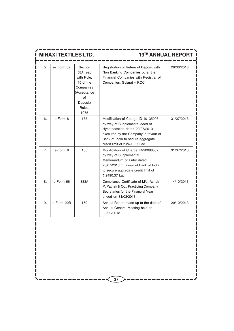|                | <b>MINAXI TEXTILES LTD.</b> |                                                                                                                |                                                                                                                                                                                                                       | <b>19TH ANNUAL REPORT</b> |
|----------------|-----------------------------|----------------------------------------------------------------------------------------------------------------|-----------------------------------------------------------------------------------------------------------------------------------------------------------------------------------------------------------------------|---------------------------|
| 5.             | $e$ - Form $62$             | Section<br>58A read<br>with Rule.<br>10 of the<br>Companies<br>(Acceptance<br>of<br>Deposit)<br>Rules,<br>1975 | Registration of Return of Deposit with<br>Non Banking Companies other than<br>Financial Companies with Registrar of<br>Companies, Gujarat - ROC                                                                       | 28/06/2013                |
| 6.             | e-Form 8                    | 135                                                                                                            | Modification of Charge ID-10135006<br>by way of Supplemental deed of<br>Hypothecation dated 20/07/2013<br>executed by the Company in favour of<br>Bank of India to secure aggregate<br>credit limit of ₹ 2490.37 Lac. | 31/07/2013                |
| 7 <sub>1</sub> | e-Form 8                    | 135                                                                                                            | Modification of Charge ID-90096567<br>by way of Supplemental<br>Memorandum of Entry dated<br>20/07/2013 in favour of Bank of India<br>to secure aggregate credit limit of<br>₹ 2490.37 Lac.                           | 31/07/2013                |
| 8.             | e-Form 66                   | 383A                                                                                                           | Compliance Certificate of M/s. Ashok<br>P. Pathak & Co., Practicing Company<br>Secretaries for the Financial Year<br>ended on 31/03/2013.                                                                             | 14/10/2013                |
| 9.             | e-Form 20B                  | 159                                                                                                            | Annual Return made up to the date of<br>Annual General Meeting held on<br>30/09/2013.                                                                                                                                 | 20/10/2013                |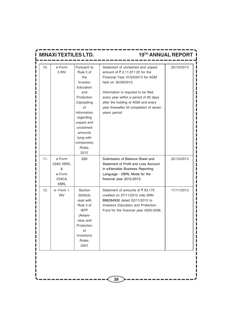| <b>NAXI TEXTILES LTD.</b> |                                                            |                                                                                                                                                                                                                   | 19TH ANNUAL REPORT                                                                                                                                                                                                                                                                                                 |            |  |
|---------------------------|------------------------------------------------------------|-------------------------------------------------------------------------------------------------------------------------------------------------------------------------------------------------------------------|--------------------------------------------------------------------------------------------------------------------------------------------------------------------------------------------------------------------------------------------------------------------------------------------------------------------|------------|--|
| 10.                       | e-Form<br>5 INV                                            | Pursuant to<br>Rule 3 of<br>the<br>Investor<br>Education<br>and<br>Protection<br>(Uploading<br>of<br>information<br>regarding<br>unpaid and<br>unclaimed<br>amounts<br>lying with<br>companies)<br>Rules,<br>2012 | Statement of unclaimed and unpaid<br>amount of ₹ 2,11,911.22 for the<br>Financial Year 31/03/2013 for AGM<br>held on 30/09/2013.<br>Information is required to be filed<br>every year within a period of 90 days<br>after the holding of AGM and every<br>year thereafter till completion of seven<br>years period | 20/10/2013 |  |
| 11.                       | e-Form<br>23AC XBRL<br>&<br>e-Form<br>23ACA<br><b>XBRL</b> | 220                                                                                                                                                                                                               | Submission of Balance Sheet and<br>Statement of Profit and Loss Account<br>in eXtensible Business Reporting<br>Language - XBRL Mode for the<br>financial year 2012-2013.                                                                                                                                           | 22/10/2013 |  |
| 12.                       | e-Form 1<br><b>INV</b>                                     | Section<br>205A(5)<br>read with<br>Rule 3 of<br><b>IEPF</b><br>(Aware-<br>ness and<br>Protection<br>of<br>Investors)<br>Rules,<br>2001                                                                            | Statement of amounts of ₹93,175<br>credited on 07/11/2013 vide SRN<br>B88284930 dated 02/11/2013 to<br>Investors Education and Protection<br>Fund for the financial year 2005-2006.                                                                                                                                | 11/11/2013 |  |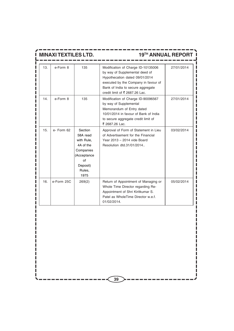| <b>MINAXI TEXTILES LTD.</b> |            |                                                                                                                |                                                                                                                                                                                                                       | 19TH ANNUAL REPORT |
|-----------------------------|------------|----------------------------------------------------------------------------------------------------------------|-----------------------------------------------------------------------------------------------------------------------------------------------------------------------------------------------------------------------|--------------------|
| 13.                         | e-Form 8   | 135                                                                                                            | Modification of Charge ID-10135006<br>by way of Supplemental deed of<br>Hypothecation dated 09/01/2014<br>executed by the Company in favour of<br>Bank of India to secure aggregate<br>credit limit of ₹ 2687.26 Lac. | 27/01/2014         |
| 14.                         | e-Form 8   | 135                                                                                                            | Modification of Charge ID-90096567<br>by way of Supplemental<br>Memorandum of Entry dated<br>10/01/2014 in favour of Bank of India<br>to secure aggregate credit limit of<br>₹ 2687.26 Lac.                           | 27/01/2014         |
| 15.                         | e- Form 62 | Section<br>58A read<br>with Rule,<br>4A of the<br>Companies<br>(Acceptance<br>Ωf<br>Deposit)<br>Rules,<br>1975 | Approval of Form of Statement in Lieu<br>of Advertisement for the Financial<br>Year 2013 - 2014 vide Board<br>Resolution dtd.31/01/2014                                                                               | 03/02/2014         |
| 16.                         | e-Form 25C | 269(2)                                                                                                         | Return of Appointment of Managing or<br>Whole Time Director regarding Re-<br>Appointment of Shri Kiritkumar S.<br>Patel as WholeTime Director w.e.f.<br>01/02/2014.                                                   | 05/02/2014         |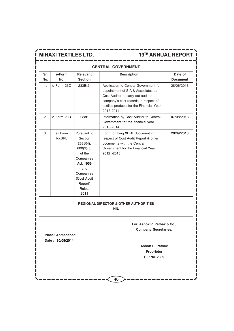## **CENTRAL GOVERNMENT** Sr. e-Form Relevant **Description** Date of **No. No. Section Document** 1.  $|e-$ Form 23C  $|$  233B(2)  $|$  Application to Central Government for  $|$  28/06/2013 appointment of S A & Associates as Cost Auditor to carry out audit of company's cost records in respect of textiles products for the Financial Year 2013-2014. 2. e-Form 23D 233B | Information by Cost Auditor to Central | 07/08/2013 Government for the financial year 2013-2014. 3. e- Form Pursuant to Form for filing XBRL document in 26/09/2013 I-XBRL | Section | respect of Cost Audit Report & other  $233B(4)$ ,  $\bigcup$  documents with the Central 600(3)(b) Government for the Financial Year of the 2012 -2013. Companies Act, 1956 and Companies (Cost Audit Report) Rules, 2011

## **REGIONAL DIRECTOR & OTHER AUTHORITIES**

**NIL**

**For, Ashok P. Pathak & Co., Company Secretaries,**

**Place: Ahmedabad Date : 30/05/2014**

> **Ashok P. Pathak Proprietor C.P.No. 2662**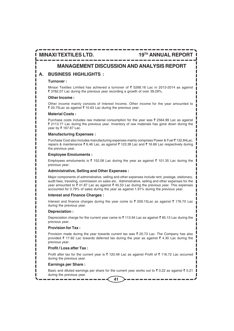**MINAXI TEXTILES LTD. 19TH ANNUAL REPORT**

## **MANAGEMENT DISCUSSION AND ANALYSIS REPORT**

## **A. BUSINESS HIGHLIGHTS :**

#### **Turnover :**

Minaxi Textiles Limited has achieved a turnover of  $\bar{\tau}$  5268.16 Lac in 2013-2014 as against ` 3782.07 Lac during the previous year recording a growth of over 39.29%.

#### **Other Income :**

Other income mainly consists of Interest Income. Other income for the year amounted to ₹ 20.75Lac as against ₹ 10.63 Lac during the previous year.

#### **Material Costs :**

Purchase costs includes raw material consumption for the year was  $\bar{\tau}$  2564.99 Lac as against  $\bar{\tau}$  2113.77 Lac during the previous year. Inventory of raw materials has gone down during the year by ₹ 167.87 Lac.

#### **Manufacturing Expenses :**

Purchase Cost also includes manufacturing expenses mainly comprises Power & Fuel ₹132.84Lac, repairs & maintenance  $\bar{\xi}$  6.46 Lac, as against  $\bar{\xi}$  123.38 Lac and  $\bar{\xi}$  16.66 Lac respectively during the previous year.

#### **Employee Emoluments :**

Employees emoluments is  $\bar{\tau}$  152.08 Lac during the year as against  $\bar{\tau}$  101.35 Lac during the previous year.

### **Administrative, Selling and Other Expenses :**

Major components of administrative, selling and other expenses include rent, postage, stationary, audit fees, traveling, commission on sales etc. Administrative, selling and other expenses for the year amounted to  $\bar{\tau}$  41.87 Lac as against  $\bar{\tau}$  45.53 Lac during the previous year. This expenses accounted for 0.79% of sales during the year as against 1.91% during the previous year.

### **Interest and Finance Charges :**

Interest and finance charges during the year come to  $\bar{\tau}$  209.15Lac as against  $\bar{\tau}$  176.70 Lac during the previous year.

#### **Depreciation :**

Depreciation charge for the current year came to  $\bar{\tau}$  113.94 Lac as against  $\bar{\tau}$  85.13 Lac during the previous year.

#### **Provision for Tax :**

Provision made during the year towards current tax was  $\bar{\xi}$  20.73 Lac. The Company has also provided  $\bar{\tau}$  17.92 Lac towards deferred tax during the year as against  $\bar{\tau}$  4.30 Lac during the previous year.

### **Profit / Loss after Tax :**

Profit after tax for the current year is  $\bar{\tau}$  120.49 Lac as against Profit of  $\bar{\tau}$  116.72 Lac occurred during the previous year.

#### **Earnings per Share :**

Basic and diluted earnings per share for the current year works out to  $\bar{\tau}$  0.22 as against  $\bar{\tau}$  0.21 during the previous year.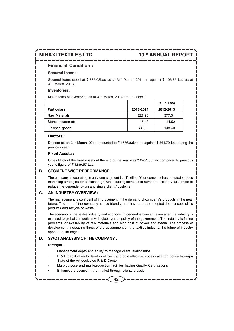## **Financial Condition :**

#### **Secured loans :**

Secured loans stood at  $\bar{\tau}$  885.03Lac as at 31<sup>st</sup> March, 2014 as against  $\bar{\tau}$  106.85 Lac as at 31st March, 2013.

#### **Inventories :**

Major items of inventories as of 31<sup>st</sup> March, 2014 are as under :

|                      |           | $(5 \text{ in } \text{Lac})$ |
|----------------------|-----------|------------------------------|
| <b>Particulars</b>   | 2013-2014 | 2012-2013                    |
| <b>Raw Materials</b> | 227.26    | 377.31                       |
| Stores, spares etc.  | 15.43     | 14.52                        |
| Finished goods       | 688.95    | 148.40                       |

#### **Debtors :**

Debtors as on 31<sup>st</sup> March, 2014 amounted to  $\bar{\tau}$  1576.83Lac as against  $\bar{\tau}$  864.72 Lac during the previous year.

### **Fixed Assets :**

Gross block of the fixed assets at the end of the year was  $\bar{\tau}$  2401.85 Lac compared to previous vear's figure of  $\bar{\tau}$  1289.57 Lac.

#### **B. SEGMENT WISE PERFORMANCE :**

The company is operating in only one segment i.e. Textiles. Your company has adopted various marketing strategies for sustained growth including increase in number of clients / customers to reduce the dependency on any single client / customer.

### **C. AN INDUSTRY OVERVIEW :**

The management is confident of improvement in the demand of company's products in the near future. The unit of the company is eco-friendly and have already adopted the concept of its products and recycle of waste.

The scenario of the textile industry and economy in general is buoyant even after the industry is exposed to global competition with globalization policy of the government. The industry is facing problems for availability of raw materials and high cost of power and steam. The process of development, increasing thrust of the government on the textiles industry, the future of industry appears quite bright.

### **D. SWOT ANALYSIS OF THE COMPANY :**

#### **Strength :**

- Management depth and ability to manage client relationships
- R & D capabilities to develop efficient and cost effective process at short notice having a State of the Art dedicated R & D Center
- · Multi-purpose and multi-production facilities having Quality Certifications
- Enhanced presence in the market through clientele basis

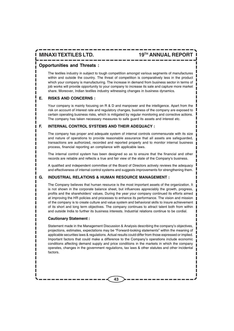**MINAXI TEXTILES LTD. 19TH ANNUAL REPORT**

## **Opportunities and Threats :**

The textiles industry in subject to tough competition amongst various segments of manufactures within and outside the country. The threat of competition is comparatively less in the product which your company is manufacturing. The increase in demand from business sector in terms of job works will provide opportunity to your company to increase its sale and capture more market share. Moreover, Indian textiles industry witnessing changes in business dynamics.

#### **E. RISKS AND CONCERNS :**

Your company is mainly focusing on R & D and manpower and the intelligence. Apart from the risk on account of interest rate and regulatory changes, business of the company are exposed to certain operating business risks, which is mitigated by regular monitoring and corrective actions. The company has taken necessary measures to safe guard its assets and interest etc.

#### **F. INTERNAL CONTROL SYSTEMS AND THEIR ADEQUACY :**

The company has proper and adequate system of internal controls commensurate with its size and nature of operations to provide reasonable assurance that all assets are safeguarded, transactions are authorized, recorded and reported properly and to monitor internal business process, financial reporting an compliance with applicable laws.

The internal control system has been designed so as to ensure that the financial and other records are reliable and reflects a true and fair view of the state of the Company's business.

A qualified and independent committee of the Board of Directors actively reviews the adequacy and effectiveness of internal control systems and suggests improvements for strengthening them.

### **G. INDUSTRIAL RELATIONS & HUMAN RESOURCE MANAGEMENT :**

The Company believes that human resource is the most important assets of the organization. It is not shown in the corporate balance sheet, but influences appreciably the growth, progress, profits and the shareholders' values. During the year your company continued its efforts aimed at improving the HR policies and processes to enhance its performance. The vision and mission of the company is to create culture and value system and behavioral skills to insure achievement of its short and long term objectives. The company continues to attract talent both from within and outside India to further its business interests. Industrial relations continue to be cordial.

#### **Cautionary Statement :**

Statement made in the Management Discussion & Analysis describing the company's objectives, projections, estimates, expectations may be "Forward-looking statements" within the meaning of applicable securities laws & regulations. Actual results could differ from those expressed or implied. Important factors that could make a difference to the Company's operations include economic conditions affecting demand supply and price conditions in the markets in which the company operates, changes in the government regulations, tax laws & other statutes and other incidental factors.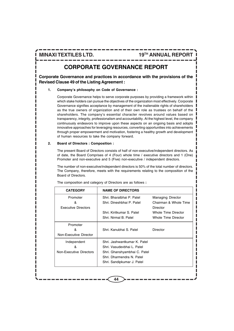# **CORPORATE GOVERNANCE REPORT**

**Corporate Governance and practices in accordance with the provisions of the Revised Clause 49 of the Listing Agreement :**

#### **1. Company's philosophy on Code of Governance :**

Corporate Governance helps to serve corporate purposes by providing a framework within which stake holders can pursue the objectives of the organization most effectively. Corporate Governance signifies acceptance by management of the inalienable rights of shareholders as the true owners of organization and of their own role as trustees on behalf of the shareholders. The company's essential character revolves around values based on transparency, integrity, professionalism and accountability. At the highest level, the company continuously endeavors to improve upon these aspects on an ongoing basis and adopts innovative approaches for leveraging resources, converting opportunities into achievements through proper empowerment and motivation, fostering a healthy growth and development of human resources to take the company forward.

#### **2. Board of Directors : Composition :**

The present Board of Directors consists of half of non-executive/independent directors. As of date, the Board Comprises of 4 (Four) whole time / executive directors and 1 (One) Promoter and non-executive and 5 (Five) non-executive / independent directors.

The number of non-executive/independent directors is 50% of the total number of directors. The Company, therefore, meets with the requirements relating to the composition of the Board of Directors.

| <b>CATEGORY</b>            | <b>NAME OF DIRECTORS</b>     |                          |
|----------------------------|------------------------------|--------------------------|
| Promoter                   | Shri, Bharatbhai P. Patel    | <b>Managing Director</b> |
| &                          | Shri, Dineshbhai P. Patel    | Chairman & Whole Time    |
| <b>Executive Directors</b> |                              | Director                 |
|                            | Shri, Kiritkumar S. Patel    | Whole Time Director      |
|                            | Shri, Nirmal B. Patel        | Whole Time Director      |
| Promoter                   |                              |                          |
| &                          | Shri. Kanubhai S. Patel      | Director                 |
| Non-Executive Director     |                              |                          |
| Independent                | Shri, Jashwantkumar K. Patel |                          |
| ጼ                          | Shri, Vasudevbhai L. Patel   |                          |
| Non-Executive Directors    | Shri. Ghanshyambhai C. Patel |                          |
|                            | Shri, Dharmendra N. Patel    |                          |
|                            | Shri. Sandipkumar J. Patel   |                          |

**44**

The composition and category of Directors are as follows **:**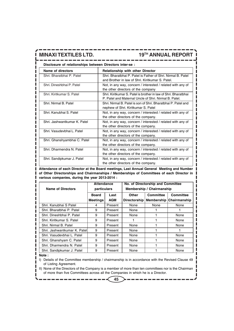**Disclosure of relationships between Directors inter-se :**

| Name of directors            | <b>Relationship with other Director</b>                                                                                  |
|------------------------------|--------------------------------------------------------------------------------------------------------------------------|
| Shri. Bharatbhai P. Patel    | Shri, Bharatbhai P. Patel is Father of Shri, Nirmal B. Patel<br>and Brother in law of Shri, Kiritkumar S, Patel.         |
| Shri, Dineshbhai P. Patel    | Not, in any way, concern / interested / related with any of<br>the other directors of the company                        |
| Shri, Kiritkumar S. Patel    | Shri, Kiritkumar S. Patel is brother in law of Shri, Bharatbhai<br>P. Patel and Maternal Uncle of Shri, Nirmal B. Patel. |
| Shri, Nirmal B. Patel        | Shri, Nirmal B. Patel is son of Shri, Bharatbhai P. Patel and<br>nephew of Shri. Kiritkumar S. Patel                     |
| Shri, Kanubhai S. Patel      | Not, in any way, concern / interested / related with any of<br>the other directors of the company.                       |
| Shri, Jashwantkumar K. Patel | Not, in any way, concern / interested / related with any of<br>the other directors of the company.                       |
| Shri, Vasudevbhai L. Patel   | Not, in any way, concern / interested / related with any of<br>the other directors of the company.                       |
| Shri. Ghanshyambhai C. Patel | Not, in any way, concern / interested / related with any of<br>the other directors of the company.                       |
| Shri, Dharmendra N. Patel    | Not, in any way, concern / interested / related with any of<br>the other directors of the company.                       |
| Shri. Sandipkumar J. Patel   | Not, in any way, concern / interested / related with any of<br>the other directors of the company.                       |

**Attendance of each Director at the Board meetings, Last Annual General Meeting and Number of Other Directorships and Chairmanships / Memberships of Committees of each Director in various companies, during the year 2013-2014 :**

| <b>Name of Directors</b>      | <b>Attendance</b><br>particulars |         | No. of Directorship and Committee<br>Membership / Chairmanship |                  |                  |
|-------------------------------|----------------------------------|---------|----------------------------------------------------------------|------------------|------------------|
|                               | <b>Board</b>                     | Last    | Other                                                          | <b>Committee</b> | <b>Committee</b> |
|                               | <b>Meetings</b>                  | AGM     | Directorship                                                   | Membership       | Chairmanship     |
| Shri, Kanubhai S Patel        | 4                                | Present | None                                                           | None             | None             |
| Shri. Bharatbhai P. Patel     | 9                                | Present | None                                                           |                  |                  |
| Shri. Dineshbhai P. Patel     | 9                                | Present | None                                                           |                  | None             |
| Shri, Kiritkumar S. Patel     | 9                                | Present |                                                                |                  | None             |
| Shri, Nirmal B. Patel         | 9                                | Present | None                                                           |                  | None             |
| Shri, Jashwantkumar K. Patell | 9                                | Present | None                                                           |                  |                  |
| Shri. Vasudevbhai L. Patel    | 9                                | Present | None                                                           |                  | None             |
| Shri. Ghanshyam C. Patel      | 9                                | Present | None                                                           |                  | None             |
| Shri, Dharmendra N. Patel     | 9                                | Present | None                                                           |                  | None             |
| Shri. Sandipkumar J. Patel    | 9                                | Present | None                                                           |                  | None             |

**Note :**

I) Details of the Committee membership / chairmanship is in accordance with the Revised Clause 49 of Listing Agreement.

II) None of the Directors of the Company is a member of more than ten committees nor is the Chairman of more than five Committees across all the Companies in which he is a Director.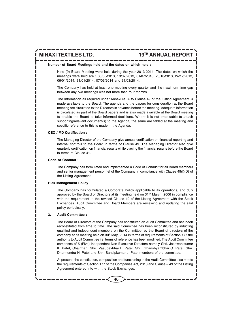#### **Number of Board Meetings held and the dates on which held :**

Nine (9) Board Meeting were held during the year 2013-2014. The dates on which the meetings were held are **:** 30/05/2013, 19/07/2013, 31/07/2013, 26/10/2013, 24/12/2013, 06/01/2014, 31/01/2014, 07/03/2014 and 31/03/2014**.**

The Company has held at least one meeting every quarter and the maximum time gap between any two meetings was not more than four months.

The Information as required under Annexure IA to Clause 49 of the Listing Agreement is made available to the Board. The agenda and the papers for consideration at the Board meeting are circulated to the Directors in advance before the meeting. Adequate information is circulated as part of the Board papers and is also made available at the Board meeting to enable the Board to take informed decisions. Where it is not practicable to attach supporting/relevant document(s) to the Agenda, the same are tabled at the meeting and specific reference to this is made in the Agenda.

#### **CEO / MD Certification :**

The Managing Director of the Company give annual certification on financial reporting and internal controls to the Board in terms of Clause 49. The Managing Director also give quarterly certification on financial results while placing the financial results before the Board in terms of Clause 41.

#### **Code of Conduct :**

The Company has formulated and implemented a Code of Conduct for all Board members and senior management personnel of the Company in compliance with Clause 49(I)(D) of the Listing Agreement.

#### **Risk Management Policy :**

The Company has formulated a Corporate Policy applicable to its operations, and duly approved by the Board of Directors at its meeting held on  $31<sup>ST</sup>$  March, 2006 in compliance with the requirement of the revised Clause 49 of the Listing Agreement with the Stock Exchanges. Audit Committee and Board Members are reviewing and updating the said policy periodically.

#### **3. Audit Committee :**

The Board of Directors of the Company has constituted an Audit Committee and has been reconstituted from time to time. The said Committee has been reconstituted by inducting qualified and independent members on the Committee, by the Board of directors of the company at its meeting held on  $30<sup>th</sup>$  May, 2014 in terms of requirements of Section 177 the authority to Audit Committee i.e. terms of reference has been modified. The Audit Committee comprises of 5 (Five) Independent Non-Executive Directors namely Shri. Jashwantkumar K. Patel, Chairman, Shri. Vasudevbhai L. Patel, Shri. Ghanshyambhai C. Patel, Shri. Dharmendra N. Patel and Shri. Sandipkumar J. Patel members of the committee.

At present, the constitution, composition and functioning of the Audit Committee also meets the requirements of Section 177 of the Companies Act, 2013 and Clause – 49 of the Listing Agreement entered into with the Stock Exchanges.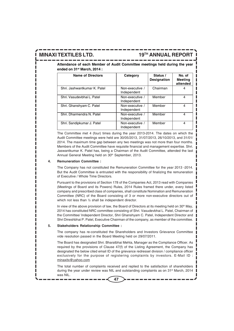**MINAXI TEXTILES LTD. 19TH ANNUAL REPORT**

**Attendance of each Member of Audit Committee meetings held during the year ended on 31st March, 2014 :**

| <b>Name of Directors</b>     | Category                       | Status /<br>Designation | No. of<br><b>Meeting</b><br>attended |
|------------------------------|--------------------------------|-------------------------|--------------------------------------|
| Shri, Jashwantkumar K. Patel | Non-executive /<br>Independent | Chairman                |                                      |
| Shri, Vasudevbhai L. Patel   | Non-executive /<br>Independent | Member                  | 4                                    |
| Shri. Ghanshyam C. Patel     | Non-executive /<br>Independent | Member                  | 4                                    |
| Shri. Dharmendra N. Patel    | Non-executive /<br>Independent | Member                  | 4                                    |
| Shri. Sandipkumar J. Patel   | Non-executive /<br>Independent | Member                  | 4                                    |

The Committee met 4 (four) times during the year 2013-2014. The dates on which the Audit Committee meetings were held are 30/05/2013, 31/07/2013, 26/10/2013, and 31/01/ 2014. The maximum time gap between any two meetings was not more than four months. Members of the Audit Committee have requisite financial and management expertise. Shri. Jaswantkumar K. Patel has, being a Chairman of the Audit Committee, attended the last Annual General Meeting held on 30<sup>th</sup> September, 2013.

#### **4. Remuneration Committee :**

The Company has not constituted the Remuneration Committee for the year 2013 -2014. But the Audit Committee is entrusted with the responsibility of finalizing the remuneration of Executive / Whole Time Directors.

Pursuant to the provisions of Section 178 of the Companies Act, 2013 read with Companies (Meetings of Board and its Powers) Rules, 2014 Rules framed there under, every listed company and prescribed class of companies, shall constitute Nomination and Remuneration Committee (NRC) of the Board consisting of 3 or more non-executive directors out of which not less than ½ shall be independent director.

In view of the above provision of law, the Board of Directors at its meeting held on  $30<sup>th</sup>$  May, 2014 has constituted NRC committee consisting of Shri. Vasudevbhai L. Patel, Chairman of the Committee/ Independent Director, Shri Ghanshyam C. Patel, Independent Director and Shri Dineshbhai P. Patel, Executive Chairman of the company, as member of the committee.

#### **5. Stakeholders Relationship Committee :**

The company has re-constituted the Shareholders and Investors Grievance Committee vide resolution passed in the Board Meeting held on 29/07/2011.

The Board has designated Shri. Bharatbhai Mehta, Manager as the Compliance Officer. As required by the provisions of Clause 47(f) of the Listing Agreement, the Company has designated the below cited email ID of the grievance redressel division / compliance officer exclusively for the purpose of registering complaints by investors. E-Mail ID : minaxitx@yahoo.com

The total number of complaints received and replied to the satisfaction of shareholders during the year under review was NIL and outstanding complaints as on 31st March, 2014 was NIL.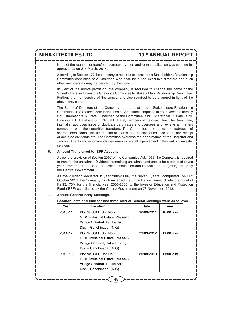None of the request for transfers, dematerialization and re-materialization was pending for approval as on 31st March, 2014.

According to Section 177 the company is required to constitute a Stakeholders Relationship Committee consisting of a Chairman who shall be a non executive directors and such other members as may be decided by the Board.

In view of the above provision, the company is required to change the name of the Shareholders and Investors Grievance Committee to Stakeholders Relationship Committee. Further, the membership of the company is also required to be changed in light of the above provisions

The Board of Directors of the Company has re-constituted a Stakeholders Relationship Committee. The Stakeholders Relationship Committee comprises of Four Directors namely Shri Dharmendra N. Patel, Chairman of the Committee, Shri. Bharatbhai P. Patel, Shri. Dineshbhai P. Patel and Shri. Nirmal B. Patel, members of the committee. The Committee, inter alia, approves issue of duplicate certificates and oversees and reviews all matters connected with the securities transfers. The Committee also looks into redressal of shareholders' complaints like transfer of shares, non-receipts of balance sheet, non-receipt of declared dividends etc. The Committee overseas the performance of the Registrar and Transfer Agents and recommends measures for overall improvement in the quality of investor services.

#### **6. Amount Transferred to IEPF Account**

As per the provision of Section 205C of the Companies Act, 1956, the Company is required to transfer the unclaimed Dividends, remaining unclaimed and unpaid for a period of seven years from the due date to the Investor Education and Protection Fund (IEPF) set up by the Central Government.

As the dividend declared in year 2005-2006, the seven years completed on 30<sup>th</sup> October,2013, the Company has transferred the unpaid or unclaimed dividend amount of Rs.93,175/-, for the financial year 2005-2006, to the Investor Education and Protection Fund (IEPF) established by the Central Government on 7<sup>th</sup> November, 2013.

| Year    | Location                          | Date       | Time         |
|---------|-----------------------------------|------------|--------------|
| 2010-11 | Plot No.3311, Unit No.2,          | 30/09/2011 | $10:00$ a.m. |
|         | GIDC Industrial Estate, Phase-IV, |            |              |
|         | Village Chhatral, Taluka Kalol,   |            |              |
|         | Dist - Gandhinagar (N.G)          |            |              |
| 2011-12 | Plot No.3311, Unit No.2,          | 29/09/2012 | $11:00$ a.m. |
|         | GIDC Industrial Estate, Phase-IV, |            |              |
|         | Village Chhatral, Taluka Kalol,   |            |              |
|         | Dist - Gandhinagar (N.G)          |            |              |
| 2012-13 | Plot No.3311, Unit No.2,          | 30/09/2013 | $11:00$ a.m. |
|         | GIDC Industrial Estate, Phase-IV, |            |              |
|         | Village Chhatral, Taluka Kalol,   |            |              |
|         | Dist - Gandhinagar (N.G)          |            |              |

#### **7. Annual General Body Meetings.**

#### **Location, date and time for last three Annual General Meetings were as follows**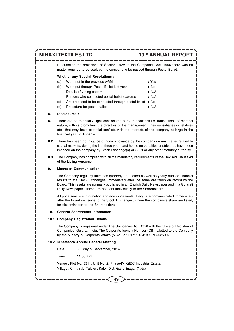Pursuant to the provisions of Section 192A of the Companies Act, 1956 there was no matter required to be dealt by the company to be passed through Postal Ballot.

#### **Whether any Special Resolutions :**

| (a) | Were put in the previous AGM                       | : Yes  |
|-----|----------------------------------------------------|--------|
| (b) | Were put through Postal Ballot last year           | : No   |
|     | Details of voting pattern                          | : N.A. |
|     | Persons who conducted postal ballot exercise       | : N.A. |
| (c) | Are proposed to be conducted through postal ballot | :No    |
| (d) | Procedure for postal ballot                        | : N.A. |

#### **8. Disclosures :**

- **8.1** There are no materially significant related party transactions i.e. transactions of material nature, with its promoters, the directors or the management, their subsidiaries or relatives etc., that may have potential conflicts with the interests of the company at large in the financial year 2013-2014.
- **8.2** There has been no instance of non-compliance by the company on any matter related to capital markets, during the last three years and hence no penalties or strictures have been imposed on the company by Stock Exchange(s) or SEBI or any other statutory authority.
- **8.3** The Company has complied with all the mandatory requirements of the Revised Clause 49 of the Listing Agreement.

#### **9. Means of Communication**

The Company regularly intimates quarterly un-audited as well as yearly audited financial results to the Stock Exchanges, immediately after the same are taken on record by the Board. This results are normally published in an English Daily Newspaper and in a Gujarati Daily Newspaper. These are not sent individually to the Shareholders.

All price sensitive information and announcements, if any, are communicated immediately after the Board decisions to the Stock Exchanges, where the company's share are listed, for dissemination to the Shareholders.

#### **10. General Shareholder Information**

#### **10.1 Company Registration Details**

The Company is registered under The Companies Act, 1956 with the Office of Registrar of Companies, Gujarat, India. The Corporate Identity Number (CIN) allotted to the Company by the Ministry of Corporate Affairs (MCA) is : L17119GJ1995PLC025007.

#### **10.2 Nineteenth Annual General Meeting**

Date : 30<sup>th</sup> day of September, 2014

Time : 11:00 a.m.

Venue : Plot No. 3311, Unit No. 2, Phase-IV, GIDC Industrial Estate,

Village : Chhatral, Taluka : Kalol, Dist. Gandhinagar (N.G.)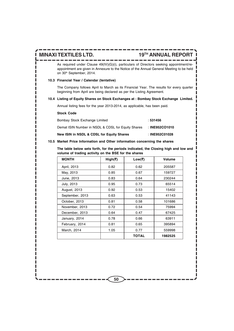As required under Clause 49(IV)(G)(i), particulars of Directors seeking appointment/reappointment are given in Annexure to the Notice of the Annual General Meeting to be held on 30<sup>th</sup> September, 2014.

### **10.3 Financial Year / Calendar (tentative)**

The Company follows April to March as its Financial Year. The results for every quarter beginning from April are being declared as per the Listing Agreement.

#### **10.4 Listing of Equity Shares on Stock Exchanges at : Bombay Stock Exchange Limited.**

Annual listing fees for the year 2013-2014, as applicable, has been paid.

#### **Stock Code**

| Demat ISIN Number in NSDL & CDSL for Equity Shares | : INE952CO1010 |
|----------------------------------------------------|----------------|
| New ISIN in NSDL & CDSL for Equity Shares          | : INE952C01028 |

### **10.5 Market Price Information and Other information concerning the shares**

**The table below sets forth, for the periods indicated, the Closing high and low and volume of trading activity on the BSE for the shares**

| <b>MONTH</b>    | High(₹) | Low(₹) | Volume  |
|-----------------|---------|--------|---------|
| April, 2013     | 0.82    | 0.62   | 205587  |
| May, 2013       | 0.85    | 0.67   | 159727  |
| June, 2013      | 0.83    | 0.64   | 230244  |
| July, 2013      | 0.95    | 0.73   | 65514   |
| August, 2013    | 0.92    | 0.53   | 15402   |
| September, 2013 | 0.63    | 0.53   | 41143   |
| October, 2013   | 0.81    | 0.58   | 101686  |
| November, 2013  | 0.72    | 0.54   | 75994   |
| December, 2013  | 0.64    | 0.47   | 67425   |
| January, 2014   | 0.78    | 0.66   | 63911   |
| February, 2014  | 0.81    | 0.65   | 395894  |
| March, 2014     | 1.05    | 0.77   | 559998  |
|                 |         | TOTAL  | 1982525 |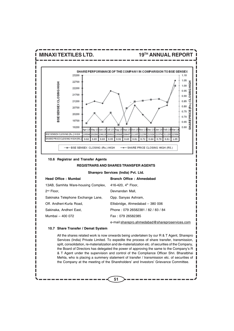

**Sharepro Services (India) Pvt. Ltd.**

| Head Office: Mumbai                 | Branch Office: Ahmedabad                       |
|-------------------------------------|------------------------------------------------|
| 13AB, Samhita Ware-housing Complex, | 416-420. $4^{\text{th}}$ Floor.                |
| $2nd$ Floor,                        | Devnandan Mall,                                |
| Sakinaka Telephone Exchange Lane,   | Opp. Sanyas Ashram,                            |
| Off. Andheri-Kurla Road,            | Ellisbridge, Ahmedabad - 380 006               |
| Sakinaka, Andheri East,             | Phone: 079 26582381 / 82 / 83 / 84             |
| Mumbai - 400 072                    | Fax: 079 26582385                              |
|                                     | e-mail:sharepro.ahmedabad@shareproservices.com |

#### **10.7 Share Transfer / Demat System**

All the shares related work is now onwards being undertaken by our R & T Agent, Sharepro Services (India) Private Limited. To expedite the process of share transfer, transmission, split, consolidation, re-materialization and de-materialization etc. of securities of the Company, the Board of Directors has delegated the power of approving the same to the Company's R & T Agent under the supervision and control of the Compliance Officer Shri. Bharatbhai Mehta, who is placing a summery statement of transfer / transmission etc. of securities of the Company at the meeting of the Shareholders' and Investors' Grievance Committee.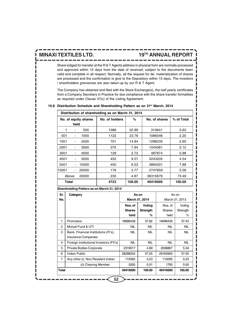Share lodged for transfer at the R & T Agents address in physical form are normally processed and approved within 15 days from the date of received, subject to the documents been valid and complete in all respect. Normally, all the request for de- materialization of shares are processed and the confirmation is give to the Depository within 15 days. The investors / shareholders grievances are also taken-up by our R & T Agent.

The Company has obtained and filed with the Stock Exchange(s), the half yearly certificates from a Company Secretary in Practice for due compliance with the share transfer formalities as required under Clause 47(c) of the Listing Agreement.

| Distribution of shareholding as on March 31, 2014 |                          |                      |                     |        |               |            |  |
|---------------------------------------------------|--------------------------|----------------------|---------------------|--------|---------------|------------|--|
|                                                   |                          | No. of equity shares | No. of holders<br>℅ |        | No. of shares | % of Total |  |
|                                                   | held                     |                      |                     |        |               |            |  |
|                                                   | ٠                        | 500                  | 1086                | 22.99  | 310641        | 0.63       |  |
| 501                                               |                          | 1000                 | 1122                | 23.76  | 1086046       | 2.20       |  |
| 1001                                              | ٠                        | 2000                 | 701                 | 14.84  | 1286235       | 2.60       |  |
| 2001                                              | ۰                        | 3000                 | 375                 | 7.94   | 1044061       | 2.12       |  |
| 3001                                              | ٠                        | 4000                 | 129                 | 2.73   | 487974        | 0.98       |  |
| 4001                                              | ٠                        | 5000                 | 452                 | 9.57   | 2243205       | 4.54       |  |
| 5001                                              | ٠                        | 10000                | 450                 | 9.53   | 3894501       | 7.88       |  |
| 10001                                             | $\overline{\phantom{a}}$ | 20000                | 178                 | 3.77   | 2747659       | 5.56       |  |
| Above                                             |                          | 20000                | 230                 | 4.87   | 36315678      | 73.49      |  |
| Total                                             |                          |                      | 4723                | 100.00 | 49416000      | 100.00     |  |

#### **10.8 Distribution Schedule and Shareholding Pattern as on 31st March, 2014**

| Shareholding Pattern as on March 31, 2014 |  |
|-------------------------------------------|--|
|-------------------------------------------|--|

| Sr.            | Category                                | As on         |                | As on         |                |  |
|----------------|-----------------------------------------|---------------|----------------|---------------|----------------|--|
| No.            |                                         |               | March 31, 2014 |               | March 31, 2013 |  |
|                |                                         | Nos. of       | Voting         | Nos. of       | Voting         |  |
|                |                                         | <b>Shares</b> | Strength       | <b>Shares</b> | Strength       |  |
|                |                                         | held          | %              | held          | ℅              |  |
| 1              | <b>Promoters</b>                        | 18688438      | 37.82          | 18496435      | 37.43          |  |
| $\overline{2}$ | Mutual Fund & UTI                       | NIL.          | <b>NIL</b>     | <b>NIL</b>    | NIL.           |  |
| 3              | Bank, Financial Institutions (FI's),    | <b>NIL</b>    | <b>NIL</b>     | <b>NIL</b>    | NIL.           |  |
|                | <b>Insurance Companies</b>              |               |                |               |                |  |
| 4              | Foreign Institutional Investors (FII's) | <b>NIL</b>    | <b>NIL</b>     | <b>NIL</b>    | NIL.           |  |
| 5              | Private Bodies Corporate                | 2319017       | 4.69           | 2636867       | 5.34           |  |
| 6              | <b>Indian Public</b>                    | 28288252      | 57.25          | 28165905      | 57.00          |  |
| $\overline{7}$ | Any other (i) Non Resident Indian       | 115093        | 0.23           | 115093        | 0.23           |  |
|                | (ii) Clearing Member                    | 5200          | 0.01           | 1700          | 0.00           |  |
| Total          |                                         | 49416000      | 100.00         | 49416000      | 100.00         |  |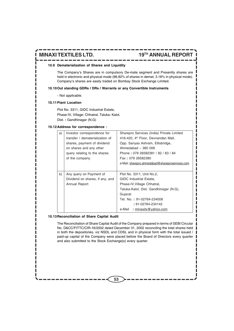#### **10.9 Dematerialization of Shares and Liquidity**

The Company's Shares are in compulsory De-mate segment and Presently shares are held in electronic and physical mode (96.82% of shares in demat, 3.18% in physical mode). Company's shares are easily traded on Bombay Stock Exchange Limited.

#### **10.10Out standing GDRs / DRs / Warrants or any Convertible Instruments**

- Not applicable.

#### **10.11Plant Location**

Plot No. 3311, GIDC Industrial Estate, Phase-IV, Village- Chhatral, Taluka- Kalol, Dist. **:** Gandhinagar (N.G)

#### **10.12Address for correspondence :**

| a) | Investor correspondence for     | Sharepro Services (India) Private Limited       |
|----|---------------------------------|-------------------------------------------------|
|    | transfer / dematerialization of | 416-420, 4 <sup>th</sup> Floor, Devnandan Mall, |
|    | shares, payment of dividend     | Opp. Sanyas Ashram, Ellisbridge,                |
|    | on shares and any other         | Ahmedabad - 380 006                             |
|    | query relating to the shares    | Phone: 079 26582381 / 82 / 83 / 84              |
|    | of the company.                 | Fax: 079 26582385                               |
|    |                                 | e-Mail: sharepro.ahmedabad@shareproservices.com |
|    |                                 |                                                 |
| b) | Any query on Payment of         | Plot No. 3311, Unit No.2,                       |
|    | Dividend on shares, if any, and | <b>GIDC</b> Industrial Estate,                  |
|    | Annual Report                   | Phase-IV, Village Chhatral,                     |
|    |                                 | Taluka-Kalol, Dist. Gandhinagar (N.G),          |
|    |                                 | Gujarat                                         |
|    |                                 | Tel. No.: 91-02764-234008                       |
|    |                                 | : 91-02764-234142                               |
|    |                                 | : minaxitx@yahoo.com<br>e-Mail                  |

#### **10.13Reconciliation of Share Capital Audit**

The Reconciliation of Share Capital Audit of the Company prepared in terms of SEBI Circular No. D&CC/FITTC/CIR-16/2002 dated December 31, 2002 reconciling the total shares held in both the depositories, viz NSDL and CDSL and in physical form with the total issued / paid-up capital of the Company were placed before the Board of Directors every quarter and also submitted to the Stock Exchange(s) every quarter.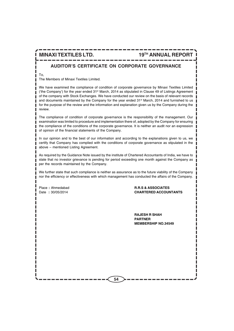## **AUDITOR'S CERTIFICATE ON CORPORATE GOVERNANCE**

To,

The Members of Minaxi Textiles Limited.

We have examined the compliance of condition of corporate governance by Minaxi Textiles Limited ('the Company') for the year ended  $31<sup>st</sup>$  March, 2014 as stipulated in Clause 49 of Listings Agreement of the company with Stock Exchanges. We have conducted our review on the basis of relevant records and documents maintained by the Company for the year ended 31<sup>st</sup> March, 2014 and furnished to us for the purpose of the review and the information and explanation given us by the Company during the review.

The compliance of condition of corporate governance is the responsibility of the management. Our examination was limited to procedure and implementation there of, adopted by the Company for ensuring the compliance of the conditions of the corporate governance. It is neither an audit nor an expression of opinion of the financial statements of the Company.

In our opinion and to the best of our information and according to the explanations given to us, we certify that Company has complied with the conditions of corporate governance as stipulated in the above – mentioned Listing Agreement.

As required by the Guidance Note issued by the institute of Chartered Accountants of India, we have to state that no investor grievance is pending for period exceeding one month against the Company as per the records maintained by the Company.

We further state that such compliance is neither as assurance as to the future viability of the Company nor the efficiency or effectiveness with which management has conducted the affairs of the Company.

Place **:** Ahmedabad **R.R.S & ASSOCIATES** Date **:** 30/05/2014 **CHARTERED ACCOUNTANTS**

> **RAJESH R SHAH PARTNER MEMBERSHIP NO.34549**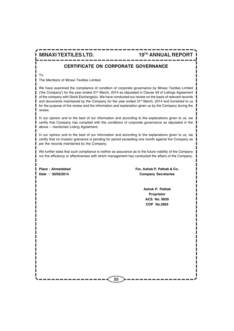## **CERTIFICATE ON CORPORATE GOVERNANCE**

To,

The Members of Minaxi Textiles Limited.

We have examined the compliance of condition of corporate governance by Minaxi Textiles Limited ('the Company') for the year ended 31<sup>st</sup> March, 2014 as stipulated in Clause 49 of Listings Agreement of the company with Stock Exchange(s). We have conducted our review on the basis of relevant records and documents maintained by the Company for the year ended 31<sup>st</sup> March, 2014 and furnished to us for the purpose of the review and the information and explanation given us by the Company during the review.

In our opinion and to the best of our information and according to the explanations given to us, we certify that Company has complied with the conditions of corporate governance as stipulated in the above – mentioned Listing Agreement.

In our opinion and to the best of our information and according to the explanations given to us, we certify that no investor grievance is pending for period exceeding one month against the Company as per the records maintained by the Company.

We further state that such compliance is neither as assurance as to the future viability of the Company nor the efficiency or effectiveness with which management has conducted the affairs of the Company.

Place : Ahmedabad **Formula** For, Ashok P. Pathak & Co. **Date : 30/05/2014 Company Secretaries**

> **Ashok P. Pathak Proprietor ACS No. 9939 COP No.2662**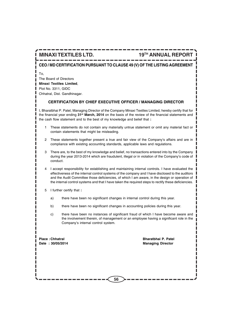## **CEO / MD CERTIFICATION PURSUANT TO CLAUSE 49 (V) OF THE LISTING AGREEMENT**

To,

The Board of Directors **Minaxi Textiles Limited**, Plot No. 3311, GIDC Chhatral, Dist. Gandhinagar.

## **CERTIFICATION BY CHIEF EXECUTIVE OFFICER / MANAGING DIRECTOR**

I, Bharatbhai P. Patel, Managing Director of the Company Minaxi Textiles Limited, hereby certify that for the financial year ending **31st March, 2014** on the basis of the review of the financial statements and the cash flow statement and to the best of my knowledge and belief that **:**

- 1 These statements do not contain any materially untrue statement or omit any material fact or contain statements that might be misleading.
- 2 These statements together present a true and fair view of the Company's affairs and are in compliance with existing accounting standards, applicable laws and regulations.
- 3 There are, to the best of my knowledge and belief, no transactions entered into by the Company during the year 2013-2014 which are fraudulent, illegal or in violation of the Company's code of conduct.
- 4 I accept responsibility for establishing and maintaining internal controls. I have evaluated the effectiveness of the internal control systems of the company and I have disclosed to the auditors and the Audit Committee those deficiencies, of which I am aware, in the design or operation of the internal control systems and that I have taken the required steps to rectify these deficiencies.
- 5 I further certify that **:**
	- a) there have been no significant changes in internal control during this year.
	- b) there have been no significant changes in accounting policies during this year.
	- c) there have been no instances of significant fraud of which I have become aware and the involvement therein, of management or an employee having a significant role in the Company's internal control system.

**Place :Chhatral Bharatbhai P. Patel**

Date : 30/05/2014 **Managing Director**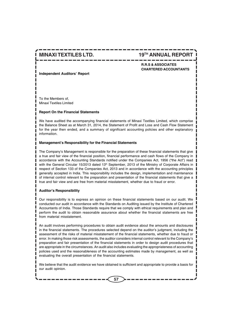## **MINAXI TEXTILES LTD. 19TH ANNUAL REPORT**

## **R.R.S & ASSOCIATES CHARTERED ACCOUNTANTS**

**Independent Auditors' Report**

To the Members of, Minaxi Textiles Limited

#### **Report On the Financial Statements**

We have audited the accompanying financial statements of Minaxi Textiles Limited, which comprise the Balance Sheet as at March 31, 2014, the Statement of Profit and Loss and Cash Flow Statement for the year then ended, and a summary of significant accounting policies and other explanatory information.

#### **Management's Responsibility for the Financial Statements**

The Company's Management is responsible for the preparation of these financial statements that give a true and fair view of the financial position, financial performance and cash flows of the Company in accordance with the Accounting Standards notified under the Companies Act, 1956 ("the Act") read with the General Circular 15/2013 dated 13<sup>th</sup> September, 2013 of the Ministry of Corporate Affairs in respect of Section 133 of the Companies Act, 2013 and in accordance with the accounting principles generally accepted in India. This responsibility includes the design, implementation and maintenance of internal control relevant to the preparation and presentation of the financial statements that give a true and fair view and are free from material misstatement, whether due to fraud or error.

#### **Auditor's Responsibility**

Our responsibility is to express an opinion on these financial statements based on our audit. We conducted our audit in accordance with the Standards on Auditing issued by the Institute of Chartered Accountants of India. Those Standards require that we comply with ethical requirements and plan and perform the audit to obtain reasonable assurance about whether the financial statements are free from material misstatement.

An audit involves performing procedures to obtain audit evidence about the amounts and disclosures in the financial statements. The procedures selected depend on the auditor's judgment, including the assessment of the risks of material misstatement of the financial statements, whether due to fraud or error. In making those risk assessments, the auditor considers internal control relevant to the Company's preparation and fair presentation of the financial statements in order to design audit procedures that are appropriate in the circumstances. An audit also includes evaluating the appropriateness of accounting policies used and the reasonableness of the accounting estimates made by management, as well as evaluating the overall presentation of the financial statements.

We believe that the audit evidence we have obtained is sufficient and appropriate to provide a basis for our audit opinion.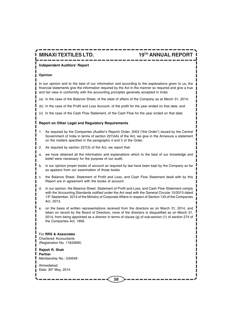#### **Independent Auditors' Report**

#### **Opinion**

In our opinion and to the best of our information and according to the explanations given to us, the financial statements give the information required by the Act in the manner so required and give a true and fair view in conformity with the accounting principles generally accepted in India:

- (a) In the case of the Balance Sheet, of the state of affairs of the Company as at March 31, 2014;
- (b) In the case of the Profit and Loss Account, of the profit for the year ended on that date; and
- (c) In the case of the Cash Flow Statement, of the Cash Flow for the year ended on that date.

#### **Report on Other Legal and Regulatory Requirements**

- 1. As required by the Companies (Auditor's Report) Order, 2003 ("the Order") issued by the Central Government of India in terms of section 227(4A) of the Act, we give in the Annexure a statement on the matters specified in the paragraphs 4 and 5 of the Order.
- 2. As required by section 227(3) of the Act, we report that:
- a. we have obtained all the information and explanations which to the best of our knowledge and belief were necessary for the purpose of our audit;
- b. in our opinion proper books of account as required by law have been kept by the Company so far as appears from our examination of those books
- c. the Balance Sheet, Statement of Profit and Loss, and Cash Flow Statement dealt with by this Report are in agreement with the books of account.
- d. in our opinion, the Balance Sheet, Statement of Profit and Loss, and Cash Flow Statement comply with the Accounting Standards notified under the Act read with the General Circular 15/2013 dated 13<sup>th</sup> September, 2013 of the Ministry of Corporate Affairs in respect of Section 133 of the Companies Act, 2013.
- e. on the basis of written representations received from the directors as on March 31, 2014, and taken on record by the Board of Directors, none of the directors is disqualified as on March 31, 2014, from being appointed as a director in terms of clause (g) of sub-section (1) of section 274 of the Companies Act, 1956.

For **RRS & Associates** Chartered Accountants (Registration No. 118336W)

**Rajesh R. Shah Partner** Membership No.: 034549

Ahmedabad Date: 30<sup>th</sup> May, 2014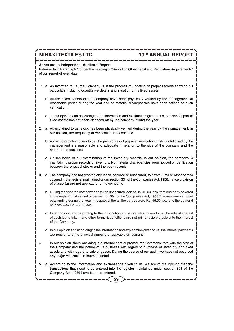## **MINAXI TEXTILES LTD. 19TH ANNUAL REPORT**

## **Annexure to Independent Auditors' Report**

Referred to in Paragraph 1 under the heading of "Report on Other Legal and Regulatory Requirements" of our report of ever date.

- 1. a. As informed to us, the Company is in the process of updating of proper records showing full particulars including quantitative details and situation of its fixed assets.
	- b. All the Fixed Assets of the Company have been physically verified by the management at reasonable period during the year and no material discrepancies have been noticed on such verification.
	- c. In our opinion and according to the information and explanation given to us, substantial part of fixed assets has not been disposed off by the company during the year.
- 2. a. As explained to us, stock has been physically verified during the year by the management. In our opinion, the frequency of verification is reasonable.
	- b. As per information given to us, the procedures of physical verification of stocks followed by the management are reasonable and adequate in relation to the size of the company and the nature of its business.
	- c. On the basis of our examination of the inventory records, in our opinion, the company is maintaining proper records of inventory. No material discrepancies were noticed on verification between the physical stocks and the book records.
- 3. a. The company has not granted any loans, secured or unsecured, to / from firms or other parties covered in the register maintained under section 301 of the Companies Act, 1956, hence provision of clause (a) are not applicable to the company.
	- b. During the year the company has taken unsecured loan of Rs. 46.00 lacs from one party covered in the register maintained under section 301 of the Companies Act, 1956.The maximum amount outstanding during the year in respect of the all the parties were Rs. 46.00 lacs and the yearend balance was Rs. 46.00 lacs.
	- c. In our opinion and according to the information and explanation given to us, the rate of interest of such loans taken, and other terms & conditions are not prima facie prejudicial to the interest of the Company.
	- d. In our opinion and according to the information and explanation given to us, the interest payments are regular and the principal amount is repayable on demand.
- 4. In our opinion, there are adequate internal control procedures Commensurate with the size of the Company and the nature of its business with regard to purchase of inventory and fixed assets and with regard to sale of goods. During the course of our audit, we have not observed any major weakness in internal control.
- 5. a. According to the information and explanations given to us, we are of the opinion that the transactions that need to be entered into the register maintained under section 301 of the Company Act, 1956 have been so entered.

**59**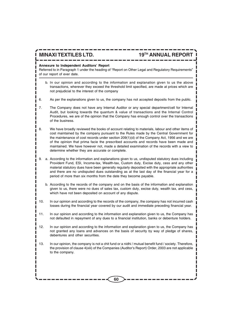# **MINAXI TEXTILES LTD. 19TH ANNUAL REPORT**

#### **Annexure to Independent Auditors' Report**

Referred to in Paragraph 1 under the heading of "Report on Other Legal and Regulatory Requirements" of our report of ever date.

- b. In our opinion and according to the information and explanation given to us the above transactions, wherever they exceed the threshold limit specified, are made at prices which are not prejudicial to the interest of the company
- 6. As per the explanations given to us, the company has not accepted deposits from the public.
- 7. The Company does not have any Internal Auditor or any special department/cell for Internal Audit, but looking towards the quantum & value of transactions and the Internal Control Procedures, we are of the opinion that the Company has enough control over the transactions of the business.
- 8. We have broadly reviewed the books of account relating to materials, labour and other items of cost maintained by the company pursuant to the Rules made by the Central Government for the maintenance of cost records under section 209(1)(d) of the Company Act, 1956 and we are of the opinion that prima facie the prescribed accounts and records have been made and maintained. We have however not, made a detailed examination of the records with a view to determine whether they are accurate or complete.
- 9. a. According to the information and explanations given to us, undisputed statutory dues including Provident Fund, ESI, Income-tax, Wealth-tax, Custom duty, Excise duty, cess and any other material statutory dues have been generally regularly deposited with the appropriate authorities and there are no undisputed dues outstanding as at the last day of the financial year for a period of more than six months from the date they become payable.
	- b. According to the records of the company and on the basis of the information and explanation given to us, there were no dues of sales tax, custom duty, excise duty, wealth tax, and cess, which have not been deposited on account of any dispute.
- 10. In our opinion and according to the records of the company, the company has not incurred cash losses during the financial year covered by our audit and immediate preceding financial year.
- 11. In our opinion and according to the information and explanation given to us, the Company has not defaulted in repayment of any dues to a financial institution, banks or debenture holders.
- 12. In our opinion and according to the information and explanation given to us, the Company has not granted any loans and advances on the basis of security by way of pledge of shares, debentures and other securities.
- 13. In our opinion, the company is not a chit fund or a nidhi / mutual benefit fund / society. Therefore, the provision of clause 4(xiii) of the Companies (Auditor's Report) Order, 2003 are not applicable to the company.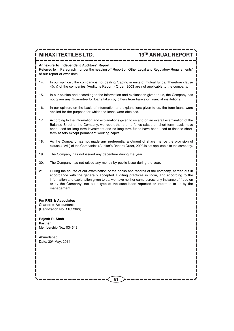#### **Annexure to Independent Auditors' Report**

Referred to in Paragraph 1 under the heading of "Report on Other Legal and Regulatory Requirements" of our report of ever date.

- 14. In our opinion , the company is not dealing /trading in units of mutual funds, Therefore clause 4(xiv) of the companies (Auditor's Report ) Order, 2003 are not applicable to the company.
- 15. In our opinion and according to the information and explanation given to us, the Company has not given any Guarantee for loans taken by others from banks or financial institutions.
- 16. In our opinion, on the basis of information and explanations given to us, the term loans were applied for the purpose for which the loans were obtained.
- 17. According to the information and explanations given to us and on an overall examination of the Balance Sheet of the Company, we report that the no funds raised on short-term basis have been used for long-term investment and no long-term funds have been used to finance shortterm assets except permanent working capital.
- 18. As the Company has not made any preferential allotment of share, hence the provision of clause 4(xviii) of the Companies (Auditor's Report) Order, 2003 is not applicable to the company.
- 19. The Company has not issued any debenture during the year.
- 20. The Company has not raised any money by public issue during the year.
- 21. During the course of our examination of the books and records of the company, carried out in accordance with the generally accepted auditing practices in India, and according to the information and explanation given to us, we have neither came across any instance of fraud on or by the Company, nor such type of the case been reported or informed to us by the management.

#### For **RRS & Associates**

Chartered Accountants (Registration No. 118336W)

**Rajesh R. Shah Partner** Membership No.: 034549

Ahmedabad Date: 30th May, 2014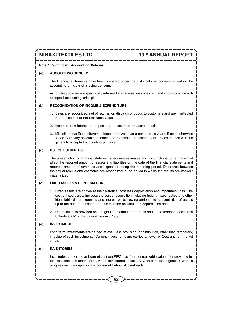#### **Note 1: Significant Accounting Policies**

#### **(a) ACCOUNTING CONCEPT**

The financial statements have been prepared under the historical cost convention and on the accounting principle of a going concern.

Accounting policies not specifically referred to otherwise are consistent and in consonance with accepted accounting principle.

### **(b) RECOGNIZATION OF INCOME & EXPENDITURE**

- 1. Sales are recognized, net of returns, on dispatch of goods to customers and are reflected in the accounts at net realizable value.
- 2. Incomes from interest on deposits are accounted on accrual basis.
- 3. Miscellaneous Expenditure has been amortized over a period of 10 years. Except otherwise stated Company accounts Incomes and Expenses on accrual basis in accordance with the generally accepted accounting principle.

### **(c) USE OF ESTIMATES**

The presentation of financial statements requires estimates and assumptions to be made that affect the reported amount of assets and liabilities on the date of the financial statements and reported amount of revenues and expenses during the reporting period. Difference between the actual results and estimates are recognized in the period in which the results are known / materialized.

#### **(d) FIXED ASSETS & DEPRECIATION**

- 1. Fixed assets are shown at their historical cost less depreciation and impairment loss. The cost of fixed assets includes the cost of acquisition including freight, taxes, duties and other identifiable direct expenses and interest on borrowing attributable to acquisition of assets up to the date the asset put to use less the accumulated depreciation on it.
- 2. Depreciation is provided on straight-line method at the rates and in the manner specified in Schedule XIV of the Companies Act, 1956.

#### **(e) INVESTMENT**

Long-term investments are carried at cost, less provision for diminution, other than temporary, in value of such investments. Current investments are carried at lower of Cost and fair market value.

#### **(f) INVENTORIES**

Inventories are valued at lower of cost (on FIFO basis) or net realizable value after providing for obsolescence and other losses, where considered necessary. Cost of Finished goods & Work in progress includes appropriate portion of Labour & overheads.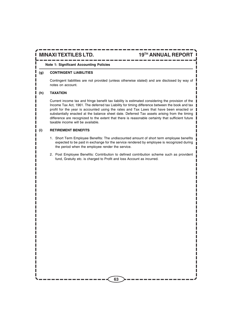### **Note 1: Significant Accounting Policies**

## **(g) CONTINGENT LIABILITIES**

Contingent liabilities are not provided (unless otherwise stated) and are disclosed by way of notes on account.

## **(h) TAXATION**

Current income tax and fringe benefit tax liability is estimated considering the provision of the Income Tax Act, 1961. The deferred tax Liability for timing difference between the book and tax profit for the year is accounted using the rates and Tax Laws that have been enacted or substantially enacted at the balance sheet date. Deferred Tax assets arising from the timing difference are recognized to the extent that there is reasonable certainty that sufficient future taxable income will be available.

## **(i) RETIREMENT BENEFITS**

- 1. Short Term Employee Benefits: The undiscounted amount of short term employee benefits expected to be paid in exchange for the service rendered by employee is recognized during the period when the employee render the service.
- 2. Post Employee Benefits: Contribution to defined contribution scheme such as provident fund, Gratuity etc. is charged to Profit and loss Account as incurred.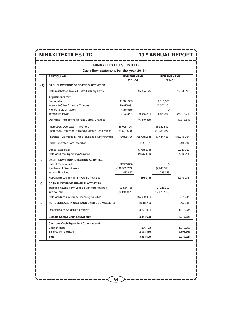|     | <b>MINAXI TEXTILES LIMITED</b>                                                                                                                                                      |                                                                            |                            |                                                   |                          |
|-----|-------------------------------------------------------------------------------------------------------------------------------------------------------------------------------------|----------------------------------------------------------------------------|----------------------------|---------------------------------------------------|--------------------------|
|     | <b>PARTICULAR</b>                                                                                                                                                                   | Cash flow statement for the year 2013-14<br><b>FOR THE YEAR</b><br>2013-14 |                            | <b>FOR THE YEAR</b><br>2012-13                    |                          |
| (A) | <b>CASH FLOW FROM OPERATING ACTIVITIES</b>                                                                                                                                          |                                                                            |                            |                                                   |                          |
|     | Net Profit before Taxes & Extra-Ordinary Items                                                                                                                                      |                                                                            | 15,894,175                 |                                                   | 17,900,105               |
|     | Adjustments for:<br>Depreciation<br>Interest & Other Financial Charges<br>Profit on Sale of Assets<br><b>Interest Received</b><br>Operating Profit before Working Capital Changes   | 11,394,535<br>20,915,091<br>(880, 565)<br>(473, 847)                       | 30,955,214<br>46,849,389   | 8,513,565<br>17,670,184<br>$\Omega$<br>(265, 036) | 25,918,713<br>43,818,818 |
|     | (Increase) / Decrease in Inventory<br>(Increase) / Decrease in Trade & Others Receivables                                                                                           | (38,025,404)<br>(84,521,639)                                               |                            | (3,932,812)<br>(23, 338, 073)                     |                          |
|     | (Increase) / Decrease in Trade Payables & Other Payable                                                                                                                             | 79,808,786                                                                 | (42,738,258)               | (9,444,469)                                       | (36,715,354)             |
|     | Cash Generated from Operation                                                                                                                                                       |                                                                            | 4,111,131                  |                                                   | 7,103,465                |
|     | <b>Direct Taxes Paid</b><br>Net Cash From Operating Activities                                                                                                                      |                                                                            | (6,768,594)<br>(2,675,463) |                                                   | (2,243,323)<br>4.860.142 |
| B   | <b>CASH FLOW FROM INVESTING ACTIVITIES</b><br>Sale of Fixed Assets<br><b>Purchase of Fixed Assets</b><br><b>Interest Received</b><br>Net Cash (used in) / from investing Activities | 22,595,000<br>(140, 955, 763)<br>473,847                                   | (117,886,916)              | $\Omega$<br>(2,240,311)<br>265,036                | (1,975,275)              |
| C   | <b>CASH FLOW FROM FINANCE ACTIVITIES</b><br>Increase in Long Term Loans & Other Borrowings<br><b>Interest Paid</b><br>Net Cash (used in) / from Financing Activities                | 136,554,155<br>(20, 915, 091)                                              | 115,639,064                | 21,245,207<br>(17,670,184)                        | 3,575,023                |
| D   | NET DECREASE IN CASH AND CASH EQUIVALENTS                                                                                                                                           |                                                                            | (4,923,315)                |                                                   | 6,459,889                |
|     | Opening Cash & Cash Equivalents                                                                                                                                                     |                                                                            | 8,277,924                  |                                                   | 1,818,035                |
|     | <b>Closing Cash &amp; Cash Equivalents</b>                                                                                                                                          |                                                                            | 3,354,608                  |                                                   | 8,277,924                |
|     | Cash and Cash Equivalent Comprises of:<br>Cash on Hand<br>Balance with the Bank                                                                                                     |                                                                            | 1,296,123<br>2,058,486     |                                                   | 1,379,359<br>6,898,566   |
|     | Total                                                                                                                                                                               |                                                                            | 3,354,609                  |                                                   | 8,277,924                |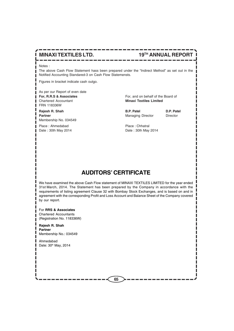Notes :

The above Cash Flow Statement hass been prepared under the "Indirect Method" as set out in the Notified Accounting Standared-3 on Cash Flow Statemensts.

Figures in bracket indicate cash outgo.

As per our Report of even date **For, R.R.S & Associates** For, and on behalf of the Board of Chartered Accountant **Minaxi Textiles Limited** FRN 118336W

**Rajesh R. Shah B.P. Patel D.P. Patel Partner** Director Director Director Director Director Director Membership No. 034549

Place : Ahmedabad Place : Chhatral Date : 30th May 2014 **Date : 30th May 2014** 

# **AUDITORS' CERTIFICATE**

We have examined the above Cash Flow statement of MINAXI TEXTILES LIMITED for the year ended 31st March, 2014. The Statement has been prepared by the Company in accordance with the requirements of listing agreement Clause 32 with Bombay Stock Exchanges, and is based on and in agreement with the corresponding Profit and Loss Account and Balance Sheet of the Company covered by our report.

#### For **RRS & Associates**

Chartered Accountants (Registration No. 118336W)

#### **Rajesh R. Shah Partner** Membership No.: 034549

Ahmedabad Date: 30<sup>th</sup> May, 2014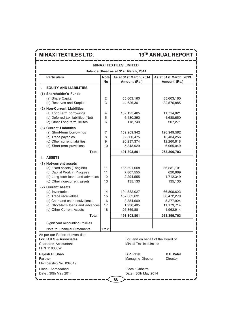## **MINAXI TEXTILES LIMITED Balance Sheet as at 31st March, 2014 Particulars Note As at 31st March, 2014 As at 31st March, 2013 No Amount (Rs.) Amount (Rs.) I. EQUITY AND LIABILITIES (1) Shareholder's Funds** (a) Share Capital  $\begin{array}{|c|c|c|c|c|c|c|c|} \hline \end{array}$  2  $\begin{array}{|c|c|c|c|c|c|c|c|c|} \hline \end{array}$  55,603,160 55,603,160 (b) Reserves and Surplus  $\begin{array}{|c|c|c|c|c|c|c|c|} \hline 3 & 44,626,301 & 32,576,885 \hline \end{array}$ **(2) Non-Current Liabilities** (a) Long-term borrowings 4 102,123,485 11,714,021 (b) Deferred tax liabilities (Net)  $\begin{array}{|c|c|c|c|c|c|c|c|} \hline 5 & 6,480,392 & 4,688,650 \hline \end{array}$ (c) Other Long term libilites 6 118,743 207,271 **(3) Current Liabilities** (a) Short-term borrowings 7 159,209,942 120,949,592 (b) Trade payables 18 97,560,475 18,434,256 (c) Other current liabilities 9 20,237,374 12,260,818 (d) Short-term provisions  $\begin{vmatrix} 10 \\ 5,343,929 \end{vmatrix}$  6,965,049  **Total 491,303,801 263,399,703 II. ASSETS (1) Not-current assets** (a) Fixed assets (Tangible)  $\begin{array}{|c|c|c|c|c|c|c|c|} \hline \end{array}$  186,891,008  $\begin{array}{|c|c|c|c|c|c|c|c|c|} \hline \end{array}$  86,231,101 (b) Capital Work in Progress | 11 | 7,807,555 | 620,669 (b) Long term loans and advances  $\begin{vmatrix} 12 & 2,294,555 & 1,712,349 \end{vmatrix}$ (c) Other non-current assets  $\begin{vmatrix} 13 & 135,130 \\ 13 & 135,130 \end{vmatrix}$  135,130 **(2) Current assets** (a) Inventories 14 14 104,832,027 66,806,623 (b) Trade receivables 15 15 157,682,631 86,472,279 (c) Cash and cash equivalents  $\begin{array}{|c|c|c|c|c|c|c|c|c|} \hline \end{array}$  3,354,609  $\begin{array}{|c|c|c|c|c|c|c|c|c|} \hline \end{array}$  8,277,924 (d) Short-term loans and advances 17 1,936,405 11,179,714 (e) Other Current Assets 18 26,369,881 1,963,914  **Total 491,303,801 263,399,703** Significant Accounting Policies Note to Financial Statements | 1 to 28 As per our Report of even date **For, R.R.S & Associates** For, and on behalf of the Board of Chartered Accountant **Minaxi Textiles Limited** FRN 118336W

| Rajesh R. Shah        | <b>B.P. Patel</b>        | D.P. Patel      |
|-----------------------|--------------------------|-----------------|
| <b>Partner</b>        | <b>Managing Director</b> | <b>Director</b> |
| Membership No. 034549 |                          |                 |
| Place: Ahmedabad      | Place: Chhatral          |                 |
| Date: 30th May 2014   | Date: 30th May 2014      |                 |
| 66                    |                          |                 |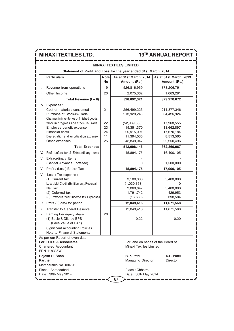| <b>MINAXI TEXTILES LIMITED</b>                                                                                                                                 |                                                                                                                                                                                                               |                          |                                                                                           |                                                                     |  |  |
|----------------------------------------------------------------------------------------------------------------------------------------------------------------|---------------------------------------------------------------------------------------------------------------------------------------------------------------------------------------------------------------|--------------------------|-------------------------------------------------------------------------------------------|---------------------------------------------------------------------|--|--|
| Statement of Profit and Loss for the year ended 31st March, 2014                                                                                               |                                                                                                                                                                                                               |                          |                                                                                           |                                                                     |  |  |
|                                                                                                                                                                | <b>Particulars</b>                                                                                                                                                                                            | <b>Note</b><br><b>No</b> | As at 31st March, 2014<br>Amount (Rs.)                                                    | As at 31st March, 2013<br>Amount (Rs.)                              |  |  |
| I.                                                                                                                                                             | Revenue from operations                                                                                                                                                                                       | 19                       | 526,816,959                                                                               | 378,206,791                                                         |  |  |
| Ш.                                                                                                                                                             | Other Income                                                                                                                                                                                                  | 20                       | 2,075,362                                                                                 | 1,063,281                                                           |  |  |
| III.                                                                                                                                                           | Total Revenue (I + II)                                                                                                                                                                                        |                          | 528,892,321                                                                               | 379,270,072                                                         |  |  |
|                                                                                                                                                                | IV. Expenses :<br>Cost of materials consumed<br>Purchase of Stock-in-Trade<br>Changes in inventories of finished goods,<br>Work in progress and stock-in-Trade<br>Employee benefit expense<br>Financial costs | 21<br>22<br>23<br>24     | 256,499,223<br>213,928,248<br>(52, 939, 368)<br>19,351,370<br>20,915,091                  | 211,377,346<br>64,426,924<br>17,968,555<br>13,662,897<br>17,670,184 |  |  |
|                                                                                                                                                                | Depreciation and amortization expense                                                                                                                                                                         | 11                       | 11,394,535                                                                                | 8,513,565                                                           |  |  |
|                                                                                                                                                                | Other expenses                                                                                                                                                                                                | 25                       | 43,849,047                                                                                | 29,250,496                                                          |  |  |
|                                                                                                                                                                | <b>Total Expenses</b>                                                                                                                                                                                         |                          | 512,998,146                                                                               | 362,869,967                                                         |  |  |
| V.                                                                                                                                                             | Profit before tax & Extraordinary Items                                                                                                                                                                       |                          | 15,894,175                                                                                | 16,400,105                                                          |  |  |
|                                                                                                                                                                | VI. Extraordinary Items<br>(Capital Advance Forfeited)                                                                                                                                                        |                          | 0                                                                                         | 1,500,000                                                           |  |  |
|                                                                                                                                                                | VII. Profit / (Loss) Before Tax                                                                                                                                                                               |                          | 15,894,175                                                                                | 17,900,105                                                          |  |  |
| VIII. Less: Tax expense:<br>(1) Currant tax<br>Less: Mat Credit (Entitlement)/Reversal<br>Net Tax<br>(2) Deferred tax<br>(3) Previous Year Income tax Expenses |                                                                                                                                                                                                               |                          | 3,100,000<br>(1,030,353)<br>2,069,647<br>1,791,742<br>(16, 630)                           | 5,400,000<br>0<br>5,400,000<br>429,953<br>398,584                   |  |  |
|                                                                                                                                                                | IX. Profit / (Loss) for period                                                                                                                                                                                |                          | 12,049,416                                                                                | 11,671,568                                                          |  |  |
|                                                                                                                                                                | X. Transfer to General Reserve<br>XI. Earning Per equity share:<br>(1) Basic & Diluted EPS<br>(Face Value of Rs 1)<br><b>Significant Accounting Policies</b><br>Note to Financial Statements                  | 26                       | 12,049,416<br>0.22                                                                        | 11,671,568<br>0.20                                                  |  |  |
|                                                                                                                                                                | As per our Report of even date<br>For, R.R.S & Associates<br><b>Chartered Accountant</b>                                                                                                                      |                          | For, and on behalf of the Board of<br><b>Minaxi Textiles Limited</b><br><b>B.P. Patel</b> | D.P. Patel                                                          |  |  |
| <b>FRN 118336W</b><br>Rajesh R. Shah<br><b>Partner</b><br>Membership No. 034549                                                                                |                                                                                                                                                                                                               |                          | <b>Managing Director</b>                                                                  | <b>Director</b>                                                     |  |  |

**67**

**Place : Ahmedabad Place : Chhatral** Date : 30th May 2014 Date : 30th May 2014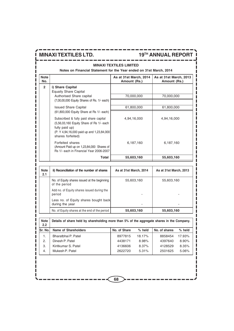#### ----------------**MINAXI TEXTILES LIMITED**

----

## **Notes on Financial Statement for the Year ended on 31st March, 2014**

| <b>Note</b><br>No. |                                                                                                                                                                        | As at 31st March, 2014<br>Amount (Rs.) | As at 31st March, 2013<br>Amount (Rs.) |
|--------------------|------------------------------------------------------------------------------------------------------------------------------------------------------------------------|----------------------------------------|----------------------------------------|
| $\overline{2}$     | i) Share Capital<br><b>Equaity Share Capital</b>                                                                                                                       |                                        |                                        |
|                    | Authorised Share capital<br>(7,00,00,000 Equity Shares of Rs. 1/- each)                                                                                                | 70,000,000                             | 70,000,000                             |
|                    | <b>Issued Share Capital</b><br>(61,800,000 Equity Share at Rs 1/- each)                                                                                                | 61,800,000                             | 61,800,000                             |
|                    | Subscribed & fully paid share capital<br>(5,56,03,160 Equity Share of Rs 1/- each<br>fully paid up)<br>(P. Y 4,94,16,000 paid up and 1,23,84,000)<br>shares forfeited) | 4,94,16,000                            | 4,94,16,000                            |
|                    | Forfeited shares<br>(Amount Paid up on 1,23,84,000 Shares of<br>Rs 1/- each in Financial Year 2006-2007                                                                | 6,187,160                              | 6,187,160                              |
|                    | Total                                                                                                                                                                  | 55,603,160                             | 55,603,160                             |

| <b>Note</b><br>2.1 | ii) Reconciliation of the number of shares                    | As at 31st March, 2014 | As at 31st March, 2013 |
|--------------------|---------------------------------------------------------------|------------------------|------------------------|
|                    | No. of Equity shares issued at the beginning<br>of the period | 55,603,160             | 55,603,160             |
|                    | Add no. of Equity shares issued during the<br>period          |                        |                        |
|                    | Less no. of Equity shares bought back<br>during the year      |                        |                        |
|                    | No. of Equity shares at the end of the period                 | 55,603,160             | 55,603,160             |

| <b>Note</b><br>2.2 | Details of share held by shareholding more than 5% of the aggregate shares in the Company. |              |          |               |          |
|--------------------|--------------------------------------------------------------------------------------------|--------------|----------|---------------|----------|
| <b>Sr. No.</b>     | <b>Name of Shareholders</b>                                                                | No. of Share | $%$ held | No. of shares | $%$ held |
|                    | Bharatbhai P. Patel                                                                        | 8977815      | 18.17%   | 8858454       | 17.93%   |
| 2.                 | Dinesh P. Patel                                                                            | 4438171      | 8.98%    | 4397640       | 8.90%    |
| З.                 | Kiritkumar S. Patel                                                                        | 4136606      | 8.37%    | 4128529       | 8.35%    |
| 4.                 | Mukesh P. Patel                                                                            | 2622720      | 5.31%    | 2501625       | 5.06%    |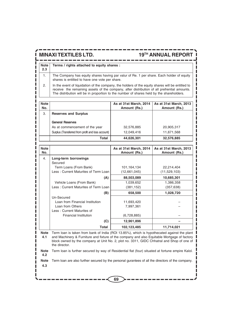I

I

**Note Terms / rights attached to equity shares : 2.3**

1. The Company has equity shares having par valur of Re. 1 per share. Each holder of equity shares is entitled to have one vote per share.

2. In the event of liquidation of the company, the holders of the equity shares will be entitled to receive the remaining assets of the company, after distribution of all prefrential amounts. The distribution will be in proportion to the number of shares held by the shareholders.

| <b>Note</b><br>No. |                                                    | As at 31st March, 2014<br>Amount (Rs.) | As at 31st March, 2013<br>Amount (Rs.) |
|--------------------|----------------------------------------------------|----------------------------------------|----------------------------------------|
| 3.                 | <b>Reserves and Surplus</b>                        |                                        |                                        |
|                    | <b>General Reserves</b>                            |                                        |                                        |
|                    | As at commencement of the year                     | 32,576,885                             | 20,905,317                             |
|                    | Surplus (Transferred from profit and loss account) | 12,049,416                             | 11,671,568                             |
|                    | Total                                              | 44,626,301                             | 32,576,885                             |

| <b>Note</b><br>No. |                                      | As at 31st March, 2014<br>Amount (Rs.) | As at 31st March, 2013<br>Amount (Rs.) |
|--------------------|--------------------------------------|----------------------------------------|----------------------------------------|
| 4.                 | Long-term borrowings                 |                                        |                                        |
|                    | Secured                              |                                        |                                        |
|                    | Term Loans (From Bank)               | 101,164,134                            | 22,214,404                             |
|                    | Less: Current Maturites of Term Loan | (12,661,045)                           | (11,529,103)                           |
|                    | (A)                                  | 88,503,089                             | 10,685,301                             |
|                    | Vehicle Loans (From Bank)            | 1,039,652                              | 1,386,358                              |
|                    | Less: Current Maturites of Term Loan | (381, 152)                             | (357, 638)                             |
|                    | (B)                                  | 658,500                                | 1,028,720                              |
|                    | Un-Secured                           |                                        |                                        |
|                    | Loan from Financial Institution      | 11,693,420                             |                                        |
|                    | Loan from Others                     | 7,997,361                              |                                        |
|                    | Less: Current Maturites of           |                                        |                                        |
|                    | <b>Financial Institution</b>         | (6,728,885)                            |                                        |
|                    | (C)                                  | 12,961,896                             |                                        |
|                    | Total                                | 102,123,485                            | 11,714,021                             |

**Note** Term loan is taken from bank of India (ROI 13.85%), which is hypothecated against the plant **4.1** and Machinery & Furniture and fixture of the company and also Equitable Mortgage of factory block owned by the company at Unit No. 2, plot no. 3311, GIDC Chhatral and Shop of one of the director.

**Note** Term loan is further secured by way of Residential flat (four) situated at fortune empire Kalol. **4.2**

**Note** Term loan are also further secured by the personal gurantees of all the directors of the company. **4.3**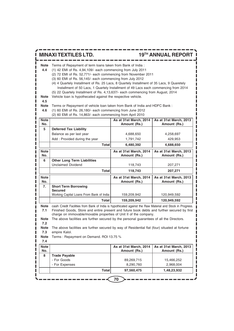|                                                  | <b>MINAXI TEXTILES LTD.</b>                                                                                                                                                                                                                                                                                                                                                                                                                                                                                                                                                                                                                                                                                                                                                                               |                                        | <b>19TH ANNUAL REPORT</b>              |
|--------------------------------------------------|-----------------------------------------------------------------------------------------------------------------------------------------------------------------------------------------------------------------------------------------------------------------------------------------------------------------------------------------------------------------------------------------------------------------------------------------------------------------------------------------------------------------------------------------------------------------------------------------------------------------------------------------------------------------------------------------------------------------------------------------------------------------------------------------------------------|----------------------------------------|----------------------------------------|
| Note<br>4.4<br>Note<br>4.5<br><b>Note</b><br>4.6 | Terms of Repayment of term loans taken from Bank of India :<br>(1) 42 EMI of Rs. 4,94,109/- each commencing from July 2011<br>(2) 72 EMI of Rs. 52,771/- each commencing from November 2011<br>(3) 60 EMI of Rs. 56,145/- each commencing from July 2012<br>(4) 4 Quartely Installment of Rs. 25 Lacs, 8 Quartely Installment of 35 Lacs, 9 Quaretely<br>Installment of 50 Lacs, 1 Quartely Installment of 49 Lacs each commencing from 2014<br>(5) 22 Quartely Installment of Rs. 4,13,637/- each commencing from August, 2014<br>Vehicle loan is hypothecated against the respective vehicle.<br>Terms or Repayment of vehicle loan taken from Bank of India and HDFC Bank :<br>(1) 60 EMI of Rs. 26,180/- each commencing from June 2012<br>(2) 60 EMI of Rs. 14,863/- each commencing from April 2010 |                                        |                                        |
| <b>Note</b><br>No.                               |                                                                                                                                                                                                                                                                                                                                                                                                                                                                                                                                                                                                                                                                                                                                                                                                           | As at 31st March, 2014<br>Amount (Rs.) | As at 31st March, 2013<br>Amount (Rs.) |
| 5                                                | <b>Deferred Tax Liability</b><br>Balance as per last year<br>Add: Provided during the year<br><b>Total</b>                                                                                                                                                                                                                                                                                                                                                                                                                                                                                                                                                                                                                                                                                                | 4,688,650<br>1,791,742                 | 4,258,697<br>429,953                   |
| <b>Note</b>                                      |                                                                                                                                                                                                                                                                                                                                                                                                                                                                                                                                                                                                                                                                                                                                                                                                           | 6,480,392<br>As at 31st March, 2014    | 4,688,650<br>As at 31st March, 2013    |
| No.                                              |                                                                                                                                                                                                                                                                                                                                                                                                                                                                                                                                                                                                                                                                                                                                                                                                           | Amount (Rs.)                           | Amount (Rs.)                           |
| 6                                                | <b>Other Long Term Liabilities</b><br><b>Unclaimed Dividend</b>                                                                                                                                                                                                                                                                                                                                                                                                                                                                                                                                                                                                                                                                                                                                           | 118,743                                | 207,271                                |
|                                                  | Total                                                                                                                                                                                                                                                                                                                                                                                                                                                                                                                                                                                                                                                                                                                                                                                                     | 118,743                                | 207,271                                |
| <b>Note</b><br>No.                               |                                                                                                                                                                                                                                                                                                                                                                                                                                                                                                                                                                                                                                                                                                                                                                                                           | As at 31st March, 2014<br>Amount (Rs.) | As at 31st March, 2013<br>Amount (Rs.) |
| 7.                                               | <b>Short Term Borrowing</b><br><b>Secured</b><br>Working Capital Loans From Bank of India                                                                                                                                                                                                                                                                                                                                                                                                                                                                                                                                                                                                                                                                                                                 | 159,209,942                            | 120,949,592                            |
|                                                  | Total                                                                                                                                                                                                                                                                                                                                                                                                                                                                                                                                                                                                                                                                                                                                                                                                     | 159,209,942                            | 120,949,592                            |
| Note<br>7.1                                      | cash Credit Facilities from Bank of India is hypothicated against the Raw Material and Stock in Progress.<br>Finished Goods, Store and entire present and future book debts and further secured by first<br>charge on immovable/movable properties of Unit II of the company.                                                                                                                                                                                                                                                                                                                                                                                                                                                                                                                             |                                        |                                        |
| <b>Note</b><br>7.2                               | The above facilities are further secured by the personal guarantees of all the Directors.                                                                                                                                                                                                                                                                                                                                                                                                                                                                                                                                                                                                                                                                                                                 |                                        |                                        |
| <b>Note</b><br>7.3                               | The above facilities are further secured by way of Residential flat (four) situated at fortune<br>empire Kalol.                                                                                                                                                                                                                                                                                                                                                                                                                                                                                                                                                                                                                                                                                           |                                        |                                        |
| <b>Note</b><br>7.4                               | Terms: Repayment on Demand. ROI 13.75 %                                                                                                                                                                                                                                                                                                                                                                                                                                                                                                                                                                                                                                                                                                                                                                   |                                        |                                        |
| <b>Note</b><br>No.                               |                                                                                                                                                                                                                                                                                                                                                                                                                                                                                                                                                                                                                                                                                                                                                                                                           | As at 31st March, 2014<br>Amount (Rs.) | As at 31st March, 2013<br>Amount (Rs.) |
| 8                                                | <b>Trade Payable</b>                                                                                                                                                                                                                                                                                                                                                                                                                                                                                                                                                                                                                                                                                                                                                                                      |                                        |                                        |
| I                                                | - For Goods                                                                                                                                                                                                                                                                                                                                                                                                                                                                                                                                                                                                                                                                                                                                                                                               | 89,269,715                             | 15,466,252                             |
|                                                  | - For Expenses                                                                                                                                                                                                                                                                                                                                                                                                                                                                                                                                                                                                                                                                                                                                                                                            | 8,290,760                              | 2,968,004                              |
|                                                  | <b>Total</b>                                                                                                                                                                                                                                                                                                                                                                                                                                                                                                                                                                                                                                                                                                                                                                                              | 97,560,475                             | 1,48,23,932                            |
|                                                  |                                                                                                                                                                                                                                                                                                                                                                                                                                                                                                                                                                                                                                                                                                                                                                                                           | 70                                     |                                        |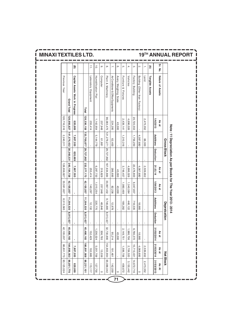|                |                                     |             | Gross Block                        |           |                        |            | Depreication     |                |                 | <b>Net Block</b> |            |
|----------------|-------------------------------------|-------------|------------------------------------|-----------|------------------------|------------|------------------|----------------|-----------------|------------------|------------|
| Sr. No.        | Nature of Assets                    | As at       |                                    |           | As at                  | As at      |                  |                | As at           | As at            | As At      |
|                |                                     | 1/4/2013    | Additions                          | Deduction | 31.03.14               | 1/04/2013  | <b>Additions</b> | Deduction      | 31/03<br>1/2014 | 31/03/2014       | 31/03/2013 |
| Ξ              | <b>Tangible Assets</b>              |             |                                    |           |                        |            |                  |                |                 |                  |            |
| ÷              | Land                                | 2,473,352   | 66,300                             |           | 2,539,652              |            |                  | $\blacksquare$ |                 | 2,539,652        | 2,473,352  |
| $\rm \sim$     | Building (Other than Factory)       |             | 4,087,680                          |           | 4,087,680              |            | 18,985           | $\blacksquare$ | 18,985          | 4,068,695        | $\circ$    |
| $\dot{\infty}$ | Factory Building                    | 20,720,553  | 1,756,250                          |           | 22,476,803             | 6,047,837  | 718,535          | ı              | 6,766,372       | 15,710,431       | 14,672,716 |
| 4.             | Vehicles                            | 4,696,026   |                                    |           | 4,696,026              | 1,540,584  | 446,122          | $\blacksquare$ | 1,986,706       | 2,709,320        | 3,155,442  |
| ŗΩ             | Furniture & Fixtures                | 2,439,141   | 1,310,316                          |           | 3,749,457              | 1,980,469  | 169,282          | ı              | 2,149,751       | 1,599,706        | 458,672    |
| <u>ღ</u>       | Avery Weighing Scale                | 43,000      |                                    |           | 43,000                 | 43,000     |                  | ï              | 43,000          |                  | $\circ$    |
| Ν.             | Air Conditioner & Office Equipments | 224,295     | 62,400                             |           | 286,695                | 82,236     | 12,978           | $\blacksquare$ | 95,214          | 191,481          | 142,059    |
| ŏ.             | <b>Plant &amp; Machinery</b>        | 96,083,475  | 121,279,271                        |           | 29,727,862 187,634,884 | 30,997,432 | 9,746,885        | 8,013,427      | 32,730,890      | 154,903,994      | 65,086,042 |
| $\ddot{\circ}$ | Compute                             | 257,948     | 61,881                             |           | 319,829                | 257,948    | 48,846           | ı              | 306,793         | 13,036           | $\circ$    |
| 10.            | Humidification Plat                 | 1, 142, 954 | 5,144,779                          |           | 6,287,733              | 1,015,254  | 220,770          | $\blacksquare$ | 1,236,024       | 5,051,709        | 127,700    |
| $\Rightarrow$  | Laboratory Equipment                | 255,414     |                                    |           | 255,414                | 140,297    | 12, 132          | $\blacksquare$ | 152,429         | 102,985          | 115,117    |
|                | Total                               | 128,336,158 | 133,768,877 29,727,862 232,377,173 |           |                        | 42,105,057 | 11,394,535       | 8,013,427      | 45,486,165      | 186,891,008      | 86,231,101 |
|                |                                     |             |                                    |           |                        |            |                  |                |                 |                  |            |
| ⊕              | Capital Assets Work in Progress     | 620,669     | 7,807,555                          | 620,669   | 7,807,555              |            |                  |                |                 | 7,807,555        | 620,669    |
|                | <b>Grand Total</b>                  | 128,956,827 | 141,576,432 30,348,531             |           | 240,184,728            | 42,105,057 | 11,394,535       | 8,013,427      | 45,486,165      | 194,698,563      | 86,851,770 |
|                | Previous Year                       | 126,716,516 | 2,240,311                          |           | 128,956,827            | 33,591,827 | 8,513,565        | J.             | 42,105,057      | 86,851,770       | 83,125,024 |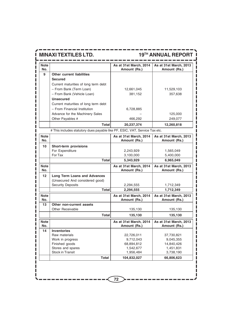| <b>Note</b><br>No. |                                                                             | As at 31st March, 2014<br>Amount (Rs.) | As at 31st March, 2013<br>Amount (Rs.) |
|--------------------|-----------------------------------------------------------------------------|----------------------------------------|----------------------------------------|
| 9                  | Other current liabilities                                                   |                                        |                                        |
|                    | <b>Secured</b>                                                              |                                        |                                        |
|                    | Current maturities of long term debt                                        |                                        |                                        |
|                    | - From Bank (Term Loan)                                                     | 12,661,045                             | 11,529,103                             |
|                    | - From Bank (Vehicle Loan)                                                  | 381,152                                | 357,638                                |
|                    | <b>Unsecured</b>                                                            |                                        |                                        |
|                    | Current maturities of long term debt                                        |                                        |                                        |
|                    | - From Financial Institution                                                | 6,728,885                              |                                        |
|                    | Advance for the Machinery Sales                                             |                                        | 125,000                                |
|                    | Other Payables #                                                            | 466,292                                | 249,077                                |
|                    | Total                                                                       | 20,237,374                             | 12,260,818                             |
|                    |                                                                             |                                        |                                        |
|                    | # This includes statutory dues payable like PF, ESIC, VAT, Service Tax etc. |                                        |                                        |
| <b>Note</b><br>No. |                                                                             | As at 31st March, 2014<br>Amount (Rs.) | As at 31st March, 2013<br>Amount (Rs.) |
| 10                 | Short-term provisions                                                       |                                        |                                        |
|                    | For Expenditure                                                             | 2,243,929                              | 1,565,049                              |
|                    | For Tax                                                                     | 3,100,000                              | 5,400,000                              |
|                    | <b>Total</b>                                                                | 5,343,929                              | 6,965,049                              |
| <b>Note</b>        |                                                                             | As at 31st March, 2014                 | As at 31st March, 2013                 |
| No.                |                                                                             | Amount (Rs.)                           | Amount (Rs.)                           |
| 12                 | <b>Long Term Loans and Advances</b>                                         |                                        |                                        |
|                    | (Unsecured And considered good)                                             |                                        |                                        |
|                    | <b>Security Deposits</b>                                                    | 2,294,555                              | 1,712,349                              |
|                    | <b>Total</b>                                                                | 2,294,555                              | 1,712,349                              |
| <b>Note</b><br>No. |                                                                             | As at 31st March, 2014<br>Amount (Rs.) | As at 31st March, 2013<br>Amount (Rs.) |
| 13                 | Other non-current assets                                                    |                                        |                                        |
|                    | Other Receivable                                                            | 135,130                                | 135,130                                |
|                    | <b>Total</b>                                                                | 135,130                                | 135,130                                |
| <b>Note</b><br>No. |                                                                             | As at 31st March, 2014<br>Amount (Rs.) | As at 31st March, 2013<br>Amount (Rs.) |
| 14                 | <b>Inventories</b>                                                          |                                        |                                        |
|                    | Raw materials                                                               | 22,726,011                             | 37,730,821                             |
|                    | Work in progress                                                            | 9,712,043                              | 9,045,355                              |
|                    | Finished goods                                                              | 68,894,812                             | 14,840,426                             |
|                    | Stores and spares<br><b>Stock in Transit</b>                                | 1,542,677<br>1,956,484                 | 1,451,831<br>3,738,190                 |
|                    |                                                                             |                                        |                                        |
|                    | <b>Total</b>                                                                | 104,832,027                            | 66,806,623                             |
|                    |                                                                             |                                        |                                        |
|                    |                                                                             |                                        |                                        |
|                    |                                                                             |                                        |                                        |
|                    |                                                                             | 72                                     |                                        |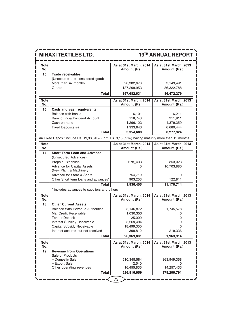ı

# **MINAXI TEXTILES LTD. 19TH ANNUAL REPORT**

| <b>Note</b><br>No. |                                 | As at 31st March, 2014<br>Amount (Rs.) | As at 31st March, 2013<br>Amount (Rs.) |
|--------------------|---------------------------------|----------------------------------------|----------------------------------------|
| 15                 | <b>Trade receivables</b>        |                                        |                                        |
|                    | (Unsecured and considered good) |                                        |                                        |
|                    | More than six months            | 20,382,678                             | 3,149,491                              |
|                    | <b>Others</b>                   | 137.299.953                            | 86,322,788                             |
|                    | Total                           | 157,682,631                            | 86,472,279                             |
| <b>Note</b><br>No. |                                 | As at 31st March, 2014<br>Amount (Rs.) | As at 31st March, 2013<br>Amount (Rs.) |
| 16                 | Cash and cash equivalents       |                                        |                                        |
|                    | Balance with banks              | 6,101                                  | 6,211                                  |
|                    | Bank of India Dividend Account  | 118,743                                | 211.911                                |
|                    | Cash on hand                    | 1,296,123                              | 1,379,359                              |
|                    | Fixed Deposits ##               | 1,933,643                              | 6,680,444                              |
|                    | Total                           | 3,354,609                              | 8,277,924                              |

 $- - -$ 

## Fixed Deposit include Rs. 19,33,643/- (P.Y. Rs. 9,16,591/-) having maturity more than 12 months

| Note<br>No. |                                      | As at 31st March, 2014<br>Amount (Rs.) | As at 31st March, 2013<br>Amount (Rs.) |
|-------------|--------------------------------------|----------------------------------------|----------------------------------------|
| 17          | <b>Short Term Loan and Advance</b>   |                                        |                                        |
|             | (Unsecured Advances)                 |                                        |                                        |
|             | <b>Prepaid Expenses</b>              | 278,433                                | 353,023                                |
|             | Advance for Capital Assets           | O                                      | 10,703,880                             |
|             | (New Plant & Machinery)              |                                        |                                        |
|             | Advance for Store & Spare            | 754,719                                | 0                                      |
|             | Other Short term loans and advances* | 903,253                                | 122,811                                |
|             | <b>Total</b>                         | 1,936,405                              | 11,179,714                             |

\* includes advances to suppliers and others

| <b>Note</b><br>No. |                                                    | As at 31st March, 2014<br>Amount (Rs.) | As at 31st March, 2013<br>Amount (Rs.) |
|--------------------|----------------------------------------------------|----------------------------------------|----------------------------------------|
| 18                 | <b>Other Current Assets</b>                        |                                        |                                        |
|                    | <b>Balance With Revenue Authorities</b>            | 3,146,872                              | 1,745,578                              |
|                    | Mat Credit Receivable                              | 1,030,353                              |                                        |
|                    | <b>Tender Deposit</b>                              | 25,000                                 |                                        |
|                    | Interest Subsidy Receivable                        | 3,269,494                              |                                        |
|                    | Capital Subsidy Receivable                         | 18,499,350                             |                                        |
|                    | Interest accured but not received                  | 398,812                                | 218,336                                |
|                    | Total                                              | 26,369,881                             | 1,963,914                              |
| <b>Note</b>        |                                                    | As at 31st March, 2014                 | As at 31st March, 2013                 |
| No.                |                                                    | Amount (Rs.)                           |                                        |
|                    |                                                    |                                        | Amount (Rs.)                           |
| 19                 | <b>Revenue from Operations</b><br>Sale of Products |                                        |                                        |
|                    | - Domestic Sale                                    | 510,348,584                            | 363,949,358                            |
|                    | - Export Sale                                      | 12,540                                 |                                        |
|                    | Other operating revenues                           | 16,455,835                             | 14,257,433                             |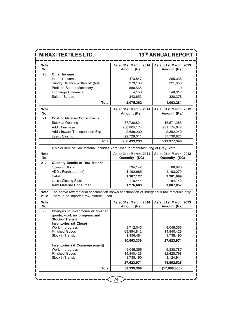П

## **MINAXI TEXTILES LTD.** 19<sup>TH</sup> ANNUAL REPORT

| <b>Other Income</b><br>Interest Income<br>Sundry Balance written off (Net)<br>Profit on Sale of Machinery | Amount (Rs.)<br>473,847                                                                                                                                                                                                                                                                                                   | Amount (Rs.)<br>265,036                                                                                                                                                                                                                                                                                                                                                                                                      |
|-----------------------------------------------------------------------------------------------------------|---------------------------------------------------------------------------------------------------------------------------------------------------------------------------------------------------------------------------------------------------------------------------------------------------------------------------|------------------------------------------------------------------------------------------------------------------------------------------------------------------------------------------------------------------------------------------------------------------------------------------------------------------------------------------------------------------------------------------------------------------------------|
|                                                                                                           |                                                                                                                                                                                                                                                                                                                           |                                                                                                                                                                                                                                                                                                                                                                                                                              |
|                                                                                                           |                                                                                                                                                                                                                                                                                                                           |                                                                                                                                                                                                                                                                                                                                                                                                                              |
|                                                                                                           | 373,139                                                                                                                                                                                                                                                                                                                   | 321,850                                                                                                                                                                                                                                                                                                                                                                                                                      |
|                                                                                                           | 880,565                                                                                                                                                                                                                                                                                                                   | 0                                                                                                                                                                                                                                                                                                                                                                                                                            |
| Exchange Difference                                                                                       | 4,158                                                                                                                                                                                                                                                                                                                     | 148,017                                                                                                                                                                                                                                                                                                                                                                                                                      |
| Sale of Scrape                                                                                            | 343,653                                                                                                                                                                                                                                                                                                                   | 328,378                                                                                                                                                                                                                                                                                                                                                                                                                      |
| <b>Total</b>                                                                                              | 2,075,362                                                                                                                                                                                                                                                                                                                 | 1,063,281                                                                                                                                                                                                                                                                                                                                                                                                                    |
|                                                                                                           |                                                                                                                                                                                                                                                                                                                           | As at 31st March, 2013                                                                                                                                                                                                                                                                                                                                                                                                       |
|                                                                                                           | Amount (Rs.)                                                                                                                                                                                                                                                                                                              | Amount (Rs.)                                                                                                                                                                                                                                                                                                                                                                                                                 |
| <b>Cost of Material Consumed #</b>                                                                        |                                                                                                                                                                                                                                                                                                                           |                                                                                                                                                                                                                                                                                                                                                                                                                              |
| Stock at Opening                                                                                          | 37,730,821                                                                                                                                                                                                                                                                                                                | 15,571,285                                                                                                                                                                                                                                                                                                                                                                                                                   |
| Add: Purchase                                                                                             | 238,805,174                                                                                                                                                                                                                                                                                                               | 231, 174, 642                                                                                                                                                                                                                                                                                                                                                                                                                |
|                                                                                                           | 2,689,239                                                                                                                                                                                                                                                                                                                 | 2,362,240                                                                                                                                                                                                                                                                                                                                                                                                                    |
|                                                                                                           |                                                                                                                                                                                                                                                                                                                           | 37,730,821                                                                                                                                                                                                                                                                                                                                                                                                                   |
| <b>Total</b>                                                                                              | 256,499,233                                                                                                                                                                                                                                                                                                               | 211,377,346                                                                                                                                                                                                                                                                                                                                                                                                                  |
|                                                                                                           |                                                                                                                                                                                                                                                                                                                           |                                                                                                                                                                                                                                                                                                                                                                                                                              |
|                                                                                                           | As at 31st March, 2014                                                                                                                                                                                                                                                                                                    | As at 31st March, 2013                                                                                                                                                                                                                                                                                                                                                                                                       |
|                                                                                                           |                                                                                                                                                                                                                                                                                                                           | Quatntity (KG)                                                                                                                                                                                                                                                                                                                                                                                                               |
|                                                                                                           |                                                                                                                                                                                                                                                                                                                           |                                                                                                                                                                                                                                                                                                                                                                                                                              |
|                                                                                                           |                                                                                                                                                                                                                                                                                                                           | 88,920                                                                                                                                                                                                                                                                                                                                                                                                                       |
|                                                                                                           |                                                                                                                                                                                                                                                                                                                           | 1,193,079                                                                                                                                                                                                                                                                                                                                                                                                                    |
|                                                                                                           |                                                                                                                                                                                                                                                                                                                           | 1,281,999                                                                                                                                                                                                                                                                                                                                                                                                                    |
|                                                                                                           |                                                                                                                                                                                                                                                                                                                           | 194,142                                                                                                                                                                                                                                                                                                                                                                                                                      |
|                                                                                                           |                                                                                                                                                                                                                                                                                                                           | 1,087,857                                                                                                                                                                                                                                                                                                                                                                                                                    |
|                                                                                                           |                                                                                                                                                                                                                                                                                                                           |                                                                                                                                                                                                                                                                                                                                                                                                                              |
|                                                                                                           |                                                                                                                                                                                                                                                                                                                           | As at 31st March, 2013                                                                                                                                                                                                                                                                                                                                                                                                       |
|                                                                                                           | Amount (Rs.)                                                                                                                                                                                                                                                                                                              | Amount (Rs.)                                                                                                                                                                                                                                                                                                                                                                                                                 |
| Changes in inventories of finished<br>goods, work in- progress and<br><b>Stock-inTransit</b>              |                                                                                                                                                                                                                                                                                                                           |                                                                                                                                                                                                                                                                                                                                                                                                                              |
| Work in progress                                                                                          | 9,712,043                                                                                                                                                                                                                                                                                                                 | 9,045,355                                                                                                                                                                                                                                                                                                                                                                                                                    |
| <b>Finished Goods</b>                                                                                     | 68,894,812                                                                                                                                                                                                                                                                                                                | 14,840,426                                                                                                                                                                                                                                                                                                                                                                                                                   |
| <b>Stock in Transit</b>                                                                                   | 1,956,484                                                                                                                                                                                                                                                                                                                 | 3,738,190                                                                                                                                                                                                                                                                                                                                                                                                                    |
|                                                                                                           | 80,563,339                                                                                                                                                                                                                                                                                                                | 27,623,971                                                                                                                                                                                                                                                                                                                                                                                                                   |
| <b>Inventories (at Commencement)</b>                                                                      |                                                                                                                                                                                                                                                                                                                           |                                                                                                                                                                                                                                                                                                                                                                                                                              |
|                                                                                                           |                                                                                                                                                                                                                                                                                                                           | 9,838,787                                                                                                                                                                                                                                                                                                                                                                                                                    |
|                                                                                                           |                                                                                                                                                                                                                                                                                                                           | 32,628,798                                                                                                                                                                                                                                                                                                                                                                                                                   |
|                                                                                                           |                                                                                                                                                                                                                                                                                                                           | 3,124,941                                                                                                                                                                                                                                                                                                                                                                                                                    |
| <b>Total</b>                                                                                              | 52,939,368                                                                                                                                                                                                                                                                                                                | 45,592,526<br>(17, 968, 555)                                                                                                                                                                                                                                                                                                                                                                                                 |
|                                                                                                           | Add: Inward Transportation Exp<br>Less: Closing<br><b>Quantity Details of Raw Material</b><br><b>Opening Stock</b><br>ADD: Purchase (net)<br><b>Total</b><br>Less: Closing Stock<br><b>Raw Material Consumed</b><br><b>Inventories (at Close)</b><br>Work in progress<br><b>Finished Goods</b><br><b>Stock in Transit</b> | As at 31st March, 2014<br>22,726,011<br># Major item of Raw Material Includes Yarn Used for manufacturing of Grey Cloth.<br>Quatntity (KG)<br>194,142<br>1,192,985<br>1,387,127<br>110,444<br>1,276,683<br>The above raw material consumption shows consumption of Indegenous raw materials only.<br>There is no imported raw material used.<br>As at 31st March, 2014<br>9,045,355<br>14,840,426<br>3,738,190<br>27,623,971 |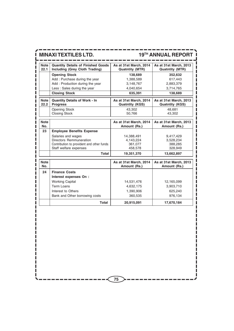|                     | <b>MINAXI TEXTILES LTD.</b>                                                 |                                                  | <b>19TH ANNUAL REPORT</b>                        |
|---------------------|-----------------------------------------------------------------------------|--------------------------------------------------|--------------------------------------------------|
| <b>Note</b><br>22.1 | <b>Quantity Details of Finished Goods</b><br>Including (Grey Cloth Trading) | As at 31st March, 2014<br><b>Quatntity (MTR)</b> | As at 31st March, 2013<br><b>Quatntity (MTR)</b> |
|                     | <b>Opening Stock</b>                                                        | 138,689                                          | 352,632                                          |
|                     | Add: Purchase during the year                                               | 1,388,589                                        | 617,443                                          |
|                     | Add: Production during the year                                             | 3,148,767                                        | 2,883,379                                        |
|                     | Less: Sales during the year                                                 | 4,040,654                                        | 3,714,765                                        |
|                     | <b>Closing Stock</b>                                                        | 635,391                                          | 138,689                                          |
| <b>Note</b><br>22.2 | <b>Quantity Details of Work - In</b><br><b>Progress</b>                     | As at 31st March, 2014<br><b>Quatntity (KGS)</b> | As at 31st March, 2013<br><b>Quatntity (KGS)</b> |
|                     | <b>Opening Stock</b>                                                        | 43.302                                           | 48,681                                           |
|                     | <b>Closing Stock</b>                                                        | 50.766                                           | 43.302                                           |
| <b>Note</b><br>No.  |                                                                             | As at 31st March, 2014<br>Amount (Rs.)           | As at 31st March, 2013<br>Amount (Rs.)           |
| 23                  | <b>Employee Benefits Expense</b>                                            |                                                  |                                                  |
|                     | Salaries and wages                                                          | 14,388,491                                       | 9,417,429                                        |
|                     | Directors Remmuneration                                                     | 4,143,224                                        | 3,528,234                                        |
|                     | Contribution to provident and other funds                                   | 361,077                                          | 388,285                                          |
|                     | Staff welfare expenses                                                      | 458,578                                          | 328,949                                          |
|                     | <b>Total</b>                                                                | 19,351,370                                       | 13,662,897                                       |
| <b>Note</b><br>No.  |                                                                             | As at 31st March, 2014<br>Amount (Rs.)           | As at 31st March, 2013<br>Amount (Rs.)           |
| 24                  | <b>Finance Costs</b>                                                        |                                                  |                                                  |
|                     | Interest expenses On :                                                      |                                                  |                                                  |
|                     | <b>Working Capital</b>                                                      | 14,531,476                                       | 12,165,099                                       |
|                     | Term Loans                                                                  | 4,632,175                                        | 3,903,710                                        |
|                     | Interest to Others                                                          | 1,390,906                                        | 625,240                                          |
|                     | Bank and Other borrowing costs                                              | 360,535                                          | 976,134                                          |
|                     | <b>Total</b>                                                                | 20,915,091                                       | 17,670,184                                       |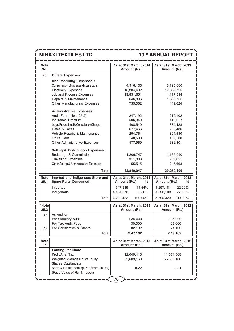| <b>Note</b><br>No. |                                                                  | As at 31st March, 2014<br>Amount (Rs.)      | As at 31st March, 2013<br>Amount (Rs.)      |  |
|--------------------|------------------------------------------------------------------|---------------------------------------------|---------------------------------------------|--|
| 25                 | <b>Others Expenses</b>                                           |                                             |                                             |  |
|                    | <b>Manufacturing Expenses:</b>                                   |                                             |                                             |  |
|                    | Consumption of stores and spare parts                            | 4,916,100                                   | 6,125,660                                   |  |
|                    | <b>Electricity Expenses</b>                                      | 13,284,482                                  | 12,337,700                                  |  |
|                    | Job and Process Expenses                                         | 19,831,651                                  | 4,117,894                                   |  |
|                    | Repairs & Maintenance                                            | 646,836                                     | 1,666,700                                   |  |
|                    | Other Manufacturing Expenses                                     | 735,062                                     | 449,624                                     |  |
|                    | <b>Administrative Expenses:</b>                                  |                                             |                                             |  |
|                    | Audit Fees (Note 25.2)                                           | 247,192                                     | 219,102                                     |  |
|                    | Insurance Premium                                                | 506,340                                     | 418,617                                     |  |
|                    | Legal, Professional & Consultancy Charges                        | 408,540                                     | 834,428                                     |  |
|                    | Rates & Taxes                                                    | 677,466                                     | 258,486                                     |  |
|                    | Vehicle Repairs & Maintenance                                    | 294,764                                     | 394,580                                     |  |
|                    | Office Rent                                                      | 148,500                                     | 132,500                                     |  |
|                    | Other Administrative Expenses                                    | 477,969                                     | 682,401                                     |  |
|                    | <b>Selling &amp; Distribution Expenses:</b>                      |                                             |                                             |  |
|                    | Brokerage & Commission                                           | 1,206,747                                   | 1,165,090                                   |  |
|                    | <b>Travelling Expenses</b>                                       | 311,883                                     | 202,051                                     |  |
|                    | Other Selling & Administrative Expenses                          | 155,515                                     | 245,663                                     |  |
|                    | <b>Total</b>                                                     | 43,849,047                                  | 29,250,496                                  |  |
| Note<br>25.1       | Imprted and Indigenous Store and<br><b>Spare Parts Consumed:</b> | As at 31st March, 2014<br>Amount (Rs.)<br>% | As at 31st March, 2013<br>Amount (Rs.)<br>% |  |
|                    | Imported                                                         | 547,549<br>11.64%                           | 1,297,181<br>22.02%                         |  |
|                    | Indigenous                                                       | 4,154,873<br>88.36%                         | 4,593,139<br>77.98%                         |  |
|                    | Total                                                            | 4,702,422<br>100.00%                        | 100.00%<br>5,890,320                        |  |
| *Note              |                                                                  | As at 31st March, 2013                      | As at 31st March, 2012                      |  |
| 25.2               |                                                                  | Amount (Rs.)                                | Amount (Rs.)                                |  |
| (a)                | As Auditor                                                       |                                             |                                             |  |
|                    | For Statutory Audit                                              | 1,35,000                                    | 1,15,000                                    |  |
|                    | For Tax Audit Fees                                               | 30,000                                      | 25,000                                      |  |
| (b)                | For Certification & Others                                       | 82,192                                      | 74,102                                      |  |
|                    | <b>Total</b>                                                     | 2,47,192                                    | 2,19,102                                    |  |
| <b>Note</b><br>26  |                                                                  | As at 31st March, 2013<br>Amount (Rs.)      | As at 31st March, 2012<br>Amount (Rs.)      |  |
|                    | <b>Earning Per Share</b>                                         |                                             |                                             |  |
|                    | Profit After Tax                                                 | 12,049,416                                  | 11,671,568                                  |  |
|                    | Weighted Average No. of Equity                                   | 55,603,160                                  | 55,603,160                                  |  |
|                    | <b>Shares Outstanding</b>                                        |                                             |                                             |  |
|                    | Basic & Diluted Earning Per Share (in Rs.)                       | 0.22                                        | 0.21                                        |  |
|                    | (Face Value of Rs. 1/- each)                                     |                                             |                                             |  |
|                    |                                                                  | 76                                          |                                             |  |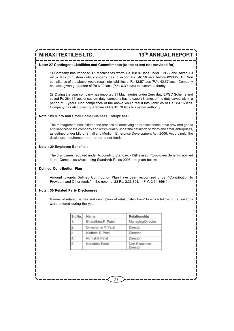#### **Note: 27 Contingent Liabilities and Commitments (to the extent not provided for)**

1) Company has imported 17 Machineries worth Rs 198.97 lacs under EPGC and saved Rs 42.57 lacs of custom duty, company has to export Rs 340.56 lacs before 02/08/2018. Non compliance of the above would result into liabilities of Rs 42.57 lacs (P.Y. 42.57 lacs). Company has also given guarantee of Rs 6.39 lacs (P.Y. 6.39 lacs) to custom authority.

2) During the year company has imported 31 Machineries under Zero duty EPGC Scheme and saved Rs 284.15 lacs of custom duty, company has to export 6 times of the duty saved within a period of 6 years. Non compliance of the above would result into liabilities of Rs 284.15 lacs. Company has also given guarantee of Rs 42.70 lacs to custom authority.

#### **Note : 28 Micro and Small Scale Business Enterprises :**

The management has initiated the process of identifying enterprises those have provided goods and services to the company and which qualify under the definition of micro and small enterprises, as defined under Micro, Small and Medium Enterprise Development Act, 2006. Accordingly, the disclosure requirement here under is not furnish.

#### **Note : 29 Employee Benefits :**

The disclosures required under Accounting Standard -15(Revised) "Employee Benefits" notified in the Companies (Accounting Standard) Rules 2006 are given below:

#### **Defined Contribution Plan**

Amount towards Defined Contribution Plan have been recognized under "Contribution to Provident and Other funds" in the note no. 23 Rs. 2,33,391/- (P.Y. 2,54,856/-)

#### **Note : 30 Related Party Disclosures**

Names of related parties and description of relationship from/ to which following transactions were entered during the year

| Sr. No.        | Name                | Relationship              |
|----------------|---------------------|---------------------------|
| 1.             | Bharatbhai P. Patel | Managing Director         |
| $\overline{2}$ | Dineshbhai P. Patel | Director                  |
| $\overline{3}$ | Kiritbhai S. Patel  | Director                  |
| $\overline{4}$ | Nirmal B. Patel     | Director                  |
| 5.             | Kanubhai Patel      | Non-Executive<br>Director |

**77**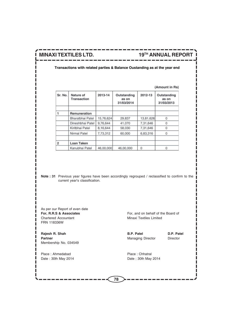(Amount in Rs)

#### **Transactions with related parties & Balance Oustanding as at the year end**

| Sr. No. | Nature of<br>Transaction | 2013-14   | Outstanding<br>as on<br>31/03/2014 | 2012-13   | Outstanding<br>as on<br>31/03/2013 |
|---------|--------------------------|-----------|------------------------------------|-----------|------------------------------------|
|         |                          |           |                                    |           |                                    |
|         | Remuneration             |           |                                    |           |                                    |
|         | Bharatbhai Patel         | 15,76,624 | 29,837                             | 13,81,626 | 0                                  |
|         | Dineshbhai Patel         | 9,76,644  | 41,070                             | 7,31,646  | 0                                  |
|         | Kiritbhai Patel          | 8.16.644  | 58,030                             | 7,31,646  | 0                                  |
|         | Nirmal Patel             | 7.73.312  | 60.000                             | 6,83,316  | 0                                  |
|         |                          |           |                                    |           |                                    |
| 2       | Loan Taken               |           |                                    |           |                                    |
|         | Kanubhai Patel           | 46,00,000 | 46,00,000                          | 0         |                                    |

**Note : 31** Previous year figures have been accordingly regrouped / reclassified to confirm to the current year's classification.

As per our Report of even date<br>For. R.R.S & Associates Chartered Accountant Minaxi Textiles Limited FRN 118336W

**Rajesh R. Shah B.P. Patel D.P. Patel D.P. Patel** Partner **Partner** Director **Partner** Director **Director** Director Membership No. 034549

Place : Ahmedabad Place : Chhatral Date : 30th May 2014 **Date : 30th May 2014** 

For, and on behalf of the Board of

**78**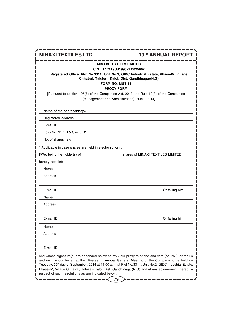| <b>MINAXI TEXTILES LTD.</b>                                                                                                                                                                       |                      | <b>19TH ANNUAL REPORT</b>                                                                                                              |  |  |
|---------------------------------------------------------------------------------------------------------------------------------------------------------------------------------------------------|----------------------|----------------------------------------------------------------------------------------------------------------------------------------|--|--|
| MINAXI TEXTILES LIMITED<br>CIN: L17119GJ1995PLC025007<br>Registered Office: Plot No.3311, Unit No.2, GIDC Industrial Estate, Phase-IV, Village<br>Chhatral, Taluka: Kalol, Dist. Gandhinagar(N.G) |                      |                                                                                                                                        |  |  |
|                                                                                                                                                                                                   |                      | FORM NO. MGT 11<br><b>PROXY FORM</b>                                                                                                   |  |  |
|                                                                                                                                                                                                   |                      | [Pursuant to section 105(6) of the Companies Act, 2013 and Rule 19(3) of the Companies<br>(Management and Administration) Rules, 2014] |  |  |
| Name of the shareholder(s)                                                                                                                                                                        | ÷                    |                                                                                                                                        |  |  |
| Registered address                                                                                                                                                                                | ÷                    |                                                                                                                                        |  |  |
| E-mail ID                                                                                                                                                                                         | ÷                    |                                                                                                                                        |  |  |
| Folio No. /DP ID & Client ID*                                                                                                                                                                     | ÷                    |                                                                                                                                        |  |  |
| No. of shares held                                                                                                                                                                                | ÷                    |                                                                                                                                        |  |  |
| * Applicable in case shares are held in electronic form.                                                                                                                                          |                      |                                                                                                                                        |  |  |
|                                                                                                                                                                                                   |                      |                                                                                                                                        |  |  |
| hereby appoint:                                                                                                                                                                                   |                      |                                                                                                                                        |  |  |
| Name                                                                                                                                                                                              | ÷                    |                                                                                                                                        |  |  |
| Address                                                                                                                                                                                           | ÷                    |                                                                                                                                        |  |  |
|                                                                                                                                                                                                   |                      |                                                                                                                                        |  |  |
| E-mail ID                                                                                                                                                                                         |                      | Or failing him:                                                                                                                        |  |  |
| Name                                                                                                                                                                                              | t                    |                                                                                                                                        |  |  |
| Address                                                                                                                                                                                           | ÷                    |                                                                                                                                        |  |  |
|                                                                                                                                                                                                   |                      |                                                                                                                                        |  |  |
| E-mail ID                                                                                                                                                                                         | $\ddot{\phantom{a}}$ | Or failing him:                                                                                                                        |  |  |
| Name                                                                                                                                                                                              | ÷                    |                                                                                                                                        |  |  |
| Address                                                                                                                                                                                           | t                    |                                                                                                                                        |  |  |
|                                                                                                                                                                                                   |                      |                                                                                                                                        |  |  |
| E-mail ID                                                                                                                                                                                         |                      |                                                                                                                                        |  |  |

and whose signature(s) are appended below as my / our proxy to attend and vote (on Poll) for me/us and on my/ our behalf at the Nineteenth Annual General Meeting of the Company to be held on Tuesday, 30<sup>th</sup> day of September, 2014 at 11.00 a.m. at Plot No.3311, Unit No.2, GIDC Industrial Estate, Phase-IV, Village Chhatral, Taluka - Kalol, Dist. Gandhinagar(N.G) and at any adjournment thereof in respect of such resolutions as are indicated below: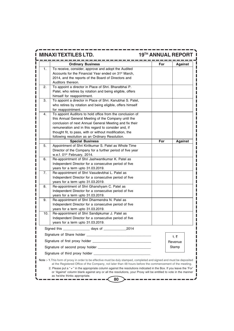|     | <b>MINAXI TEXTILES LTD.</b>                                                                                             | <b>19TH ANNUAL REPORT</b> |     |                |
|-----|-------------------------------------------------------------------------------------------------------------------------|---------------------------|-----|----------------|
|     | <b>Ordinary Business</b>                                                                                                |                           | For | <b>Against</b> |
| 1.  | To receive, consider, approve and adopt the Audited                                                                     |                           |     |                |
|     | Accounts for the Financial Year ended on 31 <sup>st</sup> March,                                                        |                           |     |                |
|     | 2014, and the reports of the Board of Directors and                                                                     |                           |     |                |
|     | Auditors thereon.                                                                                                       |                           |     |                |
| 2.  | To appoint a director in Place of Shri. Bharatbhai P.                                                                   |                           |     |                |
|     | Patel, who retires by rotation and being eligible, offers                                                               |                           |     |                |
| З.  | himself for reappointment.<br>To appoint a director in Place of Shri. Kanubhai S. Patel,                                |                           |     |                |
|     | who retires by rotation and being eligible, offers himself                                                              |                           |     |                |
|     | for reappointment.                                                                                                      |                           |     |                |
| 4.  | To appoint Auditors to hold office from the conclusion of                                                               |                           |     |                |
|     | this Annual General Meeting of the Company until the                                                                    |                           |     |                |
|     | conclusion of next Annual General Meeting and fix their                                                                 |                           |     |                |
|     | remuneration and in this regard to consider and, if                                                                     |                           |     |                |
|     | thought fit, to pass, with or without modification, the                                                                 |                           |     |                |
|     | following resolution as an Ordinary Resolution.                                                                         |                           |     |                |
|     | <b>Special Business</b>                                                                                                 |                           | For | Against        |
| 5.  | Appointment of Shri Kiritkumar S. Patel as Whole Time                                                                   |                           |     |                |
|     | Director of the Company for a further period of five year                                                               |                           |     |                |
|     | w.e.f. 01 <sup>st</sup> February, 2014.                                                                                 |                           |     |                |
| 6.  | Re-appointment of Shri Jashwantkumar K. Patel as                                                                        |                           |     |                |
|     | Independent Director for a consecutive period of five                                                                   |                           |     |                |
|     | years for a term upto 31.03.2019.                                                                                       |                           |     |                |
| 7.  | Re-appointment of Shri Vasudevbhai L. Patel as                                                                          |                           |     |                |
|     | Independent Director for a consecutive period of five                                                                   |                           |     |                |
| 8.  | years for a term upto 31.03.2019.<br>Re-appointment of Shri Ghanshyam C. Patel as                                       |                           |     |                |
|     | Independent Director for a consecutive period of five                                                                   |                           |     |                |
|     | years for a term upto 31.03.2019.                                                                                       |                           |     |                |
| 9.  | Re-appointment of Shri Dharmendra N. Patel as                                                                           |                           |     |                |
|     | Independent Director for a consecutive period of five                                                                   |                           |     |                |
|     | years for a term upto 31.03.2019.                                                                                       |                           |     |                |
| 10. | Re-appointment of Shri Sandipkumar J. Patel as                                                                          |                           |     |                |
|     | Independent Director for a consecutive period of five                                                                   |                           |     |                |
|     | years for a term upto 31.03.2019.                                                                                       |                           |     |                |
|     |                                                                                                                         |                           |     |                |
|     |                                                                                                                         |                           |     | 1.₹            |
|     |                                                                                                                         |                           |     | Revenue        |
|     |                                                                                                                         |                           |     | Stamp          |
|     |                                                                                                                         |                           |     |                |
|     | Note :- 1. This form of proxy in order to be effective must be duly stamped, completed and signed and must be deposited |                           |     |                |
|     | at the Registered Office of the Company, not later than 48 hours before the commencement of the meeting.                |                           |     |                |

-------

- 1

---------

as he/she thinks appropriate. **80** ä,

Π